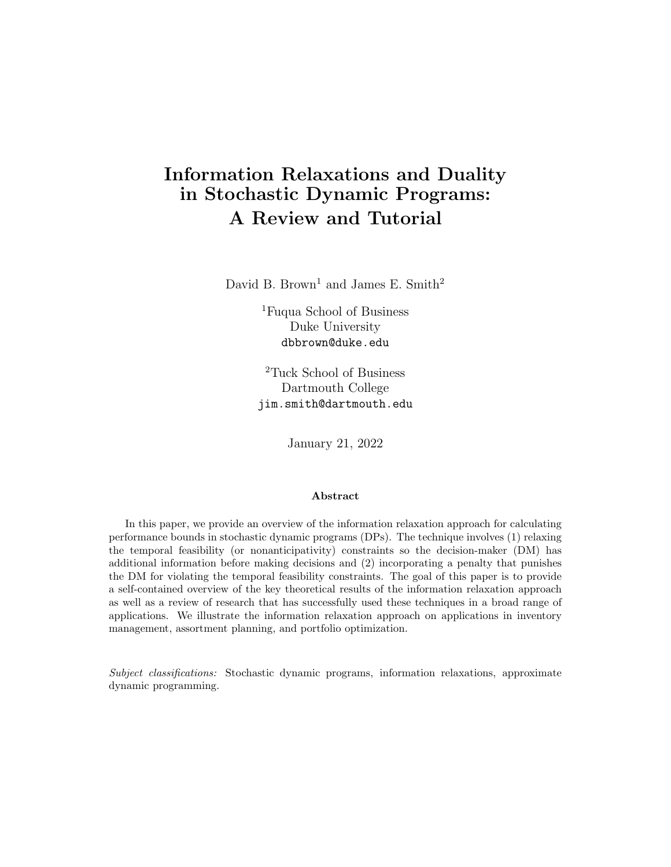# <span id="page-0-0"></span>Information Relaxations and Duality in Stochastic Dynamic Programs: A Review and Tutorial

David B. Brown<sup>1</sup> and James E. Smith<sup>2</sup>

<sup>1</sup>Fuqua School of Business Duke University dbbrown@duke.edu

<sup>2</sup>Tuck School of Business Dartmouth College jim.smith@dartmouth.edu

January 21, 2022

#### Abstract

In this paper, we provide an overview of the information relaxation approach for calculating performance bounds in stochastic dynamic programs (DPs). The technique involves (1) relaxing the temporal feasibility (or nonanticipativity) constraints so the decision-maker (DM) has additional information before making decisions and (2) incorporating a penalty that punishes the DM for violating the temporal feasibility constraints. The goal of this paper is to provide a self-contained overview of the key theoretical results of the information relaxation approach as well as a review of research that has successfully used these techniques in a broad range of applications. We illustrate the information relaxation approach on applications in inventory management, assortment planning, and portfolio optimization.

Subject classifications: Stochastic dynamic programs, information relaxations, approximate dynamic programming.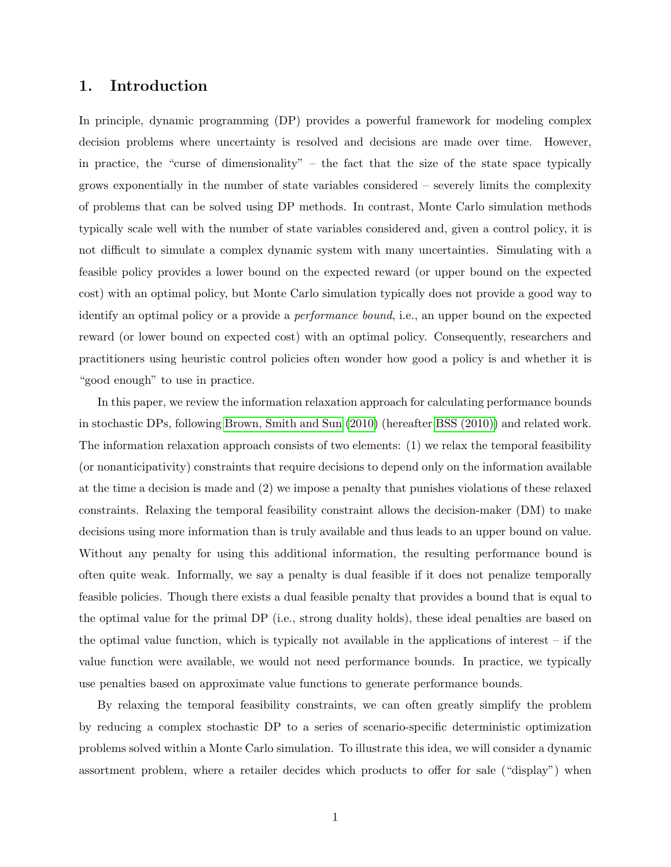# 1. Introduction

In principle, dynamic programming (DP) provides a powerful framework for modeling complex decision problems where uncertainty is resolved and decisions are made over time. However, in practice, the "curse of dimensionality" – the fact that the size of the state space typically grows exponentially in the number of state variables considered – severely limits the complexity of problems that can be solved using DP methods. In contrast, Monte Carlo simulation methods typically scale well with the number of state variables considered and, given a control policy, it is not difficult to simulate a complex dynamic system with many uncertainties. Simulating with a feasible policy provides a lower bound on the expected reward (or upper bound on the expected cost) with an optimal policy, but Monte Carlo simulation typically does not provide a good way to identify an optimal policy or a provide a performance bound, i.e., an upper bound on the expected reward (or lower bound on expected cost) with an optimal policy. Consequently, researchers and practitioners using heuristic control policies often wonder how good a policy is and whether it is "good enough" to use in practice.

In this paper, we review the information relaxation approach for calculating performance bounds in stochastic DPs, following [Brown, Smith and Sun](#page-64-0) [\(2010\)](#page-64-0) (hereafter [BSS \(2010\)\)](#page-64-0) and related work. The information relaxation approach consists of two elements: (1) we relax the temporal feasibility (or nonanticipativity) constraints that require decisions to depend only on the information available at the time a decision is made and (2) we impose a penalty that punishes violations of these relaxed constraints. Relaxing the temporal feasibility constraint allows the decision-maker (DM) to make decisions using more information than is truly available and thus leads to an upper bound on value. Without any penalty for using this additional information, the resulting performance bound is often quite weak. Informally, we say a penalty is dual feasible if it does not penalize temporally feasible policies. Though there exists a dual feasible penalty that provides a bound that is equal to the optimal value for the primal DP (i.e., strong duality holds), these ideal penalties are based on the optimal value function, which is typically not available in the applications of interest – if the value function were available, we would not need performance bounds. In practice, we typically use penalties based on approximate value functions to generate performance bounds.

By relaxing the temporal feasibility constraints, we can often greatly simplify the problem by reducing a complex stochastic DP to a series of scenario-specific deterministic optimization problems solved within a Monte Carlo simulation. To illustrate this idea, we will consider a dynamic assortment problem, where a retailer decides which products to offer for sale ("display") when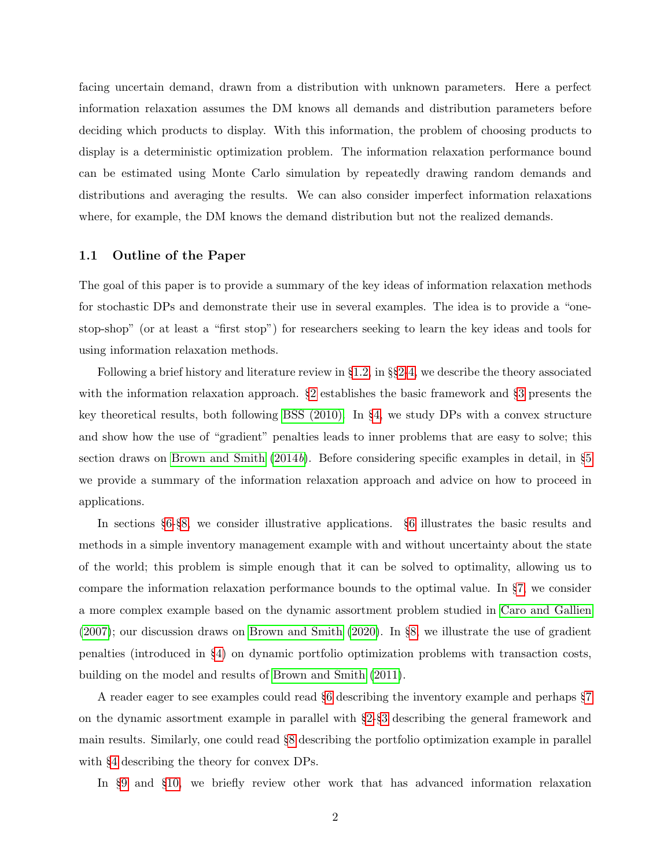facing uncertain demand, drawn from a distribution with unknown parameters. Here a perfect information relaxation assumes the DM knows all demands and distribution parameters before deciding which products to display. With this information, the problem of choosing products to display is a deterministic optimization problem. The information relaxation performance bound can be estimated using Monte Carlo simulation by repeatedly drawing random demands and distributions and averaging the results. We can also consider imperfect information relaxations where, for example, the DM knows the demand distribution but not the realized demands.

# 1.1 Outline of the Paper

The goal of this paper is to provide a summary of the key ideas of information relaxation methods for stochastic DPs and demonstrate their use in several examples. The idea is to provide a "onestop-shop" (or at least a "first stop") for researchers seeking to learn the key ideas and tools for using information relaxation methods.

Following a brief history and literature review in §[1.2,](#page-3-0) in §§[2-](#page-5-0)[4,](#page-20-0) we describe the theory associated with the information relaxation approach.  $\S2$  $\S2$  establishes the basic framework and  $\S3$  $\S3$  presents the key theoretical results, both following [BSS \(2010\).](#page-64-0) In §[4,](#page-20-0) we study DPs with a convex structure and show how the use of "gradient" penalties leads to inner problems that are easy to solve; this section draws on [Brown and Smith](#page-64-1)  $(2014b)$  $(2014b)$ . Before considering specific examples in detail, in §[5](#page-24-0) we provide a summary of the information relaxation approach and advice on how to proceed in applications.

In sections §[6-](#page-26-0)§[8,](#page-48-0) we consider illustrative applications. §[6](#page-26-0) illustrates the basic results and methods in a simple inventory management example with and without uncertainty about the state of the world; this problem is simple enough that it can be solved to optimality, allowing us to compare the information relaxation performance bounds to the optimal value. In §[7,](#page-34-0) we consider a more complex example based on the dynamic assortment problem studied in [Caro and Gallien](#page-64-2) [\(2007\)](#page-64-2); our discussion draws on [Brown and Smith](#page-64-3) [\(2020\)](#page-64-3). In §[8,](#page-48-0) we illustrate the use of gradient penalties (introduced in §[4\)](#page-20-0) on dynamic portfolio optimization problems with transaction costs, building on the model and results of [Brown and Smith](#page-64-4) [\(2011\)](#page-64-4).

A reader eager to see examples could read §[6](#page-26-0) describing the inventory example and perhaps §[7](#page-34-0) on the dynamic assortment example in parallel with §[2-](#page-5-0)§[3](#page-7-0) describing the general framework and main results. Similarly, one could read §[8](#page-48-0) describing the portfolio optimization example in parallel with §[4](#page-20-0) describing the theory for convex DPs.

In §[9](#page-55-0) and §[10,](#page-58-0) we briefly review other work that has advanced information relaxation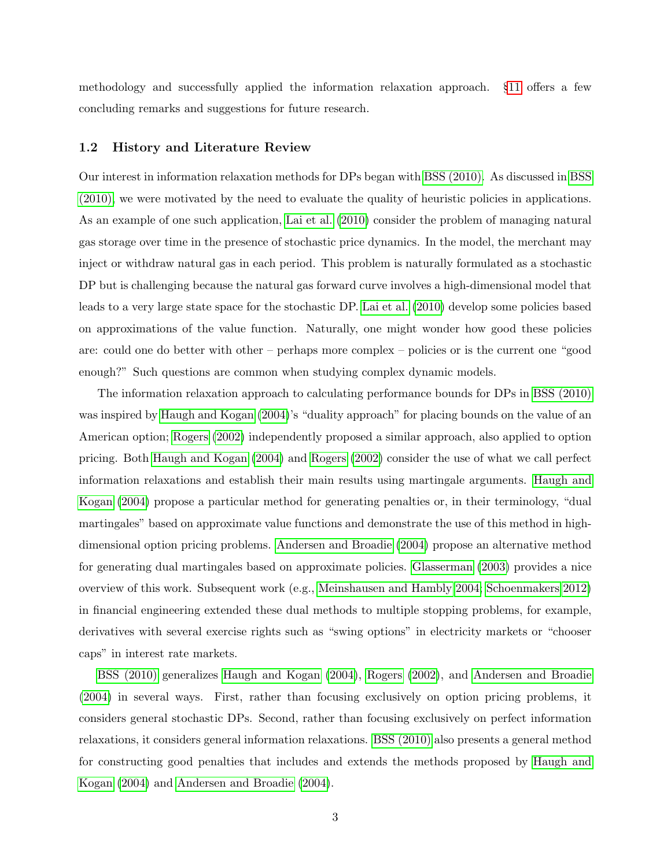methodology and successfully applied the information relaxation approach. §[11](#page-62-0) offers a few concluding remarks and suggestions for future research.

# <span id="page-3-0"></span>1.2 History and Literature Review

Our interest in information relaxation methods for DPs began with [BSS \(2010\).](#page-64-0) As discussed in [BSS](#page-64-0) [\(2010\),](#page-64-0) we were motivated by the need to evaluate the quality of heuristic policies in applications. As an example of one such application, [Lai et al.](#page-66-0) [\(2010\)](#page-66-0) consider the problem of managing natural gas storage over time in the presence of stochastic price dynamics. In the model, the merchant may inject or withdraw natural gas in each period. This problem is naturally formulated as a stochastic DP but is challenging because the natural gas forward curve involves a high-dimensional model that leads to a very large state space for the stochastic DP. [Lai et al.](#page-66-0) [\(2010\)](#page-66-0) develop some policies based on approximations of the value function. Naturally, one might wonder how good these policies are: could one do better with other – perhaps more complex – policies or is the current one "good enough?" Such questions are common when studying complex dynamic models.

The information relaxation approach to calculating performance bounds for DPs in [BSS \(2010\)](#page-64-0) was inspired by [Haugh and Kogan](#page-65-0) [\(2004\)](#page-65-0)'s "duality approach" for placing bounds on the value of an American option; [Rogers](#page-66-1) [\(2002\)](#page-66-1) independently proposed a similar approach, also applied to option pricing. Both [Haugh and Kogan](#page-65-0) [\(2004\)](#page-65-0) and [Rogers](#page-66-1) [\(2002\)](#page-66-1) consider the use of what we call perfect information relaxations and establish their main results using martingale arguments. [Haugh and](#page-65-0) [Kogan](#page-65-0) [\(2004\)](#page-65-0) propose a particular method for generating penalties or, in their terminology, "dual martingales" based on approximate value functions and demonstrate the use of this method in highdimensional option pricing problems. [Andersen and Broadie](#page-63-0) [\(2004\)](#page-63-0) propose an alternative method for generating dual martingales based on approximate policies. [Glasserman](#page-65-1) [\(2003\)](#page-65-1) provides a nice overview of this work. Subsequent work (e.g., [Meinshausen and Hambly 2004;](#page-66-2) [Schoenmakers 2012\)](#page-66-3) in financial engineering extended these dual methods to multiple stopping problems, for example, derivatives with several exercise rights such as "swing options" in electricity markets or "chooser caps" in interest rate markets.

[BSS \(2010\)](#page-64-0) generalizes [Haugh and Kogan](#page-65-0) [\(2004\)](#page-65-0), [Rogers](#page-66-1) [\(2002\)](#page-66-1), and [Andersen and Broadie](#page-63-0) [\(2004\)](#page-63-0) in several ways. First, rather than focusing exclusively on option pricing problems, it considers general stochastic DPs. Second, rather than focusing exclusively on perfect information relaxations, it considers general information relaxations. [BSS \(2010\)](#page-64-0) also presents a general method for constructing good penalties that includes and extends the methods proposed by [Haugh and](#page-65-0) [Kogan](#page-65-0) [\(2004\)](#page-65-0) and [Andersen and Broadie](#page-63-0) [\(2004\)](#page-63-0).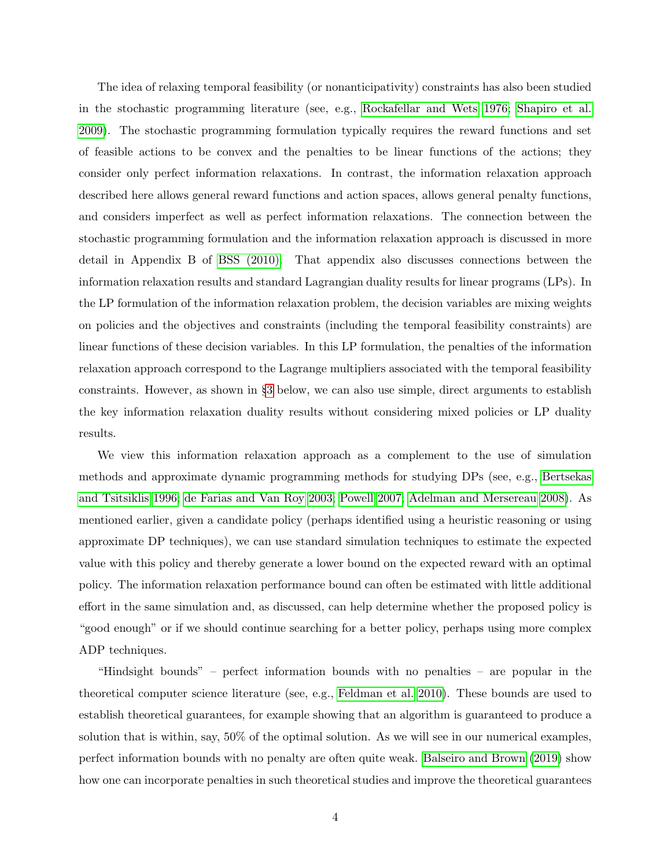The idea of relaxing temporal feasibility (or nonanticipativity) constraints has also been studied in the stochastic programming literature (see, e.g., [Rockafellar and Wets 1976;](#page-66-4) [Shapiro et al.](#page-67-0) [2009\)](#page-67-0). The stochastic programming formulation typically requires the reward functions and set of feasible actions to be convex and the penalties to be linear functions of the actions; they consider only perfect information relaxations. In contrast, the information relaxation approach described here allows general reward functions and action spaces, allows general penalty functions, and considers imperfect as well as perfect information relaxations. The connection between the stochastic programming formulation and the information relaxation approach is discussed in more detail in Appendix B of [BSS \(2010\).](#page-64-0) That appendix also discusses connections between the information relaxation results and standard Lagrangian duality results for linear programs (LPs). In the LP formulation of the information relaxation problem, the decision variables are mixing weights on policies and the objectives and constraints (including the temporal feasibility constraints) are linear functions of these decision variables. In this LP formulation, the penalties of the information relaxation approach correspond to the Lagrange multipliers associated with the temporal feasibility constraints. However, as shown in §[3](#page-7-0) below, we can also use simple, direct arguments to establish the key information relaxation duality results without considering mixed policies or LP duality results.

We view this information relaxation approach as a complement to the use of simulation methods and approximate dynamic programming methods for studying DPs (see, e.g., [Bertsekas](#page-63-1) [and Tsitsiklis 1996;](#page-63-1) [de Farias and Van Roy 2003;](#page-64-5) [Powell 2007;](#page-66-5) [Adelman and Mersereau 2008\)](#page-63-2). As mentioned earlier, given a candidate policy (perhaps identified using a heuristic reasoning or using approximate DP techniques), we can use standard simulation techniques to estimate the expected value with this policy and thereby generate a lower bound on the expected reward with an optimal policy. The information relaxation performance bound can often be estimated with little additional effort in the same simulation and, as discussed, can help determine whether the proposed policy is "good enough" or if we should continue searching for a better policy, perhaps using more complex ADP techniques.

"Hindsight bounds" – perfect information bounds with no penalties – are popular in the theoretical computer science literature (see, e.g., [Feldman et al. 2010\)](#page-65-2). These bounds are used to establish theoretical guarantees, for example showing that an algorithm is guaranteed to produce a solution that is within, say, 50% of the optimal solution. As we will see in our numerical examples, perfect information bounds with no penalty are often quite weak. [Balseiro and Brown](#page-63-3) [\(2019\)](#page-63-3) show how one can incorporate penalties in such theoretical studies and improve the theoretical guarantees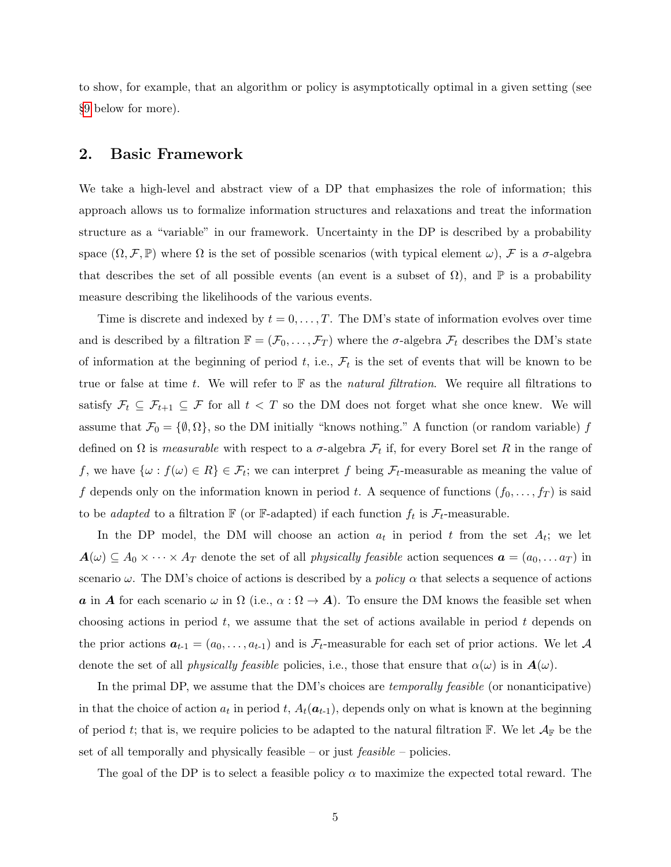to show, for example, that an algorithm or policy is asymptotically optimal in a given setting (see §[9](#page-55-0) below for more).

# <span id="page-5-0"></span>2. Basic Framework

We take a high-level and abstract view of a DP that emphasizes the role of information; this approach allows us to formalize information structures and relaxations and treat the information structure as a "variable" in our framework. Uncertainty in the DP is described by a probability space  $(\Omega, \mathcal{F}, \mathbb{P})$  where  $\Omega$  is the set of possible scenarios (with typical element  $\omega$ ),  $\mathcal{F}$  is a  $\sigma$ -algebra that describes the set of all possible events (an event is a subset of  $\Omega$ ), and  $\mathbb P$  is a probability measure describing the likelihoods of the various events.

Time is discrete and indexed by  $t = 0, \ldots, T$ . The DM's state of information evolves over time and is described by a filtration  $\mathbb{F} = (\mathcal{F}_0, \ldots, \mathcal{F}_T)$  where the  $\sigma$ -algebra  $\mathcal{F}_t$  describes the DM's state of information at the beginning of period t, i.e.,  $\mathcal{F}_t$  is the set of events that will be known to be true or false at time t. We will refer to  $\mathbb F$  as the *natural filtration*. We require all filtrations to satisfy  $\mathcal{F}_t \subseteq \mathcal{F}_{t+1} \subseteq \mathcal{F}$  for all  $t < T$  so the DM does not forget what she once knew. We will assume that  $\mathcal{F}_0 = \{\emptyset, \Omega\}$ , so the DM initially "knows nothing." A function (or random variable) f defined on  $\Omega$  is *measurable* with respect to a  $\sigma$ -algebra  $\mathcal{F}_t$  if, for every Borel set R in the range of f, we have  $\{\omega: f(\omega) \in R\} \in \mathcal{F}_t$ ; we can interpret f being  $\mathcal{F}_t$ -measurable as meaning the value of f depends only on the information known in period t. A sequence of functions  $(f_0, \ldots, f_T)$  is said to be *adapted* to a filtration  $\mathbb{F}$  (or  $\mathbb{F}$ -adapted) if each function  $f_t$  is  $\mathcal{F}_t$ -measurable.

In the DP model, the DM will choose an action  $a_t$  in period t from the set  $A_t$ ; we let  $\mathbf{A}(\omega) \subseteq A_0 \times \cdots \times A_T$  denote the set of all *physically feasible* action sequences  $\mathbf{a} = (a_0, \ldots a_T)$  in scenario  $\omega$ . The DM's choice of actions is described by a *policy*  $\alpha$  that selects a sequence of actions a in A for each scenario  $\omega$  in  $\Omega$  (i.e.,  $\alpha : \Omega \to A$ ). To ensure the DM knows the feasible set when choosing actions in period  $t$ , we assume that the set of actions available in period  $t$  depends on the prior actions  $a_{t-1} = (a_0, \ldots, a_{t-1})$  and is  $\mathcal{F}_t$ -measurable for each set of prior actions. We let A denote the set of all *physically feasible* policies, i.e., those that ensure that  $\alpha(\omega)$  is in  $\mathbf{A}(\omega)$ .

In the primal DP, we assume that the DM's choices are *temporally feasible* (or nonanticipative) in that the choice of action  $a_t$  in period t,  $A_t(\boldsymbol{a}_{t-1})$ , depends only on what is known at the beginning of period t; that is, we require policies to be adapted to the natural filtration  $\mathbb{F}$ . We let  $\mathcal{A}_{\mathbb{F}}$  be the set of all temporally and physically feasible – or just  $feasible$  – policies.

The goal of the DP is to select a feasible policy  $\alpha$  to maximize the expected total reward. The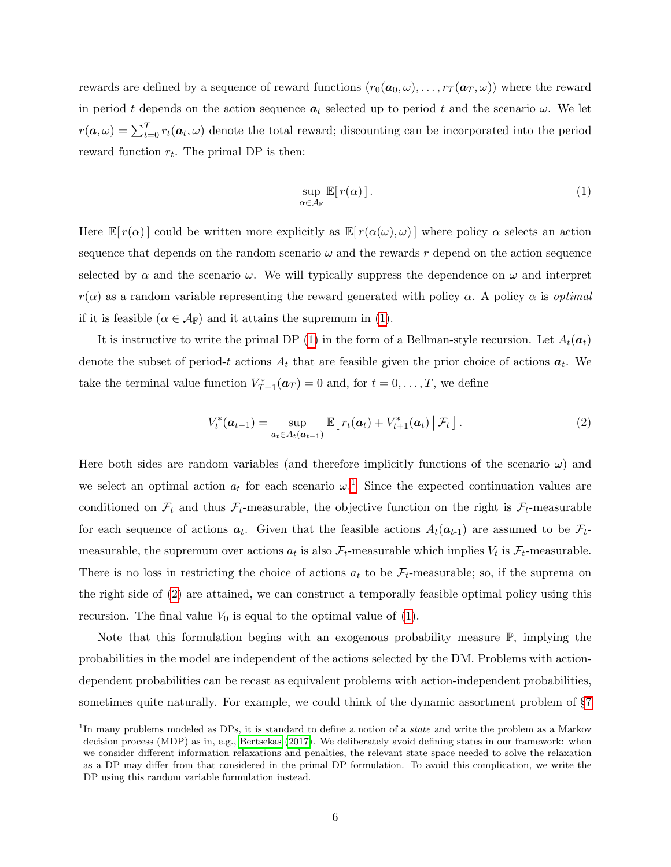rewards are defined by a sequence of reward functions  $(r_0(\boldsymbol{a}_0,\omega), \ldots, r_T(\boldsymbol{a}_T,\omega))$  where the reward in period t depends on the action sequence  $a_t$  selected up to period t and the scenario  $\omega$ . We let  $r(\boldsymbol{a}, \omega) = \sum_{t=0}^{T} r_t(\boldsymbol{a}_t, \omega)$  denote the total reward; discounting can be incorporated into the period reward function  $r_t$ . The primal DP is then:

<span id="page-6-0"></span>
$$
\sup_{\alpha \in \mathcal{A}_{\mathbb{F}}} \mathbb{E}[r(\alpha)]. \tag{1}
$$

Here  $\mathbb{E}[r(\alpha)]$  could be written more explicitly as  $\mathbb{E}[r(\alpha(\omega),\omega)]$  where policy  $\alpha$  selects an action sequence that depends on the random scenario  $\omega$  and the rewards r depend on the action sequence selected by  $\alpha$  and the scenario  $\omega$ . We will typically suppress the dependence on  $\omega$  and interpret  $r(\alpha)$  as a random variable representing the reward generated with policy  $\alpha$ . A policy  $\alpha$  is *optimal* if it is feasible  $(\alpha \in \mathcal{A}_{\mathbb{F}})$  and it attains the supremum in [\(1\)](#page-6-0).

It is instructive to write the primal DP [\(1\)](#page-6-0) in the form of a Bellman-style recursion. Let  $A_t(a_t)$ denote the subset of period-t actions  $A_t$  that are feasible given the prior choice of actions  $a_t$ . We take the terminal value function  $V^*_{T+1}(\boldsymbol{a}_T) = 0$  and, for  $t = 0, \ldots, T$ , we define

<span id="page-6-1"></span>
$$
V_t^*(\boldsymbol{a}_{t-1}) = \sup_{a_t \in A_t(\boldsymbol{a}_{t-1})} \mathbb{E}\big[r_t(\boldsymbol{a}_t) + V_{t+1}^*(\boldsymbol{a}_t) \,|\, \mathcal{F}_t\big]. \tag{2}
$$

Here both sides are random variables (and therefore implicitly functions of the scenario  $\omega$ ) and we select an optimal action  $a_t$  for each scenario  $\omega$ .<sup>[1](#page-0-0)</sup> Since the expected continuation values are conditioned on  $\mathcal{F}_t$  and thus  $\mathcal{F}_t$ -measurable, the objective function on the right is  $\mathcal{F}_t$ -measurable for each sequence of actions  $a_t$ . Given that the feasible actions  $A_t(a_{t-1})$  are assumed to be  $\mathcal{F}_t$ measurable, the supremum over actions  $a_t$  is also  $\mathcal{F}_t$ -measurable which implies  $V_t$  is  $\mathcal{F}_t$ -measurable. There is no loss in restricting the choice of actions  $a_t$  to be  $\mathcal{F}_t$ -measurable; so, if the suprema on the right side of [\(2\)](#page-6-1) are attained, we can construct a temporally feasible optimal policy using this recursion. The final value  $V_0$  is equal to the optimal value of [\(1\)](#page-6-0).

Note that this formulation begins with an exogenous probability measure  $\mathbb{P}$ , implying the probabilities in the model are independent of the actions selected by the DM. Problems with actiondependent probabilities can be recast as equivalent problems with action-independent probabilities, sometimes quite naturally. For example, we could think of the dynamic assortment problem of §[7](#page-34-0)

<sup>&</sup>lt;sup>1</sup>In many problems modeled as DPs, it is standard to define a notion of a *state* and write the problem as a Markov decision process (MDP) as in, e.g., [Bertsekas](#page-63-4) [\(2017\)](#page-63-4). We deliberately avoid defining states in our framework: when we consider different information relaxations and penalties, the relevant state space needed to solve the relaxation as a DP may differ from that considered in the primal DP formulation. To avoid this complication, we write the DP using this random variable formulation instead.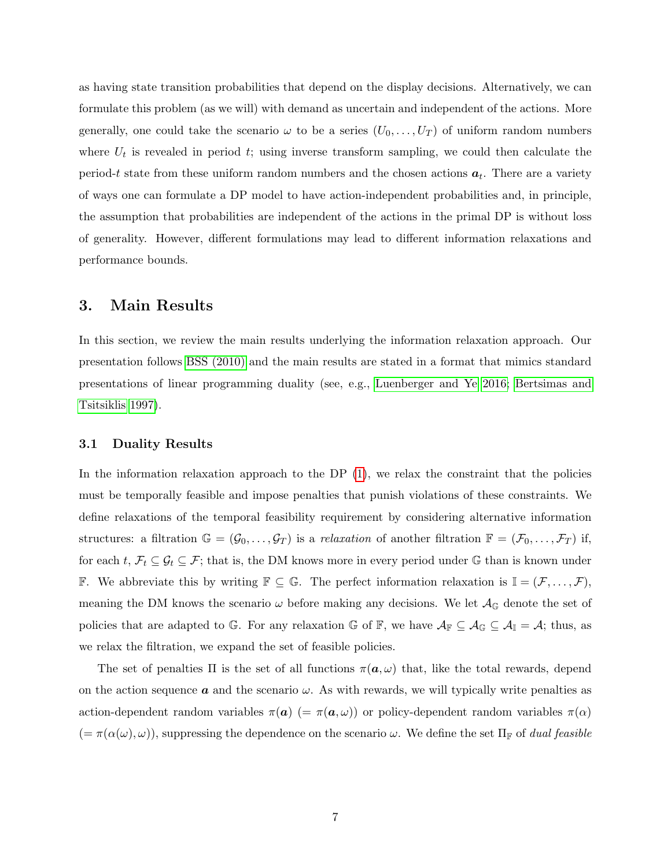as having state transition probabilities that depend on the display decisions. Alternatively, we can formulate this problem (as we will) with demand as uncertain and independent of the actions. More generally, one could take the scenario  $\omega$  to be a series  $(U_0, \ldots, U_T)$  of uniform random numbers where  $U_t$  is revealed in period t; using inverse transform sampling, we could then calculate the period-t state from these uniform random numbers and the chosen actions  $a_t$ . There are a variety of ways one can formulate a DP model to have action-independent probabilities and, in principle, the assumption that probabilities are independent of the actions in the primal DP is without loss of generality. However, different formulations may lead to different information relaxations and performance bounds.

# <span id="page-7-0"></span>3. Main Results

In this section, we review the main results underlying the information relaxation approach. Our presentation follows [BSS \(2010\)](#page-64-0) and the main results are stated in a format that mimics standard presentations of linear programming duality (see, e.g., [Luenberger and Ye 2016;](#page-66-6) [Bertsimas and](#page-63-5) [Tsitsiklis 1997\)](#page-63-5).

### 3.1 Duality Results

In the information relaxation approach to the DP [\(1\)](#page-6-0), we relax the constraint that the policies must be temporally feasible and impose penalties that punish violations of these constraints. We define relaxations of the temporal feasibility requirement by considering alternative information structures: a filtration  $\mathbb{G} = (\mathcal{G}_0, \ldots, \mathcal{G}_T)$  is a relaxation of another filtration  $\mathbb{F} = (\mathcal{F}_0, \ldots, \mathcal{F}_T)$  if, for each  $t, \mathcal{F}_t \subseteq \mathcal{G}_t \subseteq \mathcal{F}$ ; that is, the DM knows more in every period under G than is known under F. We abbreviate this by writing  $\mathbb{F} \subseteq \mathbb{G}$ . The perfect information relaxation is  $\mathbb{I} = (\mathcal{F}, \ldots, \mathcal{F})$ , meaning the DM knows the scenario  $\omega$  before making any decisions. We let  $\mathcal{A}_{\mathbb{G}}$  denote the set of policies that are adapted to G. For any relaxation G of F, we have  $\mathcal{A}_{\mathbb{F}} \subseteq \mathcal{A}_{\mathbb{G}} \subseteq \mathcal{A}_{\mathbb{I}} = \mathcal{A}$ ; thus, as we relax the filtration, we expand the set of feasible policies.

The set of penalties  $\Pi$  is the set of all functions  $\pi(a,\omega)$  that, like the total rewards, depend on the action sequence **a** and the scenario  $\omega$ . As with rewards, we will typically write penalties as action-dependent random variables  $\pi(a)$  (=  $\pi(a,\omega)$ ) or policy-dependent random variables  $\pi(\alpha)$  $(=\pi(\alpha(\omega), \omega))$ , suppressing the dependence on the scenario  $\omega$ . We define the set  $\Pi_{\mathbb{F}}$  of *dual feasible*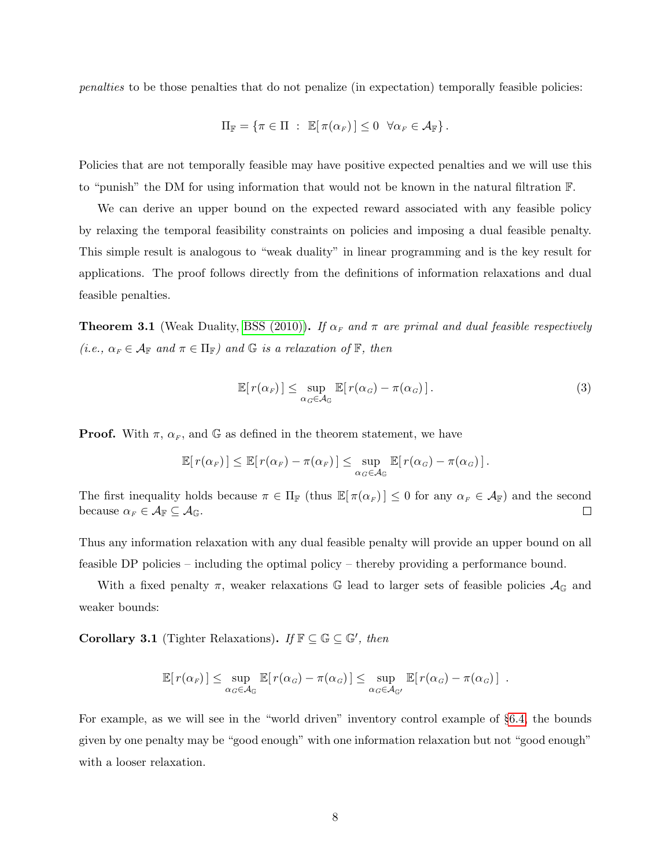penalties to be those penalties that do not penalize (in expectation) temporally feasible policies:

<span id="page-8-1"></span>
$$
\Pi_{\mathbb{F}} = \{ \pi \in \Pi : \mathbb{E}[\pi(\alpha_F)] \leq 0 \quad \forall \alpha_F \in \mathcal{A}_{\mathbb{F}} \}.
$$

Policies that are not temporally feasible may have positive expected penalties and we will use this to "punish" the DM for using information that would not be known in the natural filtration F.

We can derive an upper bound on the expected reward associated with any feasible policy by relaxing the temporal feasibility constraints on policies and imposing a dual feasible penalty. This simple result is analogous to "weak duality" in linear programming and is the key result for applications. The proof follows directly from the definitions of information relaxations and dual feasible penalties.

<span id="page-8-2"></span>**Theorem 3.1** (Weak Duality, [BSS \(2010\)\)](#page-64-0). If  $\alpha_F$  and  $\pi$  are primal and dual feasible respectively (i.e.,  $\alpha_F \in \mathcal{A}_{\mathbb{F}}$  and  $\pi \in \Pi_{\mathbb{F}}$ ) and  $\mathbb{G}$  is a relaxation of  $\mathbb{F}$ , then

$$
\mathbb{E}[r(\alpha_F)] \leq \sup_{\alpha_G \in \mathcal{A}_{\mathbb{G}}} \mathbb{E}[r(\alpha_G) - \pi(\alpha_G)]. \tag{3}
$$

**Proof.** With  $\pi$ ,  $\alpha_F$ , and G as defined in the theorem statement, we have

<span id="page-8-0"></span>
$$
\mathbb{E}[r(\alpha_F)] \leq \mathbb{E}[r(\alpha_F) - \pi(\alpha_F)] \leq \sup_{\alpha_G \in \mathcal{A}_G} \mathbb{E}[r(\alpha_G) - \pi(\alpha_G)].
$$

The first inequality holds because  $\pi \in \Pi_{\mathbb{F}}$  (thus  $\mathbb{E}[\pi(\alpha_F)] \leq 0$  for any  $\alpha_F \in \mathcal{A}_{\mathbb{F}}$ ) and the second because  $\alpha_F \in \mathcal{A}_{\mathbb{F}} \subseteq \mathcal{A}_{\mathbb{G}}$ .  $\Box$ 

Thus any information relaxation with any dual feasible penalty will provide an upper bound on all feasible DP policies – including the optimal policy – thereby providing a performance bound.

With a fixed penalty  $\pi$ , weaker relaxations G lead to larger sets of feasible policies  $\mathcal{A}_{\mathbb{G}}$  and weaker bounds:

<span id="page-8-3"></span>**Corollary 3.1** (Tighter Relaxations). If  $\mathbb{F} \subseteq \mathbb{G} \subseteq \mathbb{G}'$ , then

$$
\mathbb{E}[r(\alpha_F)] \leq \sup_{\alpha_G \in \mathcal{A}_{\mathbb{G}}} \mathbb{E}[r(\alpha_G) - \pi(\alpha_G)] \leq \sup_{\alpha_G \in \mathcal{A}_{\mathbb{G}'}} \mathbb{E}[r(\alpha_G) - \pi(\alpha_G)].
$$

For example, as we will see in the "world driven" inventory control example of §[6.4,](#page-31-0) the bounds given by one penalty may be "good enough" with one information relaxation but not "good enough" with a looser relaxation.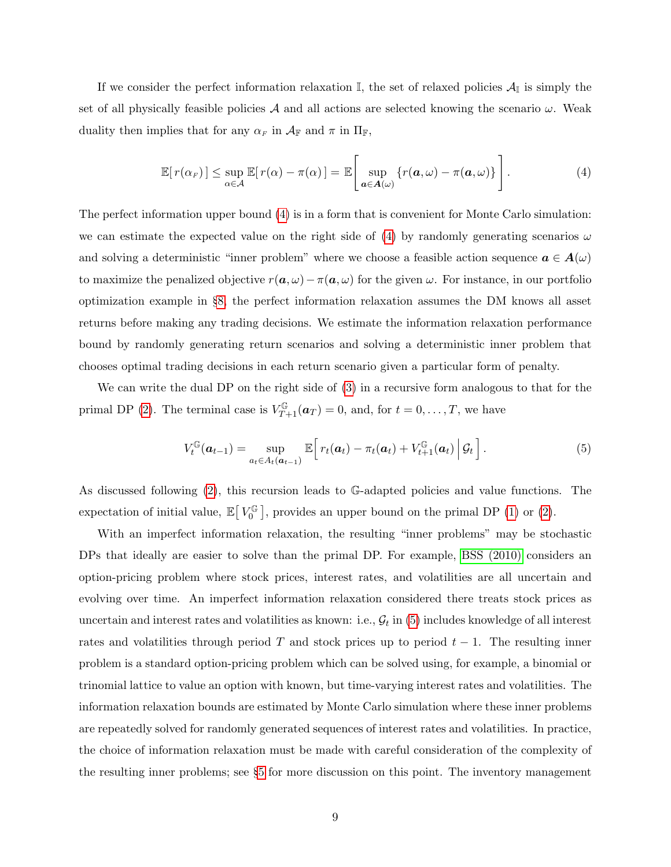If we consider the perfect information relaxation  $\mathbb{I}$ , the set of relaxed policies  $\mathcal{A}_{\mathbb{I}}$  is simply the set of all physically feasible policies A and all actions are selected knowing the scenario  $\omega$ . Weak duality then implies that for any  $\alpha_F$  in  $\mathcal{A}_{\mathbb{F}}$  and  $\pi$  in  $\Pi_{\mathbb{F}}$ ,

$$
\mathbb{E}[r(\alpha_F)] \leq \sup_{\alpha \in \mathcal{A}} \mathbb{E}[r(\alpha) - \pi(\alpha)] = \mathbb{E}\left[\sup_{\mathbf{a} \in \mathcal{A}(\omega)} \{r(\mathbf{a}, \omega) - \pi(\mathbf{a}, \omega)\}\right]. \tag{4}
$$

The perfect information upper bound [\(4\)](#page-8-0) is in a form that is convenient for Monte Carlo simulation: we can estimate the expected value on the right side of [\(4\)](#page-8-0) by randomly generating scenarios  $\omega$ and solving a deterministic "inner problem" where we choose a feasible action sequence  $a \in A(\omega)$ to maximize the penalized objective  $r(\mathbf{a}, \omega) - \pi(\mathbf{a}, \omega)$  for the given  $\omega$ . For instance, in our portfolio optimization example in §[8,](#page-48-0) the perfect information relaxation assumes the DM knows all asset returns before making any trading decisions. We estimate the information relaxation performance bound by randomly generating return scenarios and solving a deterministic inner problem that chooses optimal trading decisions in each return scenario given a particular form of penalty.

We can write the dual DP on the right side of [\(3\)](#page-8-1) in a recursive form analogous to that for the primal DP [\(2\)](#page-6-1). The terminal case is  $V_{T+1}^{\mathbb{G}}(\boldsymbol{a}_T) = 0$ , and, for  $t = 0, \ldots, T$ , we have

<span id="page-9-0"></span>
$$
V_t^{\mathbb{G}}(\boldsymbol{a}_{t-1}) = \sup_{a_t \in A_t(\boldsymbol{a}_{t-1})} \mathbb{E}\bigg[r_t(\boldsymbol{a}_t) - \pi_t(\boldsymbol{a}_t) + V_{t+1}^{\mathbb{G}}(\boldsymbol{a}_t) \Big| \mathcal{G}_t\bigg]. \tag{5}
$$

As discussed following [\(2\)](#page-6-1), this recursion leads to G-adapted policies and value functions. The expectation of initial value,  $\mathbb{E}[V_0^{\mathbb{G}}]$  $V_0^{\mathbb{G}}$ , provides an upper bound on the primal DP [\(1\)](#page-6-0) or [\(2\)](#page-6-1).

With an imperfect information relaxation, the resulting "inner problems" may be stochastic DPs that ideally are easier to solve than the primal DP. For example, [BSS \(2010\)](#page-64-0) considers an option-pricing problem where stock prices, interest rates, and volatilities are all uncertain and evolving over time. An imperfect information relaxation considered there treats stock prices as uncertain and interest rates and volatilities as known: i.e.,  $\mathcal{G}_t$  in [\(5\)](#page-9-0) includes knowledge of all interest rates and volatilities through period T and stock prices up to period  $t - 1$ . The resulting inner problem is a standard option-pricing problem which can be solved using, for example, a binomial or trinomial lattice to value an option with known, but time-varying interest rates and volatilities. The information relaxation bounds are estimated by Monte Carlo simulation where these inner problems are repeatedly solved for randomly generated sequences of interest rates and volatilities. In practice, the choice of information relaxation must be made with careful consideration of the complexity of the resulting inner problems; see §[5](#page-24-0) for more discussion on this point. The inventory management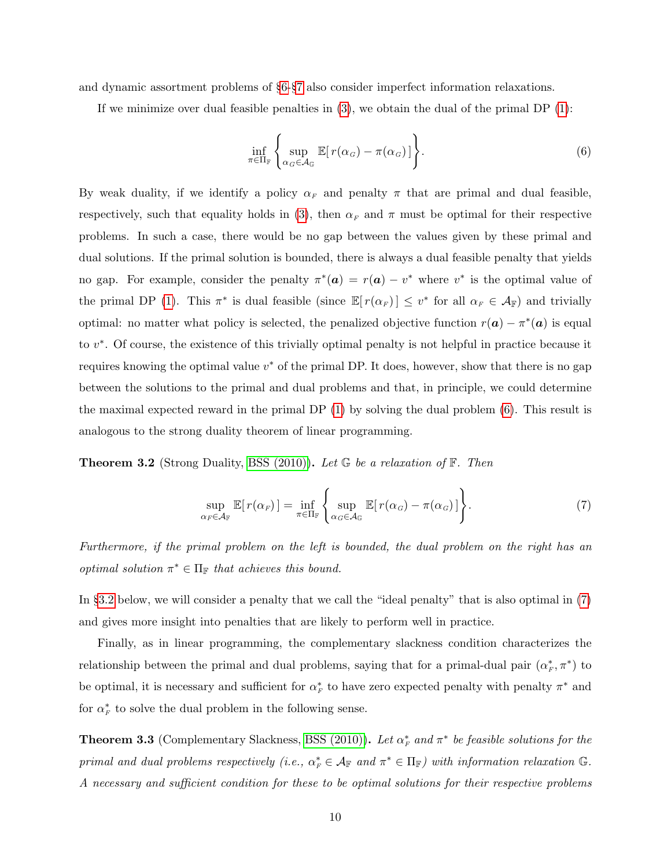and dynamic assortment problems of §[6-](#page-26-0)§[7](#page-34-0) also consider imperfect information relaxations.

If we minimize over dual feasible penalties in  $(3)$ , we obtain the dual of the primal DP  $(1)$ :

<span id="page-10-0"></span>
$$
\inf_{\pi \in \Pi_{\mathbb{F}}} \left\{ \sup_{\alpha_G \in \mathcal{A}_{\mathbb{G}}} \mathbb{E}[r(\alpha_G) - \pi(\alpha_G)] \right\}.
$$
 (6)

By weak duality, if we identify a policy  $\alpha_F$  and penalty  $\pi$  that are primal and dual feasible, respectively, such that equality holds in [\(3\)](#page-8-1), then  $\alpha_F$  and  $\pi$  must be optimal for their respective problems. In such a case, there would be no gap between the values given by these primal and dual solutions. If the primal solution is bounded, there is always a dual feasible penalty that yields no gap. For example, consider the penalty  $\pi^*(a) = r(a) - v^*$  where  $v^*$  is the optimal value of the primal DP [\(1\)](#page-6-0). This  $\pi^*$  is dual feasible (since  $\mathbb{E}[r(\alpha_F)] \leq v^*$  for all  $\alpha_F \in \mathcal{A}_{\mathbb{F}}$ ) and trivially optimal: no matter what policy is selected, the penalized objective function  $r(\boldsymbol{a}) - \pi^*(\boldsymbol{a})$  is equal to v<sup>\*</sup>. Of course, the existence of this trivially optimal penalty is not helpful in practice because it requires knowing the optimal value  $v^*$  of the primal DP. It does, however, show that there is no gap between the solutions to the primal and dual problems and that, in principle, we could determine the maximal expected reward in the primal DP [\(1\)](#page-6-0) by solving the dual problem [\(6\)](#page-10-0). This result is analogous to the strong duality theorem of linear programming.

**Theorem 3.2** (Strong Duality, [BSS \(2010\)\)](#page-64-0). Let  $\mathbb{G}$  be a relaxation of  $\mathbb{F}$ . Then

<span id="page-10-1"></span>
$$
\sup_{\alpha_F \in \mathcal{A}_F} \mathbb{E}[r(\alpha_F)] = \inf_{\pi \in \Pi_F} \left\{ \sup_{\alpha_G \in \mathcal{A}_G} \mathbb{E}[r(\alpha_G) - \pi(\alpha_G)] \right\}.
$$
 (7)

Furthermore, if the primal problem on the left is bounded, the dual problem on the right has an optimal solution  $\pi^* \in \Pi_{\mathbb{F}}$  that achieves this bound.

In §[3.2](#page-12-0) below, we will consider a penalty that we call the "ideal penalty" that is also optimal in [\(7\)](#page-10-1) and gives more insight into penalties that are likely to perform well in practice.

Finally, as in linear programming, the complementary slackness condition characterizes the relationship between the primal and dual problems, saying that for a primal-dual pair  $(\alpha_F^*, \pi^*)$  to be optimal, it is necessary and sufficient for  $\alpha_F^*$  to have zero expected penalty with penalty  $\pi^*$  and for  $\alpha_F^*$  to solve the dual problem in the following sense.

<span id="page-10-2"></span>**Theorem 3.3** (Complementary Slackness, [BSS \(2010\)\)](#page-64-0). Let  $\alpha_F^*$  and  $\pi^*$  be feasible solutions for the primal and dual problems respectively (i.e.,  $\alpha_F^* \in A_{\mathbb{F}}$  and  $\pi^* \in \Pi_{\mathbb{F}}$ ) with information relaxation G. A necessary and sufficient condition for these to be optimal solutions for their respective problems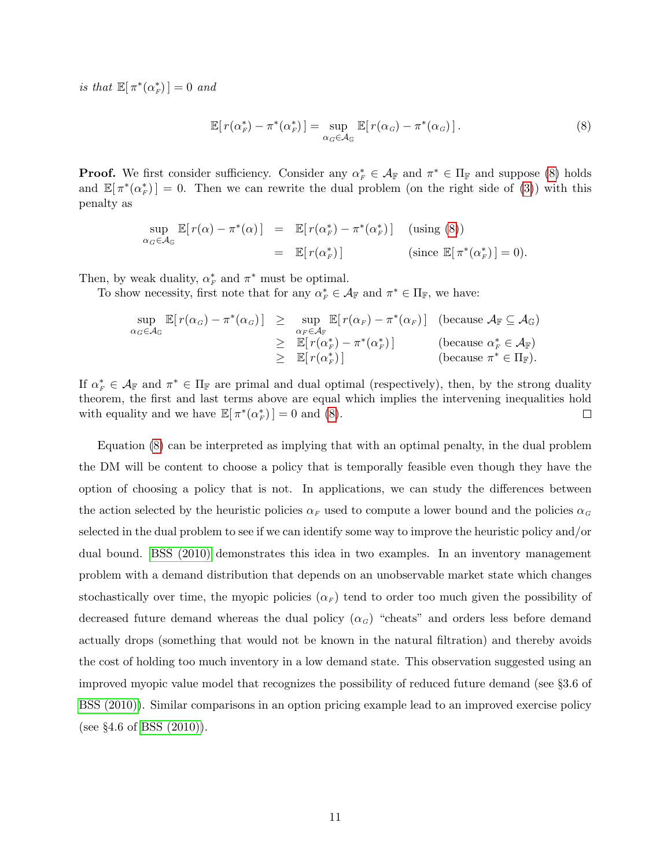is that  $\mathbb{E}[\pi^*(\alpha_F^*)]=0$  and

<span id="page-11-0"></span>
$$
\mathbb{E}[r(\alpha_F^*) - \pi^*(\alpha_F^*)] = \sup_{\alpha_G \in \mathcal{A}_G} \mathbb{E}[r(\alpha_G) - \pi^*(\alpha_G)].
$$
\n(8)

**Proof.** We first consider sufficiency. Consider any  $\alpha_F^* \in \mathcal{A}_{\mathbb{F}}$  and  $\pi^* \in \Pi_{\mathbb{F}}$  and suppose [\(8\)](#page-11-0) holds and  $\mathbb{E}[\pi^*(\alpha_F^*)]=0$ . Then we can rewrite the dual problem (on the right side of [\(3\)](#page-8-1)) with this penalty as

<span id="page-11-1"></span>
$$
\sup_{\alpha_G \in \mathcal{A}_{\mathbb{G}}} \mathbb{E}[r(\alpha) - \pi^*(\alpha)] = \mathbb{E}[r(\alpha_F^*) - \pi^*(\alpha_F^*)] \quad \text{(using (8))}
$$
\n
$$
= \mathbb{E}[r(\alpha_F^*)] \quad \text{(since } \mathbb{E}[\pi^*(\alpha_F^*)] = 0\text{)}.
$$

Then, by weak duality,  $\alpha_F^*$  and  $\pi^*$  must be optimal.

To show necessity, first note that for any  $\alpha_F^* \in \mathcal{A}_{\mathbb{F}}$  and  $\pi^* \in \Pi_{\mathbb{F}}$ , we have:

$$
\sup_{\alpha_G \in \mathcal{A}_G} \mathbb{E}[r(\alpha_G) - \pi^*(\alpha_G)] \ge \sup_{\alpha_F \in \mathcal{A}_F} \mathbb{E}[r(\alpha_F) - \pi^*(\alpha_F)] \quad \text{(because } \mathcal{A}_F \subseteq \mathcal{A}_G)
$$
\n
$$
\ge \mathbb{E}[r(\alpha_F^*) - \pi^*(\alpha_F^*)] \quad \text{(because } \alpha_F^* \in \mathcal{A}_F)
$$
\n
$$
\ge \mathbb{E}[r(\alpha_F^*)]
$$
\n(because  $\pi^* \in \Pi_F$ ).

If  $\alpha_F^* \in \mathcal{A}_{\mathbb{F}}$  and  $\pi^* \in \Pi_{\mathbb{F}}$  are primal and dual optimal (respectively), then, by the strong duality theorem, the first and last terms above are equal which implies the intervening inequalities hold with equality and we have  $\mathbb{E}[\pi^*(\alpha_F^*)]=0$  and [\(8\)](#page-11-0).  $\Box$ 

Equation [\(8\)](#page-11-0) can be interpreted as implying that with an optimal penalty, in the dual problem the DM will be content to choose a policy that is temporally feasible even though they have the option of choosing a policy that is not. In applications, we can study the differences between the action selected by the heuristic policies  $\alpha_F$  used to compute a lower bound and the policies  $\alpha_G$ selected in the dual problem to see if we can identify some way to improve the heuristic policy and/or dual bound. [BSS \(2010\)](#page-64-0) demonstrates this idea in two examples. In an inventory management problem with a demand distribution that depends on an unobservable market state which changes stochastically over time, the myopic policies  $(\alpha_F)$  tend to order too much given the possibility of decreased future demand whereas the dual policy  $(\alpha_G)$  "cheats" and orders less before demand actually drops (something that would not be known in the natural filtration) and thereby avoids the cost of holding too much inventory in a low demand state. This observation suggested using an improved myopic value model that recognizes the possibility of reduced future demand (see §3.6 of [BSS \(2010\)\)](#page-64-0). Similar comparisons in an option pricing example lead to an improved exercise policy (see  $\S 4.6$  of BSS  $(2010)$ ).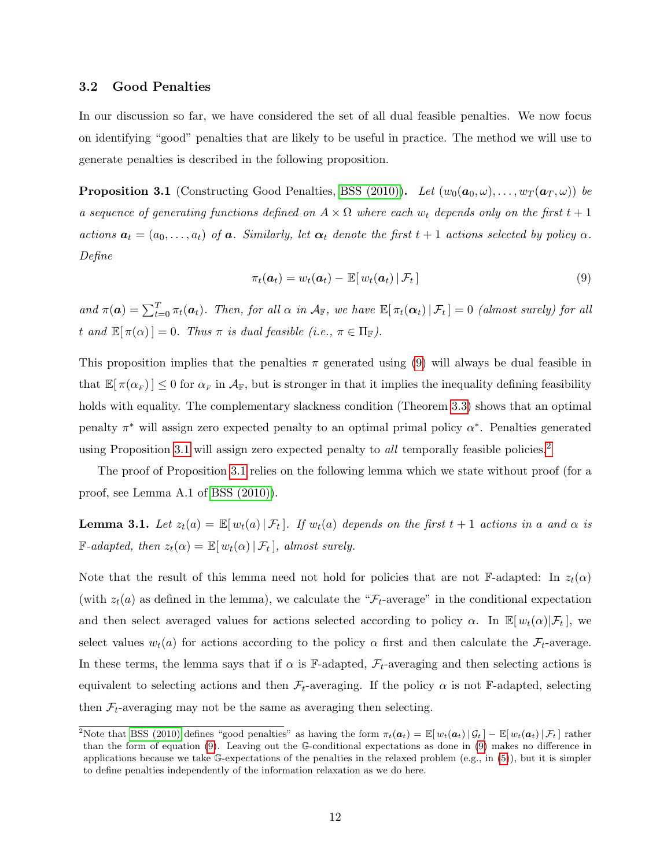### <span id="page-12-0"></span>3.2 Good Penalties

In our discussion so far, we have considered the set of all dual feasible penalties. We now focus on identifying "good" penalties that are likely to be useful in practice. The method we will use to generate penalties is described in the following proposition.

<span id="page-12-1"></span>**Proposition 3.1** (Constructing Good Penalties, [BSS \(2010\)\)](#page-64-0). Let  $(w_0(\mathbf{a}_0, \omega), \ldots, w_T(\mathbf{a}_T, \omega))$  be a sequence of generating functions defined on  $A \times \Omega$  where each  $w_t$  depends only on the first  $t + 1$ actions  $a_t = (a_0, \ldots, a_t)$  of a. Similarly, let  $\alpha_t$  denote the first  $t + 1$  actions selected by policy  $\alpha$ . Define

$$
\pi_t(\boldsymbol{a}_t) = w_t(\boldsymbol{a}_t) - \mathbb{E}[w_t(\boldsymbol{a}_t) | \mathcal{F}_t] \tag{9}
$$

and  $\pi(\boldsymbol{a}) = \sum_{t=0}^{T} \pi_t(\boldsymbol{a}_t)$ . Then, for all  $\alpha$  in  $\mathcal{A}_{\mathbb{F}}$ , we have  $\mathbb{E}[\pi_t(\boldsymbol{\alpha}_t) | \mathcal{F}_t] = 0$  (almost surely) for all t and  $\mathbb{E}[\pi(\alpha)] = 0$ . Thus  $\pi$  is dual feasible (i.e.,  $\pi \in \Pi_{\mathbb{F}}$ ).

This proposition implies that the penalties  $\pi$  generated using [\(9\)](#page-11-1) will always be dual feasible in that  $\mathbb{E}[\pi(\alpha_F)] \leq 0$  for  $\alpha_F$  in  $\mathcal{A}_\mathbb{F}$ , but is stronger in that it implies the inequality defining feasibility holds with equality. The complementary slackness condition (Theorem [3.3\)](#page-10-2) shows that an optimal penalty  $\pi^*$  will assign zero expected penalty to an optimal primal policy  $\alpha^*$ . Penalties generated using Proposition [3.1](#page-12-1) will assign zero expected penalty to *all* temporally feasible policies.<sup>[2](#page-0-0)</sup>

The proof of Proposition [3.1](#page-12-1) relies on the following lemma which we state without proof (for a proof, see Lemma A.1 of [BSS \(2010\)\)](#page-64-0).

<span id="page-12-2"></span>**Lemma 3.1.** Let  $z_t(a) = \mathbb{E}[w_t(a) | \mathcal{F}_t]$ . If  $w_t(a)$  depends on the first  $t + 1$  actions in a and  $\alpha$  is  $\mathbb{F}\text{-}adapted, \text{ then } z_t(\alpha) = \mathbb{E}[w_t(\alpha) | \mathcal{F}_t], \text{ almost surely.}$ 

Note that the result of this lemma need not hold for policies that are not F-adapted: In  $z_t(\alpha)$ (with  $z_t(a)$  as defined in the lemma), we calculate the " $\mathcal{F}_t$ -average" in the conditional expectation and then select averaged values for actions selected according to policy  $\alpha$ . In  $\mathbb{E}[w_t(\alpha)|\mathcal{F}_t]$ , we select values  $w_t(a)$  for actions according to the policy  $\alpha$  first and then calculate the  $\mathcal{F}_t$ -average. In these terms, the lemma says that if  $\alpha$  is F-adapted,  $\mathcal{F}_t$ -averaging and then selecting actions is equivalent to selecting actions and then  $\mathcal{F}_t$ -averaging. If the policy  $\alpha$  is not F-adapted, selecting then  $\mathcal{F}_t$ -averaging may not be the same as averaging then selecting.

<sup>&</sup>lt;sup>2</sup>Note that [BSS \(2010\)](#page-64-0) defines "good penalties" as having the form  $\pi_t(\boldsymbol{a}_t) = \mathbb{E}[w_t(\boldsymbol{a}_t) | \mathcal{G}_t] - \mathbb{E}[w_t(\boldsymbol{a}_t) | \mathcal{F}_t]$  rather than the form of equation [\(9\)](#page-11-1). Leaving out the G-conditional expectations as done in [\(9\)](#page-11-1) makes no difference in applications because we take G-expectations of the penalties in the relaxed problem (e.g., in [\(5\)](#page-9-0)), but it is simpler to define penalties independently of the information relaxation as we do here.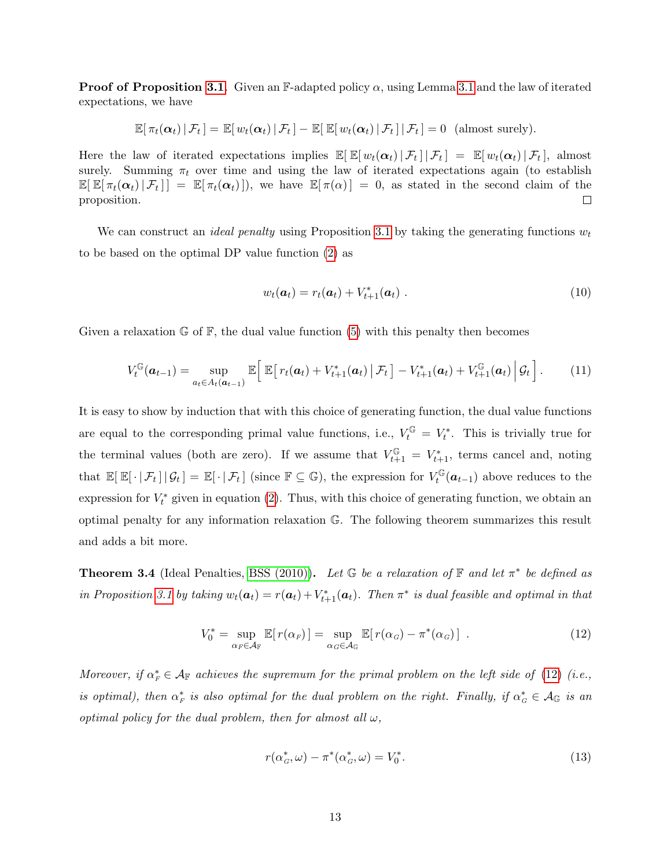**Proof of Proposition [3.1](#page-12-2).** Given an F-adapted policy  $\alpha$ , using Lemma 3.1 and the law of iterated expectations, we have

<span id="page-13-4"></span>
$$
\mathbb{E}[\pi_t(\boldsymbol{\alpha}_t) | \mathcal{F}_t] = \mathbb{E}[w_t(\boldsymbol{\alpha}_t) | \mathcal{F}_t] - \mathbb{E}[\mathbb{E}[w_t(\boldsymbol{\alpha}_t) | \mathcal{F}_t] | \mathcal{F}_t] = 0 \text{ (almost surely)}.
$$

Here the law of iterated expectations implies  $\mathbb{E}[\mathbb{E}[w_t(\boldsymbol{\alpha}_t)|\mathcal{F}_t] | \mathcal{F}_t] = \mathbb{E}[w_t(\boldsymbol{\alpha}_t)|\mathcal{F}_t],$  almost surely. Summing  $\pi_t$  over time and using the law of iterated expectations again (to establish  $\mathbb{E}[\mathbb{E}[\pi_t(\alpha_t)|\mathcal{F}_t]] = \mathbb{E}[\pi_t(\alpha_t)]$ , we have  $\mathbb{E}[\pi(\alpha)] = 0$ , as stated in the second claim of the proposition.  $\Box$ 

We can construct an *ideal penalty* using Proposition [3.1](#page-12-1) by taking the generating functions  $w_t$ to be based on the optimal DP value function [\(2\)](#page-6-1) as

$$
w_t(\boldsymbol{a}_t) = r_t(\boldsymbol{a}_t) + V_{t+1}^*(\boldsymbol{a}_t) \tag{10}
$$

Given a relaxation  $\mathbb{G}$  of  $\mathbb{F}$ , the dual value function [\(5\)](#page-9-0) with this penalty then becomes

<span id="page-13-2"></span>
$$
V_t^{\mathbb{G}}(\boldsymbol{a}_{t-1}) = \sup_{a_t \in A_t(\boldsymbol{a}_{t-1})} \mathbb{E}\bigg[\mathbb{E}\big[r_t(\boldsymbol{a}_t) + V_{t+1}^*(\boldsymbol{a}_t)\,\big|\,\mathcal{F}_t\big] - V_{t+1}^*(\boldsymbol{a}_t) + V_{t+1}^{\mathbb{G}}(\boldsymbol{a}_t)\,\bigg|\,\mathcal{G}_t\bigg].\qquad(11)
$$

It is easy to show by induction that with this choice of generating function, the dual value functions are equal to the corresponding primal value functions, i.e.,  $V_t^{\mathbb{G}} = V_t^*$ . This is trivially true for the terminal values (both are zero). If we assume that  $V_{t+1}^{\mathbb{G}} = V_{t+1}^*$ , terms cancel and, noting that  $\mathbb{E}[\mathbb{E}[\cdot | \mathcal{F}_t] | \mathcal{G}_t] = \mathbb{E}[\cdot | \mathcal{F}_t]$  (since  $\mathbb{F} \subseteq \mathbb{G}$ ), the expression for  $V_t^{\mathbb{G}}$  $t_t^{\mathbb{G}}(\boldsymbol{a}_{t-1})$  above reduces to the expression for  $V_t^*$  given in equation [\(2\)](#page-6-1). Thus, with this choice of generating function, we obtain an optimal penalty for any information relaxation G. The following theorem summarizes this result and adds a bit more.

<span id="page-13-3"></span>**Theorem 3.4** (Ideal Penalties, [BSS \(2010\)\)](#page-64-0). Let  $\mathbb{G}$  be a relaxation of  $\mathbb{F}$  and let  $\pi^*$  be defined as in Proposition [3.1](#page-12-1) by taking  $w_t(a_t) = r(a_t) + V_{t+1}^*(a_t)$ . Then  $\pi^*$  is dual feasible and optimal in that

<span id="page-13-0"></span>
$$
V_0^* = \sup_{\alpha_F \in \mathcal{A}_F} \mathbb{E}[r(\alpha_F)] = \sup_{\alpha_G \in \mathcal{A}_G} \mathbb{E}[r(\alpha_G) - \pi^*(\alpha_G)] \tag{12}
$$

Moreover, if  $\alpha_F^* \in \mathcal{A}_F$  achieves the supremum for the primal problem on the left side of [\(12\)](#page-13-0) (i.e., is optimal), then  $\alpha_F^*$  is also optimal for the dual problem on the right. Finally, if  $\alpha_G^* \in \mathcal{A}_{\mathbb{G}}$  is an optimal policy for the dual problem, then for almost all  $\omega$ ,

<span id="page-13-1"></span>
$$
r(\alpha_G^*, \omega) - \pi^*(\alpha_G^*, \omega) = V_0^*.
$$
\n(13)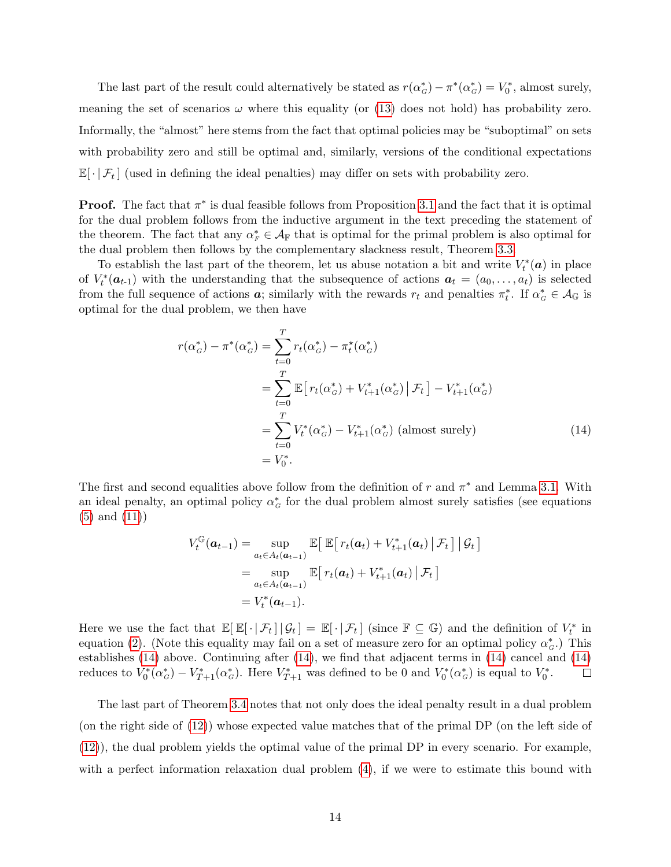The last part of the result could alternatively be stated as  $r(\alpha_G^*) - \pi^*(\alpha_G^*) = V_0^*$ , almost surely, meaning the set of scenarios  $\omega$  where this equality (or [\(13\)](#page-13-1) does not hold) has probability zero. Informally, the "almost" here stems from the fact that optimal policies may be "suboptimal" on sets with probability zero and still be optimal and, similarly, versions of the conditional expectations  $\mathbb{E}[\cdot | \mathcal{F}_t]$  (used in defining the ideal penalties) may differ on sets with probability zero.

**Proof.** The fact that  $\pi^*$  is dual feasible follows from Proposition [3.1](#page-12-1) and the fact that it is optimal for the dual problem follows from the inductive argument in the text preceding the statement of the theorem. The fact that any  $\alpha_F^* \in \mathcal{A}_{\mathbb{F}}$  that is optimal for the primal problem is also optimal for the dual problem then follows by the complementary slackness result, Theorem [3.3.](#page-10-2)

To establish the last part of the theorem, let us abuse notation a bit and write  $V_t^*(a)$  in place of  $V_t^*(a_{t-1})$  with the understanding that the subsequence of actions  $a_t = (a_0, \ldots, a_t)$  is selected from the full sequence of actions  $a$ ; similarly with the rewards  $r_t$  and penalties  $\pi_t^*$ . If  $\alpha_G^* \in \mathcal{A}_{\mathbb{G}}$  is optimal for the dual problem, we then have

$$
r(\alpha_{G}^{*}) - \pi^{*}(\alpha_{G}^{*}) = \sum_{t=0}^{T} r_{t}(\alpha_{G}^{*}) - \pi_{t}^{*}(\alpha_{G}^{*})
$$
  
= 
$$
\sum_{t=0}^{T} \mathbb{E} [r_{t}(\alpha_{G}^{*}) + V_{t+1}^{*}(\alpha_{G}^{*}) | \mathcal{F}_{t}] - V_{t+1}^{*}(\alpha_{G}^{*})
$$
  
= 
$$
\sum_{t=0}^{T} V_{t}^{*}(\alpha_{G}^{*}) - V_{t+1}^{*}(\alpha_{G}^{*})
$$
 (almost surely)  
= 
$$
V_{0}^{*}.
$$
 (14)

The first and second equalities above follow from the definition of r and  $\pi^*$  and Lemma [3.1.](#page-12-2) With an ideal penalty, an optimal policy  $\alpha_G^*$  for the dual problem almost surely satisfies (see equations [\(5\)](#page-9-0) and [\(11\)](#page-13-2))

<span id="page-14-0"></span>
$$
V_t^{\mathbb{G}}(\boldsymbol{a}_{t-1}) = \sup_{a_t \in A_t(\boldsymbol{a}_{t-1})} \mathbb{E}\big[\mathbb{E}\big[r_t(\boldsymbol{a}_t) + V_{t+1}^*(\boldsymbol{a}_t) \,|\, \mathcal{F}_t\big] \,|\, \mathcal{G}_t\big]
$$
  
= 
$$
\sup_{a_t \in A_t(\boldsymbol{a}_{t-1})} \mathbb{E}\big[r_t(\boldsymbol{a}_t) + V_{t+1}^*(\boldsymbol{a}_t) \,|\, \mathcal{F}_t\big]
$$
  
= 
$$
V_t^*(\boldsymbol{a}_{t-1}).
$$

Here we use the fact that  $\mathbb{E}[\mathbb{E}[\cdot | \mathcal{F}_t] | \mathcal{G}_t] = \mathbb{E}[\cdot | \mathcal{F}_t]$  (since  $\mathbb{F} \subseteq \mathbb{G}$ ) and the definition of  $V_t^*$  in equation [\(2\)](#page-6-1). (Note this equality may fail on a set of measure zero for an optimal policy  $\alpha_G^*$ .) This establishes [\(14\)](#page-14-0) above. Continuing after [\(14\)](#page-14-0), we find that adjacent terms in [\(14\)](#page-14-0) cancel and [\(14\)](#page-14-0) reduces to  $V_0^*(\alpha_{\sigma}^*) - V_{T+1}^*(\alpha_{\sigma}^*)$ . Here  $V_{T+1}^*$  was defined to be 0 and  $V_0^*(\alpha_{\sigma}^*)$  is equal to  $V_0^*$ .  $\Box$ 

The last part of Theorem [3.4](#page-13-3) notes that not only does the ideal penalty result in a dual problem (on the right side of [\(12\)](#page-13-0)) whose expected value matches that of the primal DP (on the left side of [\(12\)](#page-13-0)), the dual problem yields the optimal value of the primal DP in every scenario. For example, with a perfect information relaxation dual problem  $(4)$ , if we were to estimate this bound with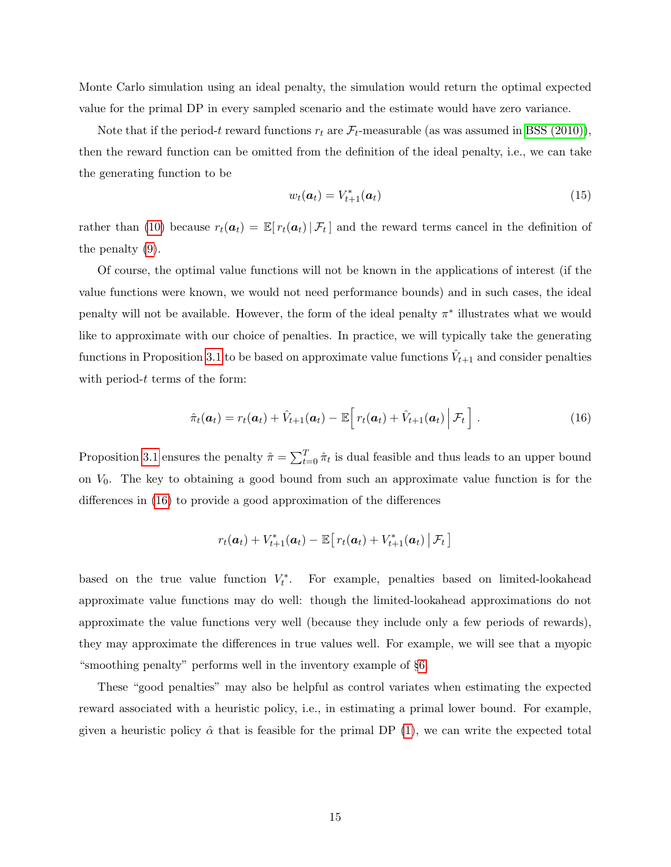Monte Carlo simulation using an ideal penalty, the simulation would return the optimal expected value for the primal DP in every sampled scenario and the estimate would have zero variance.

Note that if the period-t reward functions  $r_t$  are  $\mathcal{F}_t$ -measurable (as was assumed in [BSS \(2010\)\)](#page-64-0), then the reward function can be omitted from the definition of the ideal penalty, i.e., we can take the generating function to be

<span id="page-15-2"></span>
$$
w_t(\boldsymbol{a}_t) = V_{t+1}^*(\boldsymbol{a}_t) \tag{15}
$$

rather than [\(10\)](#page-13-4) because  $r_t(a_t) = \mathbb{E}[r_t(a_t) | \mathcal{F}_t]$  and the reward terms cancel in the definition of the penalty [\(9\)](#page-11-1).

Of course, the optimal value functions will not be known in the applications of interest (if the value functions were known, we would not need performance bounds) and in such cases, the ideal penalty will not be available. However, the form of the ideal penalty  $\pi^*$  illustrates what we would like to approximate with our choice of penalties. In practice, we will typically take the generating functions in Proposition [3.1](#page-12-1) to be based on approximate value functions  $\hat{V}_{t+1}$  and consider penalties with period- $t$  terms of the form:

<span id="page-15-0"></span>
$$
\hat{\pi}_t(\boldsymbol{a}_t) = r_t(\boldsymbol{a}_t) + \hat{V}_{t+1}(\boldsymbol{a}_t) - \mathbb{E}\Big[r_t(\boldsymbol{a}_t) + \hat{V}_{t+1}(\boldsymbol{a}_t)\Big|\mathcal{F}_t\Big]. \qquad (16)
$$

Proposition [3.1](#page-12-1) ensures the penalty  $\hat{\pi} = \sum_{t=0}^{T} \hat{\pi}_t$  is dual feasible and thus leads to an upper bound on  $V_0$ . The key to obtaining a good bound from such an approximate value function is for the differences in [\(16\)](#page-15-0) to provide a good approximation of the differences

<span id="page-15-1"></span>
$$
r_t(\boldsymbol{a}_t) + V_{t+1}^*(\boldsymbol{a}_t) - \mathbb{E}\big[r_t(\boldsymbol{a}_t) + V_{t+1}^*(\boldsymbol{a}_t) \big| \mathcal{F}_t\big]
$$

based on the true value function  $V_t^*$ . For example, penalties based on limited-lookahead approximate value functions may do well: though the limited-lookahead approximations do not approximate the value functions very well (because they include only a few periods of rewards), they may approximate the differences in true values well. For example, we will see that a myopic "smoothing penalty" performs well in the inventory example of §[6.](#page-26-0)

These "good penalties" may also be helpful as control variates when estimating the expected reward associated with a heuristic policy, i.e., in estimating a primal lower bound. For example, given a heuristic policy  $\hat{\alpha}$  that is feasible for the primal DP [\(1\)](#page-6-0), we can write the expected total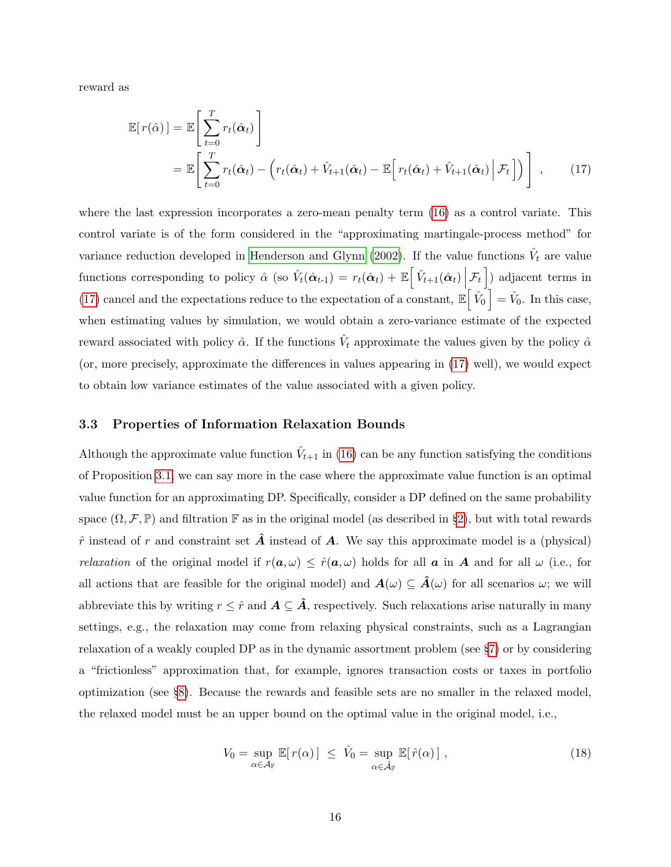reward as

$$
\mathbb{E}[r(\hat{\alpha})] = \mathbb{E}\left[\sum_{t=0}^{T} r_t(\hat{\alpha}_t)\right]
$$
  
= 
$$
\mathbb{E}\left[\sum_{t=0}^{T} r_t(\hat{\alpha}_t) - \left(r_t(\hat{\alpha}_t) + \hat{V}_{t+1}(\hat{\alpha}_t) - \mathbb{E}\left[r_t(\hat{\alpha}_t) + \hat{V}_{t+1}(\hat{\alpha}_t)\Big|\mathcal{F}_t\right]\right)\right],
$$
 (17)

where the last expression incorporates a zero-mean penalty term  $(16)$  as a control variate. This control variate is of the form considered in the "approximating martingale-process method" for variance reduction developed in [Henderson and Glynn](#page-65-3) [\(2002\)](#page-65-3). If the value functions  $\hat{V}_t$  are value functions corresponding to policy  $\hat{\alpha}$  (so  $\hat{V}_t(\hat{\alpha}_{t-1}) = r_t(\hat{\alpha}_t) + \mathbb{E}\left[\hat{V}_{t+1}(\hat{\alpha}_t) \Big| \mathcal{F}_t\right]$ ) adjacent terms in [\(17\)](#page-15-1) cancel and the expectations reduce to the expectation of a constant,  $\mathbb{E} \left[ \hat{V}_0 \right] = \hat{V}_0$ . In this case, when estimating values by simulation, we would obtain a zero-variance estimate of the expected reward associated with policy  $\hat{\alpha}$ . If the functions  $\hat{V}_t$  approximate the values given by the policy  $\hat{\alpha}$ (or, more precisely, approximate the differences in values appearing in [\(17\)](#page-15-1) well), we would expect to obtain low variance estimates of the value associated with a given policy.

#### 3.3 Properties of Information Relaxation Bounds

Although the approximate value function  $\hat{V}_{t+1}$  in [\(16\)](#page-15-0) can be any function satisfying the conditions of Proposition [3.1,](#page-12-1) we can say more in the case where the approximate value function is an optimal value function for an approximating DP. Specifically, consider a DP defined on the same probability space  $(\Omega, \mathcal{F}, \mathbb{P})$  and filtration F as in the original model (as described in §[2\)](#page-5-0), but with total rewards  $\hat{r}$  instead of r and constraint set  $\hat{A}$  instead of  $A$ . We say this approximate model is a (physical) relaxation of the original model if  $r(a, \omega) \leq \hat{r}(a, \omega)$  holds for all a in A and for all  $\omega$  (i.e., for all actions that are feasible for the original model) and  $A(\omega) \subseteq \hat{A}(\omega)$  for all scenarios  $\omega$ ; we will abbreviate this by writing  $r \leq \hat{r}$  and  $\mathbf{A} \subseteq \hat{\mathbf{A}}$ , respectively. Such relaxations arise naturally in many settings, e.g., the relaxation may come from relaxing physical constraints, such as a Lagrangian relaxation of a weakly coupled DP as in the dynamic assortment problem (see §[7\)](#page-34-0) or by considering a "frictionless" approximation that, for example, ignores transaction costs or taxes in portfolio optimization (see §[8\)](#page-48-0). Because the rewards and feasible sets are no smaller in the relaxed model, the relaxed model must be an upper bound on the optimal value in the original model, i.e.,

<span id="page-16-0"></span>
$$
V_0 = \sup_{\alpha \in \mathcal{A}_{\mathbb{F}}} \mathbb{E}[r(\alpha)] \leq \hat{V}_0 = \sup_{\alpha \in \hat{\mathcal{A}}_{\mathbb{F}}} \mathbb{E}[\hat{r}(\alpha)] \;, \tag{18}
$$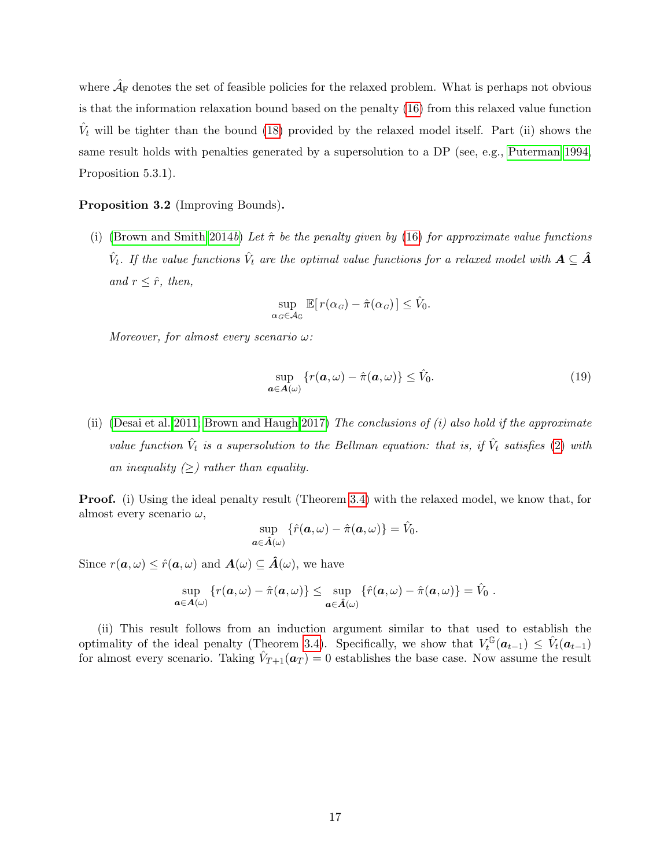where  $\hat{\mathcal{A}}_{\mathbb{F}}$  denotes the set of feasible policies for the relaxed problem. What is perhaps not obvious is that the information relaxation bound based on the penalty [\(16\)](#page-15-0) from this relaxed value function  $\hat{V}_t$  will be tighter than the bound [\(18\)](#page-16-0) provided by the relaxed model itself. Part (ii) shows the same result holds with penalties generated by a supersolution to a DP (see, e.g., [Puterman 1994,](#page-66-7) Proposition 5.3.1).

#### <span id="page-17-1"></span>Proposition 3.2 (Improving Bounds).

(i) [\(Brown and Smith 2014](#page-64-1)b) Let  $\hat{\pi}$  be the penalty given by [\(16\)](#page-15-0) for approximate value functions  $\hat{V}_t$ . If the value functions  $\hat{V}_t$  are the optimal value functions for a relaxed model with  $\bm{A}\subseteq \hat{\bm{A}}$ and  $r \leq \hat{r}$ , then,

<span id="page-17-0"></span>
$$
\sup_{\alpha_G \in \mathcal{A}_G} \mathbb{E}[r(\alpha_G) - \hat{\pi}(\alpha_G)] \leq \hat{V}_0.
$$

Moreover, for almost every scenario  $\omega$ :

$$
\sup_{\mathbf{a}\in\mathbf{A}(\omega)}\left\{r(\mathbf{a},\omega)-\hat{\pi}(\mathbf{a},\omega)\right\}\leq\hat{V}_0.\tag{19}
$$

(ii) [\(Desai et al. 2011;](#page-64-6) [Brown and Haugh 2017\)](#page-64-7) The conclusions of  $(i)$  also hold if the approximate value function  $\hat{V}_t$  is a supersolution to the Bellman equation: that is, if  $\hat{V}_t$  satisfies [\(2\)](#page-6-1) with an inequality  $(\geq)$  rather than equality.

Proof. (i) Using the ideal penalty result (Theorem [3.4\)](#page-13-3) with the relaxed model, we know that, for almost every scenario  $\omega$ ,

$$
\sup_{\boldsymbol{a}\in \hat{\boldsymbol{A}}(\omega)}\left\{\hat{r}(\boldsymbol{a},\omega)-\hat{\pi}(\boldsymbol{a},\omega)\right\}=\hat{V}_{0}.
$$

Since  $r(\boldsymbol{a}, \omega) \leq \hat{r}(\boldsymbol{a}, \omega)$  and  $\boldsymbol{A}(\omega) \subseteq \hat{\boldsymbol{A}}(\omega)$ , we have

$$
\sup_{\boldsymbol{a}\in\mathcal{A}(\omega)}\left\{r(\boldsymbol{a},\omega)-\hat{\pi}(\boldsymbol{a},\omega)\right\}\leq \sup_{\boldsymbol{a}\in\hat{\mathcal{A}}(\omega)}\left\{\hat{r}(\boldsymbol{a},\omega)-\hat{\pi}(\boldsymbol{a},\omega)\right\}=\hat{V}_0.
$$

(ii) This result follows from an induction argument similar to that used to establish the optimality of the ideal penalty (Theorem [3.4\)](#page-13-3). Specifically, we show that  $V_t^{\mathbb{G}}$  $\hat{V}^{\mathbb{G}}_t(\bm{a}_{t-1}) \, \leq \, \hat{V}_t(\bm{a}_{t-1})$ for almost every scenario. Taking  $\hat{V}_{T+1}(\boldsymbol{a}_T) = 0$  establishes the base case. Now assume the result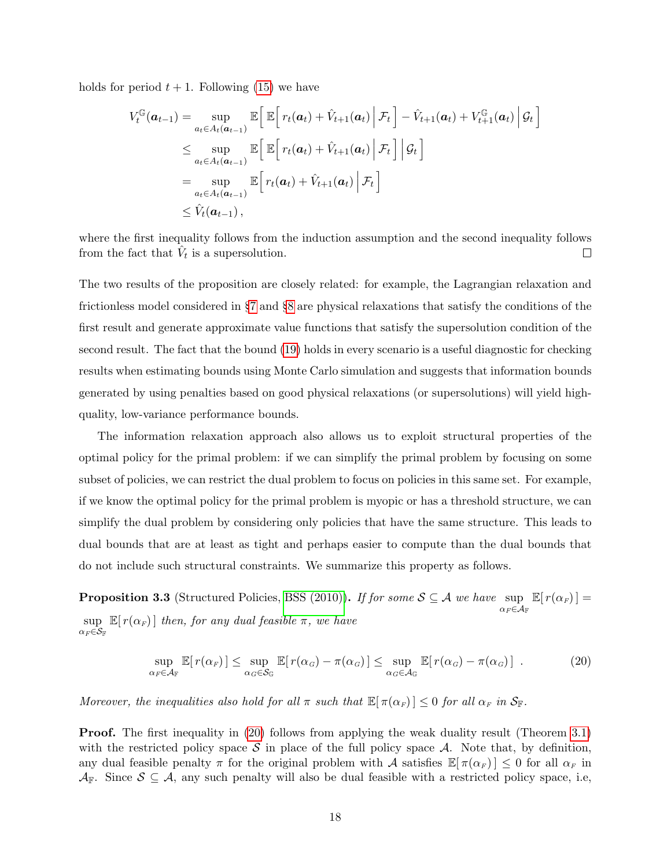holds for period  $t + 1$ . Following [\(15\)](#page-15-2) we have

$$
V_t^{\mathbb{G}}(\boldsymbol{a}_{t-1}) = \sup_{a_t \in A_t(\boldsymbol{a}_{t-1})} \mathbb{E}\Big[\mathbb{E}\Big[r_t(\boldsymbol{a}_t) + \hat{V}_{t+1}(\boldsymbol{a}_t) \Big| \mathcal{F}_t\Big] - \hat{V}_{t+1}(\boldsymbol{a}_t) + V_{t+1}^{\mathbb{G}}(\boldsymbol{a}_t) \Big| \mathcal{G}_t\Big]
$$
  
\n
$$
\leq \sup_{a_t \in A_t(\boldsymbol{a}_{t-1})} \mathbb{E}\Big[\mathbb{E}\Big[r_t(\boldsymbol{a}_t) + \hat{V}_{t+1}(\boldsymbol{a}_t) \Big| \mathcal{F}_t\Big] \Big| \mathcal{G}_t\Big]
$$
  
\n
$$
= \sup_{a_t \in A_t(\boldsymbol{a}_{t-1})} \mathbb{E}\Big[r_t(\boldsymbol{a}_t) + \hat{V}_{t+1}(\boldsymbol{a}_t) \Big| \mathcal{F}_t\Big]
$$
  
\n
$$
\leq \hat{V}_t(\boldsymbol{a}_{t-1}),
$$

where the first inequality follows from the induction assumption and the second inequality follows from the fact that  $V_t$  is a supersolution.  $\Box$ 

The two results of the proposition are closely related: for example, the Lagrangian relaxation and frictionless model considered in §[7](#page-34-0) and §[8](#page-48-0) are physical relaxations that satisfy the conditions of the first result and generate approximate value functions that satisfy the supersolution condition of the second result. The fact that the bound [\(19\)](#page-17-0) holds in every scenario is a useful diagnostic for checking results when estimating bounds using Monte Carlo simulation and suggests that information bounds generated by using penalties based on good physical relaxations (or supersolutions) will yield highquality, low-variance performance bounds.

The information relaxation approach also allows us to exploit structural properties of the optimal policy for the primal problem: if we can simplify the primal problem by focusing on some subset of policies, we can restrict the dual problem to focus on policies in this same set. For example, if we know the optimal policy for the primal problem is myopic or has a threshold structure, we can simplify the dual problem by considering only policies that have the same structure. This leads to dual bounds that are at least as tight and perhaps easier to compute than the dual bounds that do not include such structural constraints. We summarize this property as follows.

<span id="page-18-1"></span>**Proposition 3.3** (Structured Policies, [BSS \(2010\)\)](#page-64-0). If for some  $S \subseteq A$  we have sup  $\alpha_F{\in}\mathcal{A}_\mathbb{F}$  $\mathbb{E}[r(\alpha_F)] =$ sup  $\mathbb{E}[r(\alpha_F)]$  then, for any dual feasible  $\pi$ , we have  $\alpha_F \in \mathcal{S}_{\mathbb{F}}$ 

<span id="page-18-0"></span>
$$
\sup_{\alpha_F \in \mathcal{A}_F} \mathbb{E}[r(\alpha_F)] \leq \sup_{\alpha_G \in \mathcal{S}_G} \mathbb{E}[r(\alpha_G) - \pi(\alpha_G)] \leq \sup_{\alpha_G \in \mathcal{A}_G} \mathbb{E}[r(\alpha_G) - \pi(\alpha_G)] . \tag{20}
$$

Moreover, the inequalities also hold for all  $\pi$  such that  $\mathbb{E}[\pi(\alpha_F)] \leq 0$  for all  $\alpha_F$  in  $\mathcal{S}_F$ .

Proof. The first inequality in [\(20\)](#page-18-0) follows from applying the weak duality result (Theorem [3.1\)](#page-8-2) with the restricted policy space  $S$  in place of the full policy space  $A$ . Note that, by definition, any dual feasible penalty  $\pi$  for the original problem with A satisfies  $\mathbb{E}[\pi(\alpha_F)] \leq 0$  for all  $\alpha_F$  in  $\mathcal{A}_{\mathbb{F}}$ . Since  $\mathcal{S} \subseteq \mathcal{A}$ , any such penalty will also be dual feasible with a restricted policy space, i.e,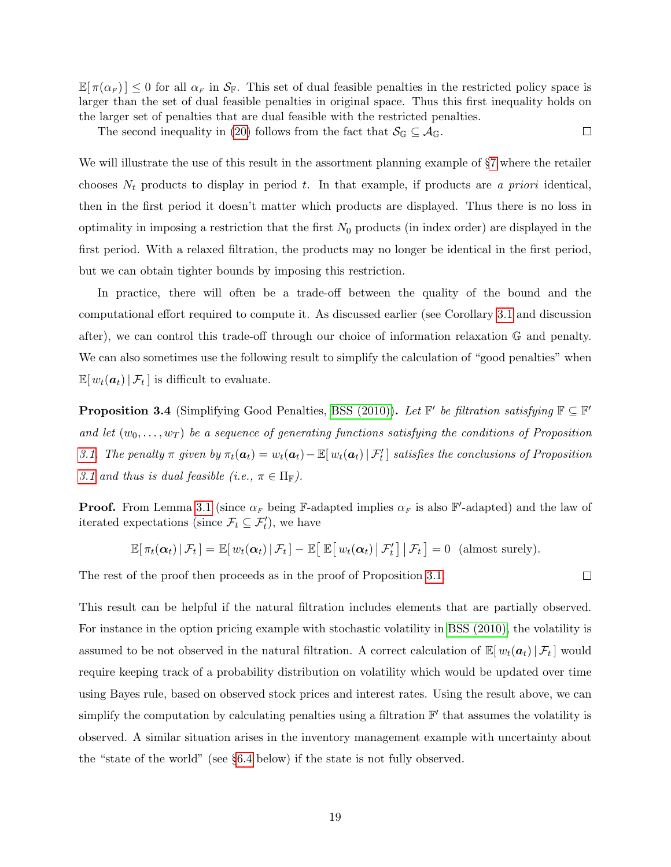$\mathbb{E}[\pi(\alpha_F)] \leq 0$  for all  $\alpha_F$  in  $\mathcal{S}_F$ . This set of dual feasible penalties in the restricted policy space is larger than the set of dual feasible penalties in original space. Thus this first inequality holds on the larger set of penalties that are dual feasible with the restricted penalties.

The second inequality in [\(20\)](#page-18-0) follows from the fact that  $\mathcal{S}_{\mathbb{G}} \subseteq \mathcal{A}_{\mathbb{G}}$ .  $\Box$ 

We will illustrate the use of this result in the assortment planning example of §[7](#page-34-0) where the retailer chooses  $N_t$  products to display in period t. In that example, if products are a priori identical, then in the first period it doesn't matter which products are displayed. Thus there is no loss in optimality in imposing a restriction that the first  $N_0$  products (in index order) are displayed in the first period. With a relaxed filtration, the products may no longer be identical in the first period, but we can obtain tighter bounds by imposing this restriction.

In practice, there will often be a trade-off between the quality of the bound and the computational effort required to compute it. As discussed earlier (see Corollary [3.1](#page-8-3) and discussion after), we can control this trade-off through our choice of information relaxation G and penalty. We can also sometimes use the following result to simplify the calculation of "good penalties" when  $\mathbb{E}[w_t(\boldsymbol{a}_t) | \mathcal{F}_t]$  is difficult to evaluate.

<span id="page-19-0"></span>**Proposition 3.4** (Simplifying Good Penalties, [BSS \(2010\)\)](#page-64-0). Let  $\mathbb{F}'$  be filtration satisfying  $\mathbb{F} \subseteq \mathbb{F}'$ and let  $(w_0, \ldots, w_T)$  be a sequence of generating functions satisfying the conditions of Proposition [3.1.](#page-12-1) The penalty  $\pi$  given by  $\pi_t(a_t) = w_t(a_t) - \mathbb{E}[w_t(a_t) | \mathcal{F}'_t]$  satisfies the conclusions of Proposition [3.1](#page-12-1) and thus is dual feasible (i.e.,  $\pi \in \Pi_{\mathbb{F}}$ ).

**Proof.** From Lemma [3.1](#page-12-2) (since  $\alpha_F$  being F-adapted implies  $\alpha_F$  is also F'-adapted) and the law of iterated expectations (since  $\mathcal{F}_t \subseteq \mathcal{F}'_t$ ), we have

$$
\mathbb{E}[\pi_t(\boldsymbol{\alpha}_t) | \mathcal{F}_t] = \mathbb{E}[w_t(\boldsymbol{\alpha}_t) | \mathcal{F}_t] - \mathbb{E}[\mathbb{E}[w_t(\boldsymbol{\alpha}_t) | \mathcal{F}'_t] | \mathcal{F}_t] = 0 \text{ (almost surely)}.
$$

 $\Box$ 

The rest of the proof then proceeds as in the proof of Proposition [3.1.](#page-12-1)

This result can be helpful if the natural filtration includes elements that are partially observed. For instance in the option pricing example with stochastic volatility in [BSS \(2010\),](#page-64-0) the volatility is assumed to be not observed in the natural filtration. A correct calculation of  $\mathbb{E}[w_t(\boldsymbol{a}_t) | \mathcal{F}_t]$  would require keeping track of a probability distribution on volatility which would be updated over time using Bayes rule, based on observed stock prices and interest rates. Using the result above, we can simplify the computation by calculating penalties using a filtration  $\mathbb{F}'$  that assumes the volatility is observed. A similar situation arises in the inventory management example with uncertainty about the "state of the world" (see §[6.4](#page-31-0) below) if the state is not fully observed.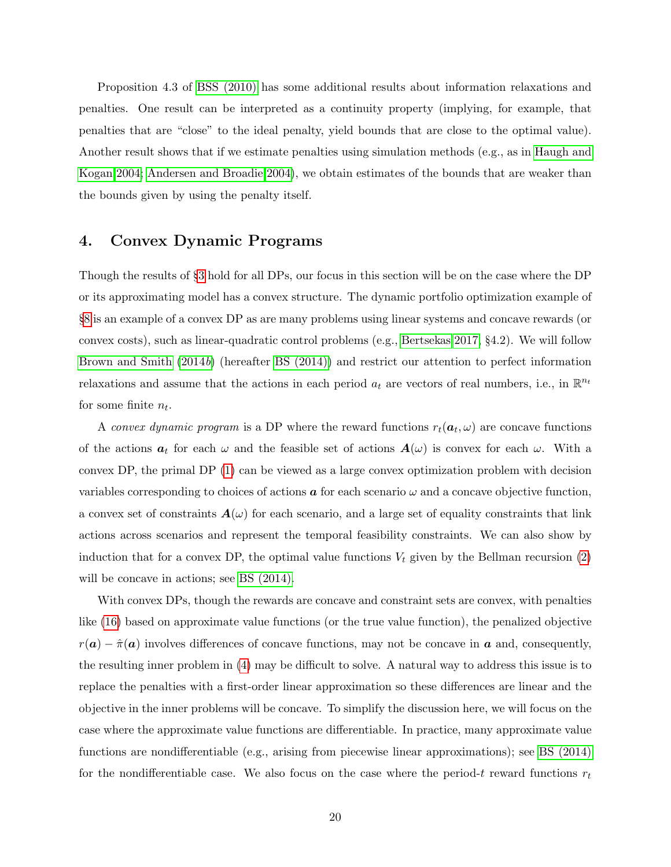Proposition 4.3 of [BSS \(2010\)](#page-64-0) has some additional results about information relaxations and penalties. One result can be interpreted as a continuity property (implying, for example, that penalties that are "close" to the ideal penalty, yield bounds that are close to the optimal value). Another result shows that if we estimate penalties using simulation methods (e.g., as in [Haugh and](#page-65-0) [Kogan 2004;](#page-65-0) [Andersen and Broadie 2004\)](#page-63-0), we obtain estimates of the bounds that are weaker than the bounds given by using the penalty itself.

# <span id="page-20-0"></span>4. Convex Dynamic Programs

Though the results of §[3](#page-7-0) hold for all DPs, our focus in this section will be on the case where the DP or its approximating model has a convex structure. The dynamic portfolio optimization example of §[8](#page-48-0) is an example of a convex DP as are many problems using linear systems and concave rewards (or convex costs), such as linear-quadratic control problems (e.g., [Bertsekas 2017,](#page-63-4) §4.2). We will follow [Brown and Smith](#page-64-1) [\(2014](#page-64-1)b) (hereafter [BS \(2014\)\)](#page-64-1) and restrict our attention to perfect information relaxations and assume that the actions in each period  $a_t$  are vectors of real numbers, i.e., in  $\mathbb{R}^{n_t}$ for some finite  $n_t$ .

A convex dynamic program is a DP where the reward functions  $r_t(\boldsymbol{a}_t,\omega)$  are concave functions of the actions  $a_t$  for each  $\omega$  and the feasible set of actions  $A(\omega)$  is convex for each  $\omega$ . With a convex DP, the primal DP [\(1\)](#page-6-0) can be viewed as a large convex optimization problem with decision variables corresponding to choices of actions  $\boldsymbol{a}$  for each scenario  $\omega$  and a concave objective function, a convex set of constraints  $A(\omega)$  for each scenario, and a large set of equality constraints that link actions across scenarios and represent the temporal feasibility constraints. We can also show by induction that for a convex DP, the optimal value functions  $V_t$  given by the Bellman recursion [\(2\)](#page-6-1) will be concave in actions; see BS  $(2014)$ .

With convex DPs, though the rewards are concave and constraint sets are convex, with penalties like [\(16\)](#page-15-0) based on approximate value functions (or the true value function), the penalized objective  $r(a) - \hat{\pi}(a)$  involves differences of concave functions, may not be concave in a and, consequently, the resulting inner problem in [\(4\)](#page-8-0) may be difficult to solve. A natural way to address this issue is to replace the penalties with a first-order linear approximation so these differences are linear and the objective in the inner problems will be concave. To simplify the discussion here, we will focus on the case where the approximate value functions are differentiable. In practice, many approximate value functions are nondifferentiable (e.g., arising from piecewise linear approximations); see [BS \(2014\)](#page-64-1) for the nondifferentiable case. We also focus on the case where the period-t reward functions  $r_t$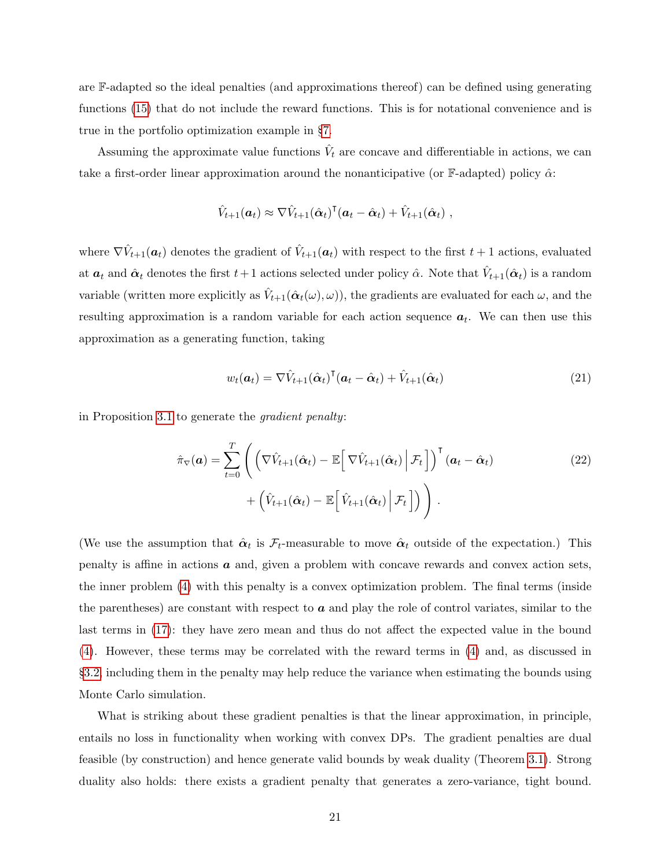are F-adapted so the ideal penalties (and approximations thereof) can be defined using generating functions [\(15\)](#page-15-2) that do not include the reward functions. This is for notational convenience and is true in the portfolio optimization example in §[7.](#page-34-0)

Assuming the approximate value functions  $\hat{V}_t$  are concave and differentiable in actions, we can take a first-order linear approximation around the nonanticipative (or F-adapted) policy  $\hat{\alpha}$ :

$$
\hat{V}_{t+1}(\boldsymbol{a}_t) \approx \nabla \hat{V}_{t+1}(\hat{\boldsymbol{\alpha}}_t)^{\mathsf{T}}(\boldsymbol{a}_t - \hat{\boldsymbol{\alpha}}_t) + \hat{V}_{t+1}(\hat{\boldsymbol{\alpha}}_t) ,
$$

where  $\nabla \hat{V}_{t+1}(\boldsymbol{a}_t)$  denotes the gradient of  $\hat{V}_{t+1}(\boldsymbol{a}_t)$  with respect to the first  $t+1$  actions, evaluated at  $a_t$  and  $\hat{\alpha}_t$  denotes the first  $t+1$  actions selected under policy  $\hat{\alpha}$ . Note that  $\hat{V}_{t+1}(\hat{\alpha}_t)$  is a random variable (written more explicitly as  $\hat{V}_{t+1}(\hat{\boldsymbol{\alpha}}_t(\omega), \omega)$ ), the gradients are evaluated for each  $\omega$ , and the resulting approximation is a random variable for each action sequence  $a_t$ . We can then use this approximation as a generating function, taking

<span id="page-21-1"></span><span id="page-21-0"></span>
$$
w_t(\boldsymbol{a}_t) = \nabla \hat{V}_{t+1}(\hat{\boldsymbol{\alpha}}_t)^{\mathsf{T}}(\boldsymbol{a}_t - \hat{\boldsymbol{\alpha}}_t) + \hat{V}_{t+1}(\hat{\boldsymbol{\alpha}}_t)
$$
(21)

in Proposition [3.1](#page-12-1) to generate the gradient penalty:

$$
\hat{\pi}_{\nabla}(\boldsymbol{a}) = \sum_{t=0}^{T} \left( \left( \nabla \hat{V}_{t+1}(\hat{\boldsymbol{\alpha}}_t) - \mathbb{E} \left[ \nabla \hat{V}_{t+1}(\hat{\boldsymbol{\alpha}}_t) \Big| \mathcal{F}_t \right] \right)^{\mathsf{T}} (\boldsymbol{a}_t - \hat{\boldsymbol{\alpha}}_t) + \left( \hat{V}_{t+1}(\hat{\boldsymbol{\alpha}}_t) - \mathbb{E} \left[ \hat{V}_{t+1}(\hat{\boldsymbol{\alpha}}_t) \Big| \mathcal{F}_t \right] \right) \right). \tag{22}
$$

(We use the assumption that  $\hat{\alpha}_t$  is  $\mathcal{F}_t$ -measurable to move  $\hat{\alpha}_t$  outside of the expectation.) This penalty is affine in actions  $\boldsymbol{a}$  and, given a problem with concave rewards and convex action sets, the inner problem [\(4\)](#page-8-0) with this penalty is a convex optimization problem. The final terms (inside the parentheses) are constant with respect to  $\boldsymbol{a}$  and play the role of control variates, similar to the last terms in [\(17\)](#page-15-1): they have zero mean and thus do not affect the expected value in the bound [\(4\)](#page-8-0). However, these terms may be correlated with the reward terms in [\(4\)](#page-8-0) and, as discussed in §[3.2,](#page-12-0) including them in the penalty may help reduce the variance when estimating the bounds using Monte Carlo simulation.

What is striking about these gradient penalties is that the linear approximation, in principle, entails no loss in functionality when working with convex DPs. The gradient penalties are dual feasible (by construction) and hence generate valid bounds by weak duality (Theorem [3.1\)](#page-8-2). Strong duality also holds: there exists a gradient penalty that generates a zero-variance, tight bound.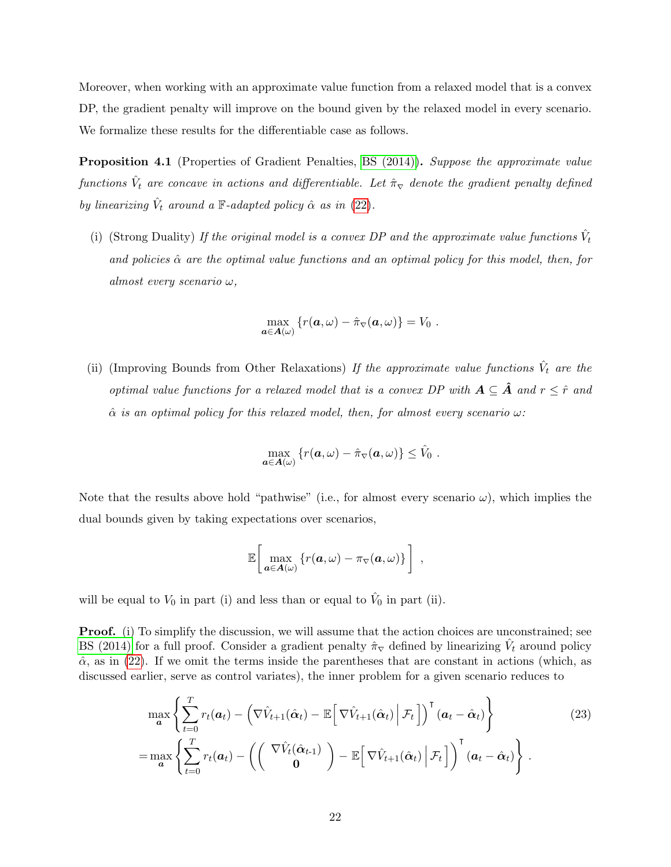Moreover, when working with an approximate value function from a relaxed model that is a convex DP, the gradient penalty will improve on the bound given by the relaxed model in every scenario. We formalize these results for the differentiable case as follows.

<span id="page-22-1"></span>Proposition 4.1 (Properties of Gradient Penalties, [BS \(2014\)\)](#page-64-1). Suppose the approximate value functions  $\hat{V}_t$  are concave in actions and differentiable. Let  $\hat{\pi}_{\nabla}$  denote the gradient penalty defined by linearizing  $\hat{V}_t$  around a  $\mathbb{F}\text{-}adapted$  policy  $\hat{\alpha}$  as in [\(22\)](#page-21-0).

(i) (Strong Duality) If the original model is a convex DP and the approximate value functions  $\hat{V}_t$ and policies  $\hat{\alpha}$  are the optimal value functions and an optimal policy for this model, then, for almost every scenario  $\omega$ ,

$$
\max_{\mathbf{a}\in\mathbf{A}(\omega)}\left\{r(\mathbf{a},\omega)-\hat{\pi}_{\nabla}(\mathbf{a},\omega)\right\}=V_0.
$$

(ii) (Improving Bounds from Other Relaxations) If the approximate value functions  $\hat{V}_t$  are the optimal value functions for a relaxed model that is a convex DP with  $A \subseteq \hat{A}$  and  $r \leq \hat{r}$  and  $\hat{\alpha}$  is an optimal policy for this relaxed model, then, for almost every scenario  $\omega$ :

<span id="page-22-0"></span>
$$
\max_{\boldsymbol{a}\in\mathbf{A}(\omega)}\left\{r(\boldsymbol{a},\omega)-\hat{\pi}_{\nabla}(\boldsymbol{a},\omega)\right\}\leq\hat{V}_0.
$$

Note that the results above hold "pathwise" (i.e., for almost every scenario  $\omega$ ), which implies the dual bounds given by taking expectations over scenarios,

$$
\mathbb{E}\bigg[\max_{\boldsymbol{a}\in\mathbf{A}(\omega)}\left\{r(\boldsymbol{a},\omega)-\pi_{\nabla}(\boldsymbol{a},\omega)\right\}\bigg],
$$

will be equal to  $V_0$  in part (i) and less than or equal to  $\hat{V}_0$  in part (ii).

**Proof.** (i) To simplify the discussion, we will assume that the action choices are unconstrained; see [BS \(2014\)](#page-64-1) for a full proof. Consider a gradient penalty  $\hat{\pi}_{\nabla}$  defined by linearizing  $\hat{V}_t$  around policy  $\hat{\alpha}$ , as in [\(22\)](#page-21-0). If we omit the terms inside the parentheses that are constant in actions (which, as discussed earlier, serve as control variates), the inner problem for a given scenario reduces to

$$
\max_{\mathbf{a}} \left\{ \sum_{t=0}^{T} r_t(\mathbf{a}_t) - \left( \nabla \hat{V}_{t+1}(\hat{\mathbf{\alpha}}_t) - \mathbb{E} \left[ \nabla \hat{V}_{t+1}(\hat{\mathbf{\alpha}}_t) \Big| \mathcal{F}_t \right] \right)^{\mathsf{T}} (\mathbf{a}_t - \hat{\mathbf{\alpha}}_t) \right\} \n= \max_{\mathbf{a}} \left\{ \sum_{t=0}^{T} r_t(\mathbf{a}_t) - \left( \left( \begin{array}{c} \nabla \hat{V}_t(\hat{\mathbf{\alpha}}_{t-1}) \\ \mathbf{0} \end{array} \right) - \mathbb{E} \left[ \nabla \hat{V}_{t+1}(\hat{\mathbf{\alpha}}_t) \Big| \mathcal{F}_t \right] \right)^{\mathsf{T}} (\mathbf{a}_t - \hat{\mathbf{\alpha}}_t) \right\}.
$$
\n(23)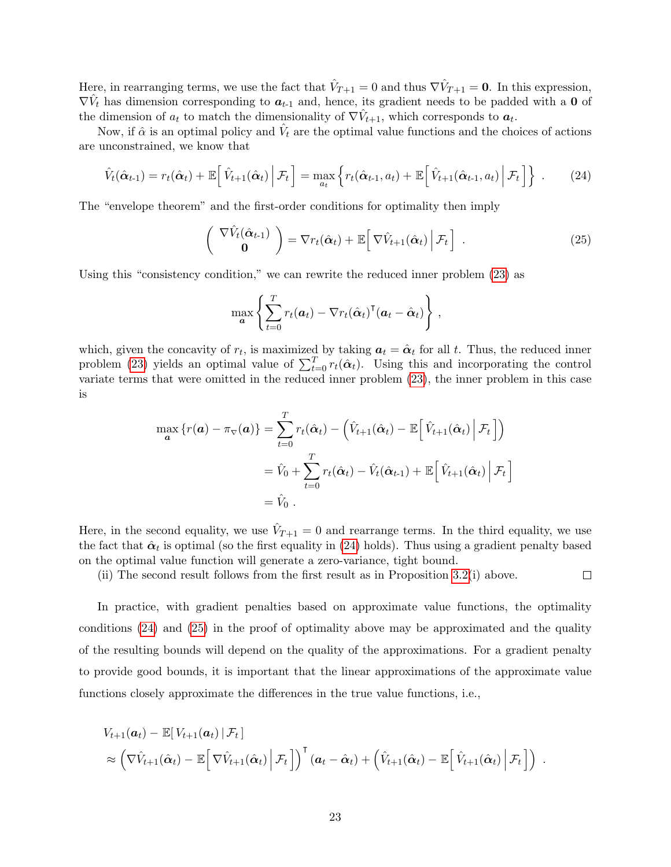Here, in rearranging terms, we use the fact that  $\hat{V}_{T+1} = 0$  and thus  $\nabla \hat{V}_{T+1} = 0$ . In this expression,  $\nabla \hat{V}_t$  has dimension corresponding to  $a_{t-1}$  and, hence, its gradient needs to be padded with a 0 of the dimension of  $a_t$  to match the dimensionality of  $\nabla \hat{V}_{t+1}$ , which corresponds to  $a_t$ .

Now, if  $\hat{\alpha}$  is an optimal policy and  $\hat{V}_t$  are the optimal value functions and the choices of actions are unconstrained, we know that

<span id="page-23-0"></span>
$$
\hat{V}_t(\hat{\boldsymbol{\alpha}}_{t-1}) = r_t(\hat{\boldsymbol{\alpha}}_t) + \mathbb{E}\Big[\hat{V}_{t+1}(\hat{\boldsymbol{\alpha}}_t) \Big| \mathcal{F}_t\Big] = \max_{a_t} \left\{ r_t(\hat{\boldsymbol{\alpha}}_{t-1}, a_t) + \mathbb{E}\Big[\hat{V}_{t+1}(\hat{\boldsymbol{\alpha}}_{t-1}, a_t) \Big| \mathcal{F}_t\Big] \right\} \ . \tag{24}
$$

The "envelope theorem" and the first-order conditions for optimality then imply

$$
\begin{pmatrix} \nabla \hat{V}_t(\hat{\boldsymbol{\alpha}}_{t-1}) \\ \mathbf{0} \end{pmatrix} = \nabla r_t(\hat{\boldsymbol{\alpha}}_t) + \mathbb{E} \Big[ \nabla \hat{V}_{t+1}(\hat{\boldsymbol{\alpha}}_t) \Big| \mathcal{F}_t \Big] . \tag{25}
$$

<span id="page-23-1"></span> $\Box$ 

Using this "consistency condition," we can rewrite the reduced inner problem [\(23\)](#page-22-0) as

$$
\max_{\mathbf{a}} \left\{ \sum_{t=0}^{T} r_t(\mathbf{a}_t) - \nabla r_t(\hat{\mathbf{\alpha}}_t)^{\mathsf{T}}(\mathbf{a}_t - \hat{\mathbf{\alpha}}_t) \right\},\,
$$

which, given the concavity of  $r_t$ , is maximized by taking  $a_t = \hat{\alpha}_t$  for all t. Thus, the reduced inner problem [\(23\)](#page-22-0) yields an optimal value of  $\sum_{t=0}^{T} r_t(\hat{\alpha}_t)$ . Using this and incorporating the control variate terms that were omitted in the reduced inner problem [\(23\)](#page-22-0), the inner problem in this case is

$$
\max_{\mathbf{a}} \left\{ r(\mathbf{a}) - \pi_{\nabla}(\mathbf{a}) \right\} = \sum_{t=0}^{T} r_t(\hat{\alpha}_t) - \left( \hat{V}_{t+1}(\hat{\alpha}_t) - \mathbb{E} \left[ \hat{V}_{t+1}(\hat{\alpha}_t) \middle| \mathcal{F}_t \right] \right)
$$

$$
= \hat{V}_0 + \sum_{t=0}^{T} r_t(\hat{\alpha}_t) - \hat{V}_t(\hat{\alpha}_{t-1}) + \mathbb{E} \left[ \hat{V}_{t+1}(\hat{\alpha}_t) \middle| \mathcal{F}_t \right]
$$

$$
= \hat{V}_0.
$$

Here, in the second equality, we use  $\hat{V}_{T+1} = 0$  and rearrange terms. In the third equality, we use the fact that  $\hat{\alpha}_t$  is optimal (so the first equality in [\(24\)](#page-23-0) holds). Thus using a gradient penalty based on the optimal value function will generate a zero-variance, tight bound.

(ii) The second result follows from the first result as in Proposition [3.2\(](#page-17-1)i) above.

In practice, with gradient penalties based on approximate value functions, the optimality conditions [\(24\)](#page-23-0) and [\(25\)](#page-23-1) in the proof of optimality above may be approximated and the quality of the resulting bounds will depend on the quality of the approximations. For a gradient penalty to provide good bounds, it is important that the linear approximations of the approximate value functions closely approximate the differences in the true value functions, i.e.,

$$
V_{t+1}(\boldsymbol{a}_t) - \mathbb{E}[V_{t+1}(\boldsymbol{a}_t) | \mathcal{F}_t]
$$
  
\$\approx \left(\nabla \hat{V}\_{t+1}(\hat{\boldsymbol{\alpha}}\_t) - \mathbb{E}\left[\nabla \hat{V}\_{t+1}(\hat{\boldsymbol{\alpha}}\_t) \Big| \mathcal{F}\_t\right]\right)^{\text{T}}(\boldsymbol{a}\_t - \hat{\boldsymbol{\alpha}}\_t) + \left(\hat{V}\_{t+1}(\hat{\boldsymbol{\alpha}}\_t) - \mathbb{E}\left[\hat{V}\_{t+1}(\hat{\boldsymbol{\alpha}}\_t) \Big| \mathcal{F}\_t\right]\right)\$.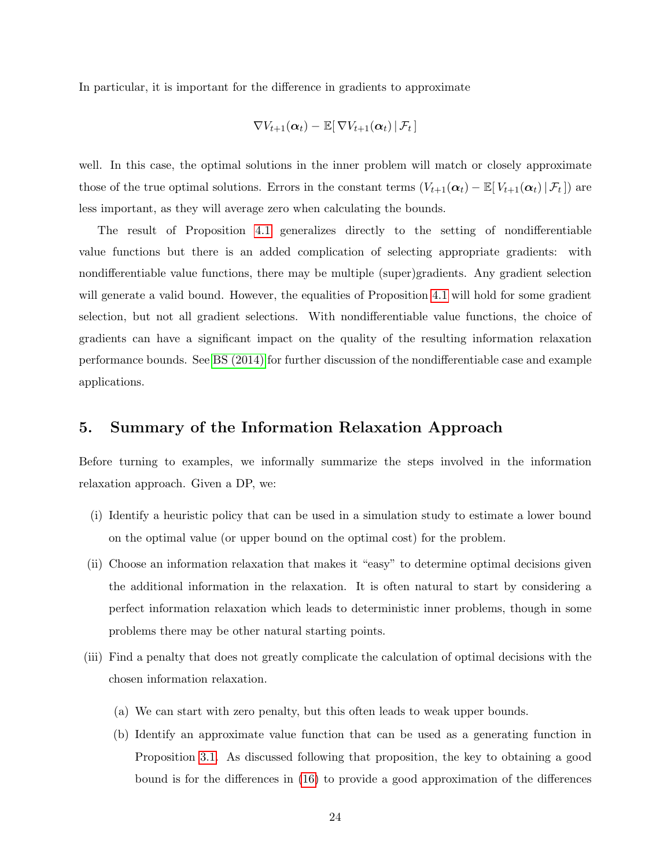In particular, it is important for the difference in gradients to approximate

$$
\nabla V_{t+1}(\boldsymbol{\alpha}_t) - \mathbb{E}[\left.\nabla V_{t+1}(\boldsymbol{\alpha}_t)\,\right|\mathcal{F}_t\,]
$$

well. In this case, the optimal solutions in the inner problem will match or closely approximate those of the true optimal solutions. Errors in the constant terms  $(V_{t+1}(\alpha_t) - \mathbb{E}[V_{t+1}(\alpha_t) | \mathcal{F}_t])$  are less important, as they will average zero when calculating the bounds.

The result of Proposition [4.1](#page-22-1) generalizes directly to the setting of nondifferentiable value functions but there is an added complication of selecting appropriate gradients: with nondifferentiable value functions, there may be multiple (super)gradients. Any gradient selection will generate a valid bound. However, the equalities of Proposition [4.1](#page-22-1) will hold for some gradient selection, but not all gradient selections. With nondifferentiable value functions, the choice of gradients can have a significant impact on the quality of the resulting information relaxation performance bounds. See [BS \(2014\)](#page-64-1) for further discussion of the nondifferentiable case and example applications.

# <span id="page-24-0"></span>5. Summary of the Information Relaxation Approach

Before turning to examples, we informally summarize the steps involved in the information relaxation approach. Given a DP, we:

- (i) Identify a heuristic policy that can be used in a simulation study to estimate a lower bound on the optimal value (or upper bound on the optimal cost) for the problem.
- (ii) Choose an information relaxation that makes it "easy" to determine optimal decisions given the additional information in the relaxation. It is often natural to start by considering a perfect information relaxation which leads to deterministic inner problems, though in some problems there may be other natural starting points.
- (iii) Find a penalty that does not greatly complicate the calculation of optimal decisions with the chosen information relaxation.
	- (a) We can start with zero penalty, but this often leads to weak upper bounds.
	- (b) Identify an approximate value function that can be used as a generating function in Proposition [3.1.](#page-12-1) As discussed following that proposition, the key to obtaining a good bound is for the differences in [\(16\)](#page-15-0) to provide a good approximation of the differences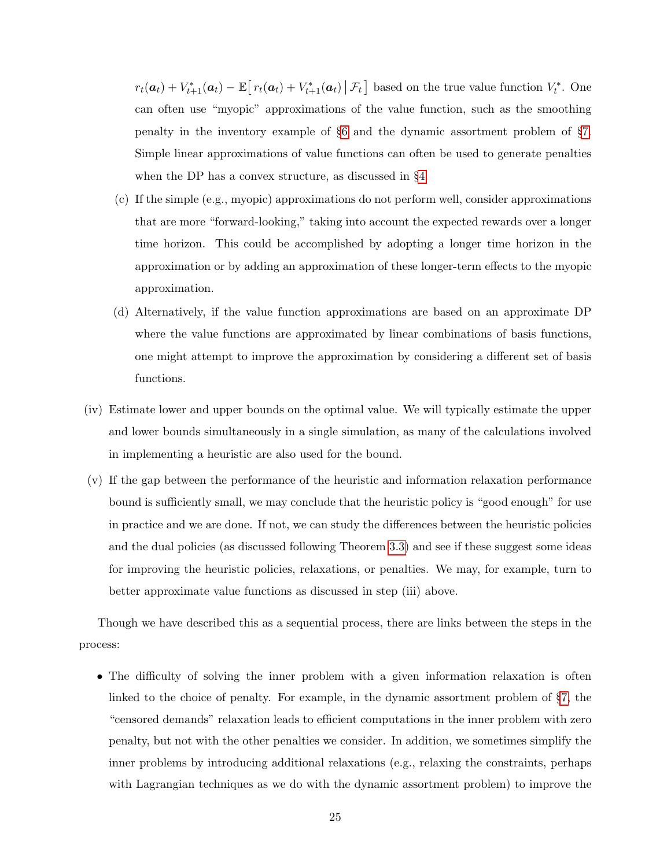$r_t(\boldsymbol{a}_t) + V_{t+1}^*(\boldsymbol{a}_t) - \mathbb{E}\big[r_t(\boldsymbol{a}_t) + V_{t+1}^*(\boldsymbol{a}_t) \,|\, \mathcal{F}_t\big]$  based on the true value function  $V_t^*$ . One can often use "myopic" approximations of the value function, such as the smoothing penalty in the inventory example of §[6](#page-26-0) and the dynamic assortment problem of §[7.](#page-34-0) Simple linear approximations of value functions can often be used to generate penalties when the DP has a convex structure, as discussed in §[4.](#page-20-0)

- (c) If the simple (e.g., myopic) approximations do not perform well, consider approximations that are more "forward-looking," taking into account the expected rewards over a longer time horizon. This could be accomplished by adopting a longer time horizon in the approximation or by adding an approximation of these longer-term effects to the myopic approximation.
- (d) Alternatively, if the value function approximations are based on an approximate DP where the value functions are approximated by linear combinations of basis functions, one might attempt to improve the approximation by considering a different set of basis functions.
- (iv) Estimate lower and upper bounds on the optimal value. We will typically estimate the upper and lower bounds simultaneously in a single simulation, as many of the calculations involved in implementing a heuristic are also used for the bound.
- (v) If the gap between the performance of the heuristic and information relaxation performance bound is sufficiently small, we may conclude that the heuristic policy is "good enough" for use in practice and we are done. If not, we can study the differences between the heuristic policies and the dual policies (as discussed following Theorem [3.3\)](#page-10-2) and see if these suggest some ideas for improving the heuristic policies, relaxations, or penalties. We may, for example, turn to better approximate value functions as discussed in step (iii) above.

Though we have described this as a sequential process, there are links between the steps in the process:

• The difficulty of solving the inner problem with a given information relaxation is often linked to the choice of penalty. For example, in the dynamic assortment problem of §[7,](#page-34-0) the "censored demands" relaxation leads to efficient computations in the inner problem with zero penalty, but not with the other penalties we consider. In addition, we sometimes simplify the inner problems by introducing additional relaxations (e.g., relaxing the constraints, perhaps with Lagrangian techniques as we do with the dynamic assortment problem) to improve the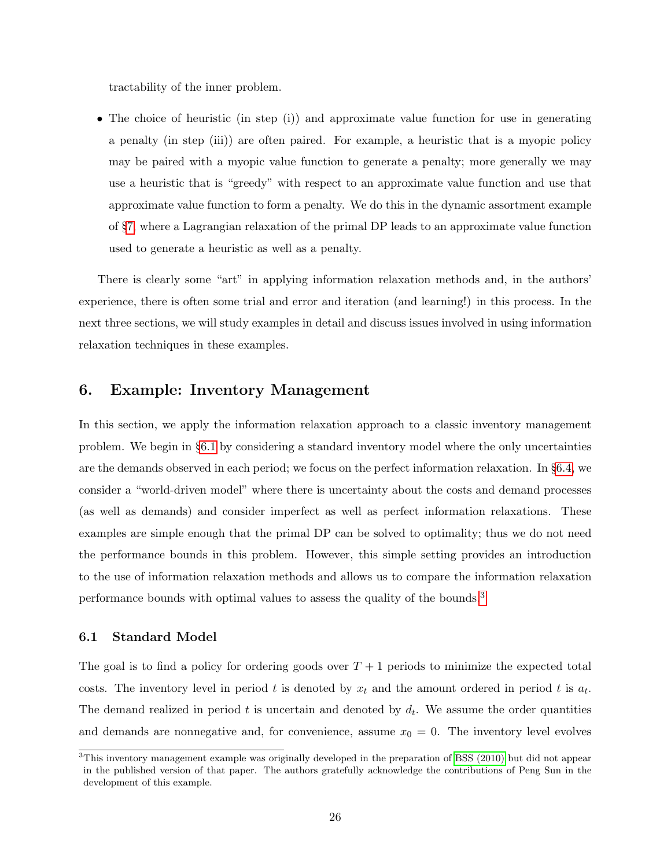tractability of the inner problem.

• The choice of heuristic (in step (i)) and approximate value function for use in generating a penalty (in step (iii)) are often paired. For example, a heuristic that is a myopic policy may be paired with a myopic value function to generate a penalty; more generally we may use a heuristic that is "greedy" with respect to an approximate value function and use that approximate value function to form a penalty. We do this in the dynamic assortment example of §[7,](#page-34-0) where a Lagrangian relaxation of the primal DP leads to an approximate value function used to generate a heuristic as well as a penalty.

There is clearly some "art" in applying information relaxation methods and, in the authors' experience, there is often some trial and error and iteration (and learning!) in this process. In the next three sections, we will study examples in detail and discuss issues involved in using information relaxation techniques in these examples.

# <span id="page-26-0"></span>6. Example: Inventory Management

In this section, we apply the information relaxation approach to a classic inventory management problem. We begin in §[6.1](#page-26-1) by considering a standard inventory model where the only uncertainties are the demands observed in each period; we focus on the perfect information relaxation. In §[6.4,](#page-31-0) we consider a "world-driven model" where there is uncertainty about the costs and demand processes (as well as demands) and consider imperfect as well as perfect information relaxations. These examples are simple enough that the primal DP can be solved to optimality; thus we do not need the performance bounds in this problem. However, this simple setting provides an introduction to the use of information relaxation methods and allows us to compare the information relaxation performance bounds with optimal values to assess the quality of the bounds.[3](#page-0-0)

# <span id="page-26-1"></span>6.1 Standard Model

The goal is to find a policy for ordering goods over  $T + 1$  periods to minimize the expected total costs. The inventory level in period t is denoted by  $x_t$  and the amount ordered in period t is  $a_t$ . The demand realized in period  $t$  is uncertain and denoted by  $d_t$ . We assume the order quantities and demands are nonnegative and, for convenience, assume  $x_0 = 0$ . The inventory level evolves

<sup>&</sup>lt;sup>3</sup>This inventory management example was originally developed in the preparation of [BSS \(2010\)](#page-64-0) but did not appear in the published version of that paper. The authors gratefully acknowledge the contributions of Peng Sun in the development of this example.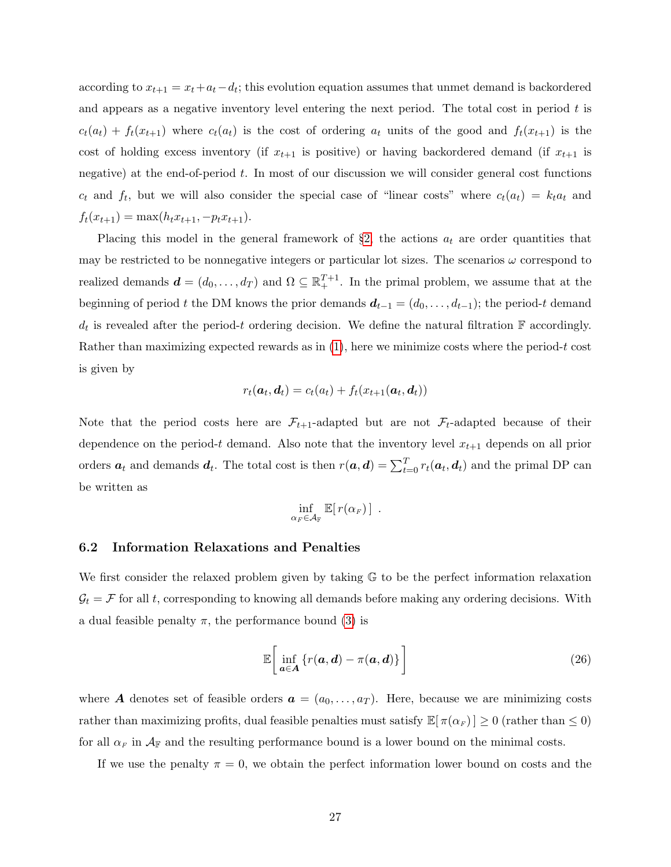according to  $x_{t+1} = x_t + a_t - d_t$ ; this evolution equation assumes that unmet demand is backordered and appears as a negative inventory level entering the next period. The total cost in period  $t$  is  $c_t(a_t) + f_t(x_{t+1})$  where  $c_t(a_t)$  is the cost of ordering  $a_t$  units of the good and  $f_t(x_{t+1})$  is the cost of holding excess inventory (if  $x_{t+1}$  is positive) or having backordered demand (if  $x_{t+1}$  is negative) at the end-of-period  $t$ . In most of our discussion we will consider general cost functions  $c_t$  and  $f_t$ , but we will also consider the special case of "linear costs" where  $c_t(a_t) = k_t a_t$  and  $f_t(x_{t+1}) = \max(h_t x_{t+1}, -p_t x_{t+1}).$ 

Placing this model in the general framework of  $\S2$ , the actions  $a_t$  are order quantities that may be restricted to be nonnegative integers or particular lot sizes. The scenarios  $\omega$  correspond to realized demands  $\boldsymbol{d} = (d_0, \ldots, d_T)$  and  $\Omega \subseteq \mathbb{R}^{T+1}_+$ . In the primal problem, we assume that at the beginning of period t the DM knows the prior demands  $d_{t-1} = (d_0, \ldots, d_{t-1})$ ; the period-t demand  $d_t$  is revealed after the period-t ordering decision. We define the natural filtration  $\mathbb F$  accordingly. Rather than maximizing expected rewards as in  $(1)$ , here we minimize costs where the period-t cost is given by

<span id="page-27-0"></span>
$$
r_t(\boldsymbol{a}_t, \boldsymbol{d}_t) = c_t(a_t) + f_t(x_{t+1}(\boldsymbol{a}_t, \boldsymbol{d}_t))
$$

Note that the period costs here are  $\mathcal{F}_{t+1}$ -adapted but are not  $\mathcal{F}_t$ -adapted because of their dependence on the period-t demand. Also note that the inventory level  $x_{t+1}$  depends on all prior orders  $a_t$  and demands  $d_t$ . The total cost is then  $r(a, d) = \sum_{t=0}^{T} r_t(a_t, d_t)$  and the primal DP can be written as

$$
\inf_{\alpha_F\in\mathcal{A}_\mathbb{F}}\mathbb{E}[\,r(\alpha_F)\,]\enspace.
$$

### <span id="page-27-1"></span>6.2 Information Relaxations and Penalties

We first consider the relaxed problem given by taking G to be the perfect information relaxation  $\mathcal{G}_t = \mathcal{F}$  for all t, corresponding to knowing all demands before making any ordering decisions. With a dual feasible penalty  $\pi$ , the performance bound [\(3\)](#page-8-1) is

$$
\mathbb{E}\bigg[\inf_{\boldsymbol{a}\in\boldsymbol{A}}\left\{r(\boldsymbol{a},\boldsymbol{d})-\pi(\boldsymbol{a},\boldsymbol{d})\right\}\bigg]
$$
 (26)

where A denotes set of feasible orders  $a = (a_0, \ldots, a_T)$ . Here, because we are minimizing costs rather than maximizing profits, dual feasible penalties must satisfy  $\mathbb{E}[\pi(\alpha_F)] \geq 0$  (rather than  $\leq 0$ ) for all  $\alpha_F$  in  $\mathcal{A}_F$  and the resulting performance bound is a lower bound on the minimal costs.

If we use the penalty  $\pi = 0$ , we obtain the perfect information lower bound on costs and the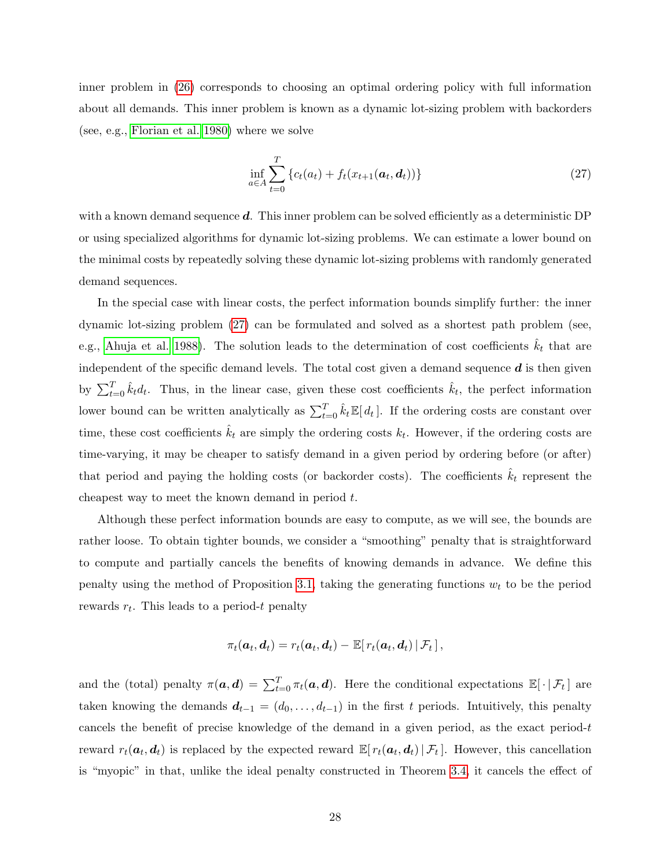inner problem in [\(26\)](#page-27-0) corresponds to choosing an optimal ordering policy with full information about all demands. This inner problem is known as a dynamic lot-sizing problem with backorders (see, e.g., [Florian et al. 1980\)](#page-65-4) where we solve

<span id="page-28-0"></span>
$$
\inf_{a \in A} \sum_{t=0}^{T} \left\{ c_t(a_t) + f_t(x_{t+1}(a_t, d_t)) \right\}
$$
\n(27)

with a known demand sequence  $d$ . This inner problem can be solved efficiently as a deterministic DP or using specialized algorithms for dynamic lot-sizing problems. We can estimate a lower bound on the minimal costs by repeatedly solving these dynamic lot-sizing problems with randomly generated demand sequences.

In the special case with linear costs, the perfect information bounds simplify further: the inner dynamic lot-sizing problem [\(27\)](#page-28-0) can be formulated and solved as a shortest path problem (see, e.g., [Ahuja et al. 1988\)](#page-63-6). The solution leads to the determination of cost coefficients  $\hat{k}_t$  that are independent of the specific demand levels. The total cost given a demand sequence  $\boldsymbol{d}$  is then given by  $\sum_{t=0}^{T} \hat{k}_t d_t$ . Thus, in the linear case, given these cost coefficients  $\hat{k}_t$ , the perfect information lower bound can be written analytically as  $\sum_{t=0}^{T} \hat{k}_t \mathbb{E}[d_t]$ . If the ordering costs are constant over time, these cost coefficients  $\hat{k}_t$  are simply the ordering costs  $k_t$ . However, if the ordering costs are time-varying, it may be cheaper to satisfy demand in a given period by ordering before (or after) that period and paying the holding costs (or backorder costs). The coefficients  $k_t$  represent the cheapest way to meet the known demand in period t.

Although these perfect information bounds are easy to compute, as we will see, the bounds are rather loose. To obtain tighter bounds, we consider a "smoothing" penalty that is straightforward to compute and partially cancels the benefits of knowing demands in advance. We define this penalty using the method of Proposition [3.1,](#page-12-1) taking the generating functions  $w_t$  to be the period rewards  $r_t$ . This leads to a period-t penalty

<span id="page-28-1"></span>
$$
\pi_t(\boldsymbol{a}_t, \boldsymbol{d}_t) = r_t(\boldsymbol{a}_t, \boldsymbol{d}_t) - \mathbb{E}[r_t(\boldsymbol{a}_t, \boldsymbol{d}_t) | \mathcal{F}_t],
$$

and the (total) penalty  $\pi(a, d) = \sum_{t=0}^{T} \pi_t(a, d)$ . Here the conditional expectations  $\mathbb{E}[\cdot | \mathcal{F}_t]$  are taken knowing the demands  $d_{t-1} = (d_0, \ldots, d_{t-1})$  in the first t periods. Intuitively, this penalty cancels the benefit of precise knowledge of the demand in a given period, as the exact period- $t$ reward  $r_t(\boldsymbol{a}_t, \boldsymbol{d}_t)$  is replaced by the expected reward  $\mathbb{E}[r_t(\boldsymbol{a}_t, \boldsymbol{d}_t) | \mathcal{F}_t]$ . However, this cancellation is "myopic" in that, unlike the ideal penalty constructed in Theorem [3.4,](#page-13-3) it cancels the effect of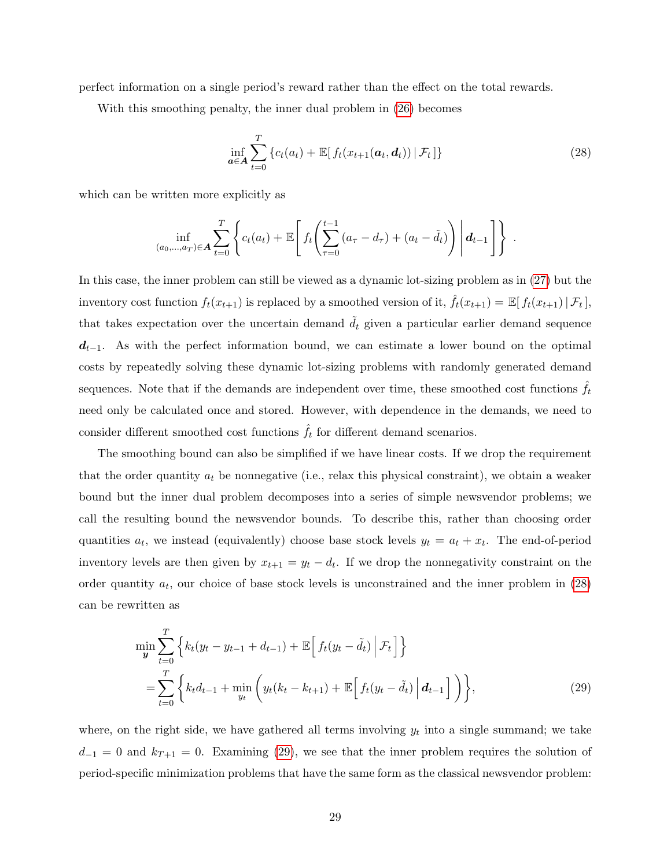perfect information on a single period's reward rather than the effect on the total rewards.

With this smoothing penalty, the inner dual problem in [\(26\)](#page-27-0) becomes

$$
\inf_{\boldsymbol{a}\in\boldsymbol{A}}\sum_{t=0}^{T}\left\{c_t(a_t)+\mathbb{E}\left[f_t(x_{t+1}(\boldsymbol{a}_t,\boldsymbol{d}_t))\,|\,\mathcal{F}_t\,\right]\right\}\tag{28}
$$

which can be written more explicitly as

<span id="page-29-0"></span>
$$
\inf_{(a_0,...,a_T)\in \mathbf{A}} \sum_{t=0}^T \left\{ c_t(a_t) + \mathbb{E}\left[ f_t\left(\sum_{\tau=0}^{t-1} (a_{\tau} - d_{\tau}) + (a_t - \tilde{d}_t) \right) \middle| d_{t-1} \right] \right\} .
$$

In this case, the inner problem can still be viewed as a dynamic lot-sizing problem as in [\(27\)](#page-28-0) but the inventory cost function  $f_t(x_{t+1})$  is replaced by a smoothed version of it,  $\hat{f}_t(x_{t+1}) = \mathbb{E}[f_t(x_{t+1}) | \mathcal{F}_t],$ that takes expectation over the uncertain demand  $\ddot{d}_t$  given a particular earlier demand sequence  $d_{t-1}$ . As with the perfect information bound, we can estimate a lower bound on the optimal costs by repeatedly solving these dynamic lot-sizing problems with randomly generated demand sequences. Note that if the demands are independent over time, these smoothed cost functions  $f_t$ need only be calculated once and stored. However, with dependence in the demands, we need to consider different smoothed cost functions  $\hat{f}_t$  for different demand scenarios.

The smoothing bound can also be simplified if we have linear costs. If we drop the requirement that the order quantity  $a_t$  be nonnegative (i.e., relax this physical constraint), we obtain a weaker bound but the inner dual problem decomposes into a series of simple newsvendor problems; we call the resulting bound the newsvendor bounds. To describe this, rather than choosing order quantities  $a_t$ , we instead (equivalently) choose base stock levels  $y_t = a_t + x_t$ . The end-of-period inventory levels are then given by  $x_{t+1} = y_t - d_t$ . If we drop the nonnegativity constraint on the order quantity  $a_t$ , our choice of base stock levels is unconstrained and the inner problem in  $(28)$ can be rewritten as

$$
\min_{\mathbf{y}} \sum_{t=0}^{T} \left\{ k_t (y_t - y_{t-1} + d_{t-1}) + \mathbb{E} \left[ f_t (y_t - \tilde{d}_t) \Big| \mathcal{F}_t \right] \right\} \n= \sum_{t=0}^{T} \left\{ k_t d_{t-1} + \min_{y_t} \left( y_t (k_t - k_{t+1}) + \mathbb{E} \left[ f_t (y_t - \tilde{d}_t) \Big| \mathbf{d}_{t-1} \right] \right) \right\},
$$
\n(29)

where, on the right side, we have gathered all terms involving  $y_t$  into a single summand; we take  $d_{-1} = 0$  and  $k_{T+1} = 0$ . Examining [\(29\)](#page-29-0), we see that the inner problem requires the solution of period-specific minimization problems that have the same form as the classical newsvendor problem: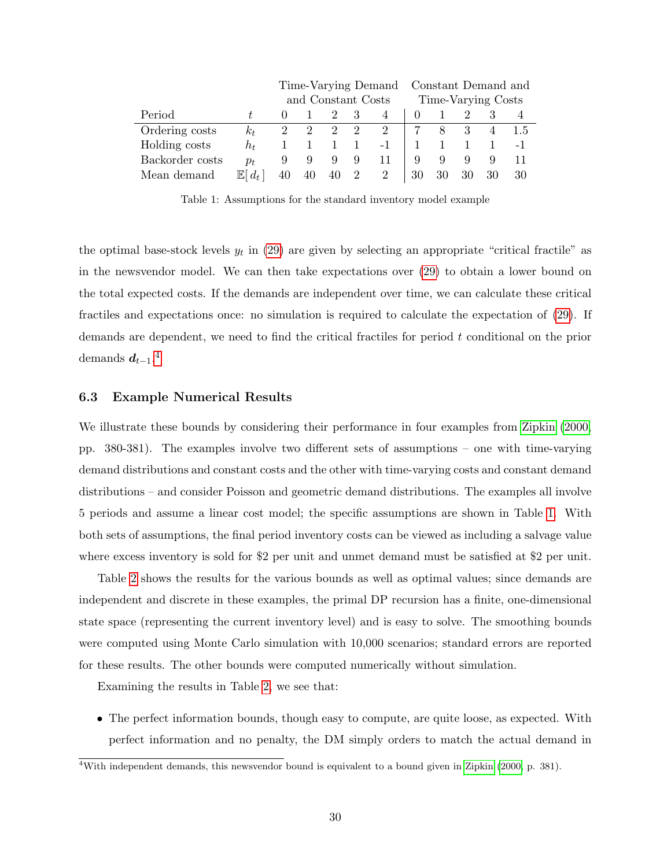<span id="page-30-0"></span>

|                 |                           | Time-Varying Demand Constant Demand and |    |                             |                |                    |          |          |    |                |     |
|-----------------|---------------------------|-----------------------------------------|----|-----------------------------|----------------|--------------------|----------|----------|----|----------------|-----|
|                 |                           | and Constant Costs                      |    |                             |                | Time-Varying Costs |          |          |    |                |     |
| Period          |                           |                                         |    |                             | 3              | 4                  | $\theta$ |          |    |                |     |
| Ordering costs  | $k_t$                     | $\overline{2}$                          | -2 | $\mathcal{D}_{\mathcal{L}}$ | 2              | 2                  |          | $\aleph$ |    | $\overline{4}$ | 1.5 |
| Holding costs   | $h_t$                     |                                         |    |                             | $\overline{1}$ | $-1$               |          |          |    |                |     |
| Backorder costs | $p_t$                     | 9                                       | 9  |                             | 9              | 11                 | 9        | 9        | 9  |                |     |
| Mean demand     | $\mathbb{E}$ l<br>$d_{t}$ | 40                                      | 40 | 40                          | 2              |                    | 30       | 30       | 30 | 30             | 30  |

Table 1: Assumptions for the standard inventory model example

the optimal base-stock levels  $y_t$  in [\(29\)](#page-29-0) are given by selecting an appropriate "critical fractile" as in the newsvendor model. We can then take expectations over [\(29\)](#page-29-0) to obtain a lower bound on the total expected costs. If the demands are independent over time, we can calculate these critical fractiles and expectations once: no simulation is required to calculate the expectation of [\(29\)](#page-29-0). If demands are dependent, we need to find the critical fractiles for period t conditional on the prior demands  $d_{t-1}.^4$  $d_{t-1}.^4$ 

### 6.3 Example Numerical Results

We illustrate these bounds by considering their performance in four examples from [Zipkin](#page-67-1) [\(2000,](#page-67-1) pp. 380-381). The examples involve two different sets of assumptions – one with time-varying demand distributions and constant costs and the other with time-varying costs and constant demand distributions – and consider Poisson and geometric demand distributions. The examples all involve 5 periods and assume a linear cost model; the specific assumptions are shown in Table [1.](#page-30-0) With both sets of assumptions, the final period inventory costs can be viewed as including a salvage value where excess inventory is sold for \$2 per unit and unmet demand must be satisfied at \$2 per unit.

Table [2](#page-32-0) shows the results for the various bounds as well as optimal values; since demands are independent and discrete in these examples, the primal DP recursion has a finite, one-dimensional state space (representing the current inventory level) and is easy to solve. The smoothing bounds were computed using Monte Carlo simulation with 10,000 scenarios; standard errors are reported for these results. The other bounds were computed numerically without simulation.

Examining the results in Table [2,](#page-32-0) we see that:

• The perfect information bounds, though easy to compute, are quite loose, as expected. With perfect information and no penalty, the DM simply orders to match the actual demand in

<sup>4</sup>With independent demands, this newsvendor bound is equivalent to a bound given in [Zipkin](#page-67-1) [\(2000,](#page-67-1) p. 381).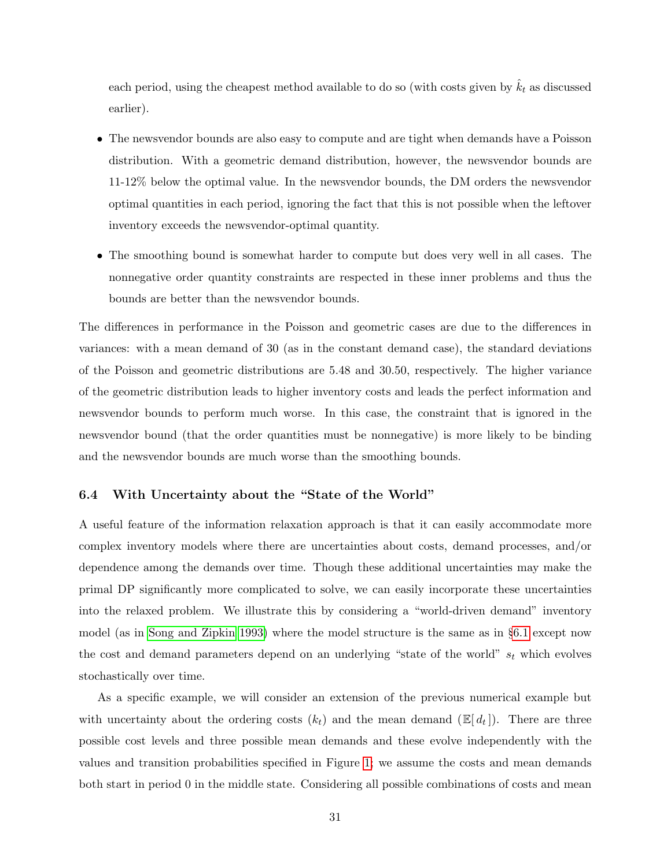each period, using the cheapest method available to do so (with costs given by  $k_t$  as discussed earlier).

- The newsvendor bounds are also easy to compute and are tight when demands have a Poisson distribution. With a geometric demand distribution, however, the newsvendor bounds are 11-12% below the optimal value. In the newsvendor bounds, the DM orders the newsvendor optimal quantities in each period, ignoring the fact that this is not possible when the leftover inventory exceeds the newsvendor-optimal quantity.
- The smoothing bound is somewhat harder to compute but does very well in all cases. The nonnegative order quantity constraints are respected in these inner problems and thus the bounds are better than the newsvendor bounds.

The differences in performance in the Poisson and geometric cases are due to the differences in variances: with a mean demand of 30 (as in the constant demand case), the standard deviations of the Poisson and geometric distributions are 5.48 and 30.50, respectively. The higher variance of the geometric distribution leads to higher inventory costs and leads the perfect information and newsvendor bounds to perform much worse. In this case, the constraint that is ignored in the newsvendor bound (that the order quantities must be nonnegative) is more likely to be binding and the newsvendor bounds are much worse than the smoothing bounds.

# <span id="page-31-0"></span>6.4 With Uncertainty about the "State of the World"

A useful feature of the information relaxation approach is that it can easily accommodate more complex inventory models where there are uncertainties about costs, demand processes, and/or dependence among the demands over time. Though these additional uncertainties may make the primal DP significantly more complicated to solve, we can easily incorporate these uncertainties into the relaxed problem. We illustrate this by considering a "world-driven demand" inventory model (as in [Song and Zipkin 1993\)](#page-67-2) where the model structure is the same as in §[6.1](#page-26-1) except now the cost and demand parameters depend on an underlying "state of the world"  $s_t$  which evolves stochastically over time.

As a specific example, we will consider an extension of the previous numerical example but with uncertainty about the ordering costs  $(k_t)$  and the mean demand  $(\mathbb{E}[d_t])$ . There are three possible cost levels and three possible mean demands and these evolve independently with the values and transition probabilities specified in Figure [1;](#page-32-1) we assume the costs and mean demands both start in period 0 in the middle state. Considering all possible combinations of costs and mean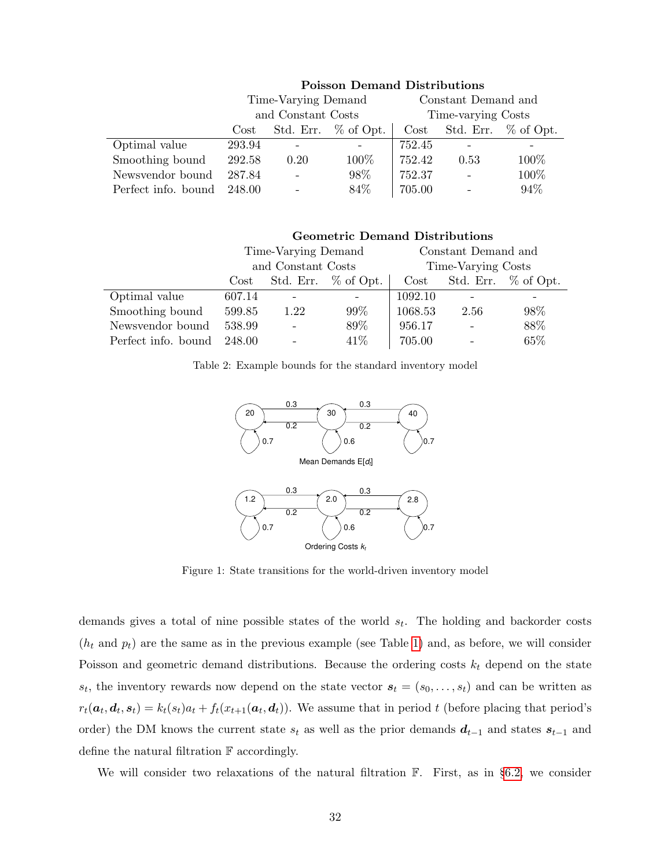<span id="page-32-0"></span>

|                     |        | Time-Varying Demand |                        | Constant Demand and |      |                     |  |  |  |
|---------------------|--------|---------------------|------------------------|---------------------|------|---------------------|--|--|--|
|                     |        | and Constant Costs  |                        | Time-varying Costs  |      |                     |  |  |  |
|                     | Cost   |                     | Std. Err. $\%$ of Opt. | $\cos t$            |      | Std. Err. % of Opt. |  |  |  |
| Optimal value       | 293.94 |                     |                        | 752.45              |      |                     |  |  |  |
| Smoothing bound     | 292.58 | 0.20                | 100\%                  | 752.42              | 0.53 | 100\%               |  |  |  |
| Newsvendor bound    | 287.84 |                     | 98\%                   | 752.37              |      | 100%                |  |  |  |
| Perfect info. bound | 248.00 |                     | 84%                    | 705.00              |      | 94%                 |  |  |  |

#### Poisson Demand Distributions

Geometric Demand Distributions Time-Varying Demand Constant Demand and and Constant Costs Time-Varying Costs Cost Std. Err.  $\%$  of Opt. Cost Std. Err.  $\%$  of Opt.

 $0.7$ 

<span id="page-32-1"></span>

| Perfect info. bound 248.00 |  | $\overline{\phantom{0}}$ | $41\%$   705.00 |                                                          | $\sim$ $-$ | 65% |
|----------------------------|--|--------------------------|-----------------|----------------------------------------------------------|------------|-----|
|                            |  |                          |                 | Table 2: Example bounds for the standard inventory model |            |     |

Smoothing bound 599.85 1.22 99% 1068.53 2.56 98% Newsvendor bound 538.99 - 89% 956.17 - 88%

Optimal value 607.14 - - 1092.10





 $0.7$   $($   $)$  0.6

Figure 1: State transitions for the world-driven inventory model

demands gives a total of nine possible states of the world  $s_t$ . The holding and backorder costs  $(h_t \text{ and } p_t)$  are the same as in the previous example (see Table [1\)](#page-30-0) and, as before, we will consider Poisson and geometric demand distributions. Because the ordering costs  $k_t$  depend on the state  $s_t$ , the inventory rewards now depend on the state vector  $s_t = (s_0, \ldots, s_t)$  and can be written as  $r_t(\bm{a}_t, \bm{d}_t, \bm{s}_t) = k_t(s_t) a_t + f_t(x_{t+1}(\bm{a}_t, \bm{d}_t))$ . We assume that in period t (before placing that period's order) the DM knows the current state  $s_t$  as well as the prior demands  $d_{t-1}$  and states  $s_{t-1}$  and define the natural filtration F accordingly.

We will consider two relaxations of the natural filtration  $\mathbb{F}$ . First, as in §[6.2,](#page-27-1) we consider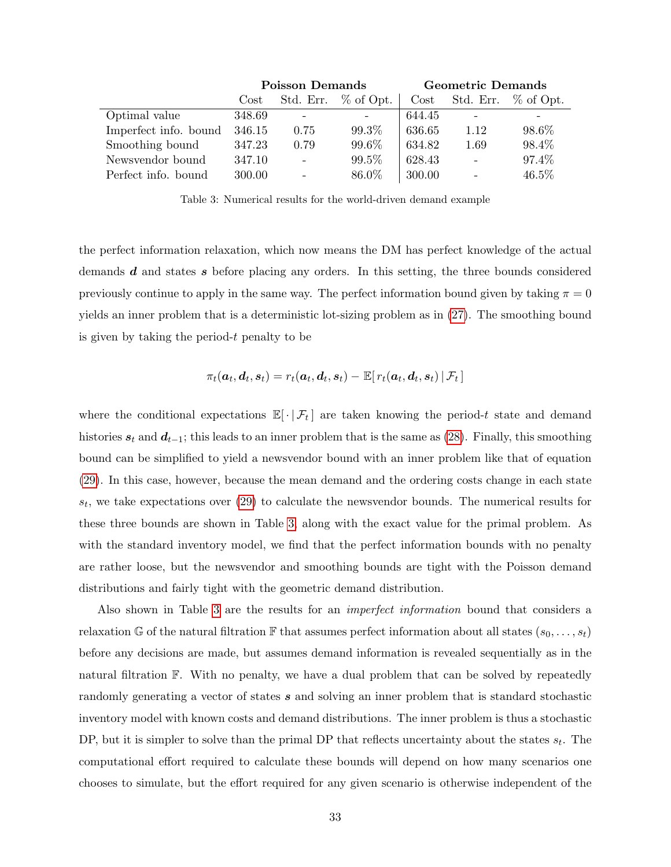<span id="page-33-0"></span>

|                       |            | <b>Poisson Demands</b>       |                        | <b>Geometric Demands</b> |                          |                        |  |
|-----------------------|------------|------------------------------|------------------------|--------------------------|--------------------------|------------------------|--|
|                       | $\rm Cost$ |                              | Std. Err. $\%$ of Opt. | $\rm Cost$               |                          | Std. Err. $\%$ of Opt. |  |
| Optimal value         | 348.69     | $\qquad \qquad \blacksquare$ |                        | 644.45                   |                          |                        |  |
| Imperfect info. bound | 346.15     | 0.75                         | 99.3%                  | 636.65                   | 1.12                     | 98.6%                  |  |
| Smoothing bound       | 347.23     | 0.79                         | 99.6%                  | 634.82                   | 1.69                     | 98.4%                  |  |
| Newsvendor bound      | 347.10     | $\equiv$                     | 99.5%                  | 628.43                   |                          | 97.4\%                 |  |
| Perfect info. bound   | 300.00     | $\overline{\phantom{a}}$     | 86.0%                  | 300.00                   | $\overline{\phantom{0}}$ | 46.5%                  |  |

Table 3: Numerical results for the world-driven demand example

the perfect information relaxation, which now means the DM has perfect knowledge of the actual demands d and states s before placing any orders. In this setting, the three bounds considered previously continue to apply in the same way. The perfect information bound given by taking  $\pi = 0$ yields an inner problem that is a deterministic lot-sizing problem as in [\(27\)](#page-28-0). The smoothing bound is given by taking the period- $t$  penalty to be

$$
\pi_t(\boldsymbol{a}_t, \boldsymbol{d}_t, \boldsymbol{s}_t) = r_t(\boldsymbol{a}_t, \boldsymbol{d}_t, \boldsymbol{s}_t) - \mathbb{E}[\left. r_t(\boldsymbol{a}_t, \boldsymbol{d}_t, \boldsymbol{s}_t) \,\right| \mathcal{F}_t \,]
$$

where the conditional expectations  $\mathbb{E}[\cdot | \mathcal{F}_t]$  are taken knowing the period-t state and demand histories  $s_t$  and  $d_{t-1}$ ; this leads to an inner problem that is the same as [\(28\)](#page-28-1). Finally, this smoothing bound can be simplified to yield a newsvendor bound with an inner problem like that of equation [\(29\)](#page-29-0). In this case, however, because the mean demand and the ordering costs change in each state  $s_t$ , we take expectations over  $(29)$  to calculate the newsvendor bounds. The numerical results for these three bounds are shown in Table [3,](#page-33-0) along with the exact value for the primal problem. As with the standard inventory model, we find that the perfect information bounds with no penalty are rather loose, but the newsvendor and smoothing bounds are tight with the Poisson demand distributions and fairly tight with the geometric demand distribution.

Also shown in Table [3](#page-33-0) are the results for an imperfect information bound that considers a relaxation G of the natural filtration F that assumes perfect information about all states  $(s_0, \ldots, s_t)$ before any decisions are made, but assumes demand information is revealed sequentially as in the natural filtration F. With no penalty, we have a dual problem that can be solved by repeatedly randomly generating a vector of states s and solving an inner problem that is standard stochastic inventory model with known costs and demand distributions. The inner problem is thus a stochastic DP, but it is simpler to solve than the primal DP that reflects uncertainty about the states  $s_t$ . The computational effort required to calculate these bounds will depend on how many scenarios one chooses to simulate, but the effort required for any given scenario is otherwise independent of the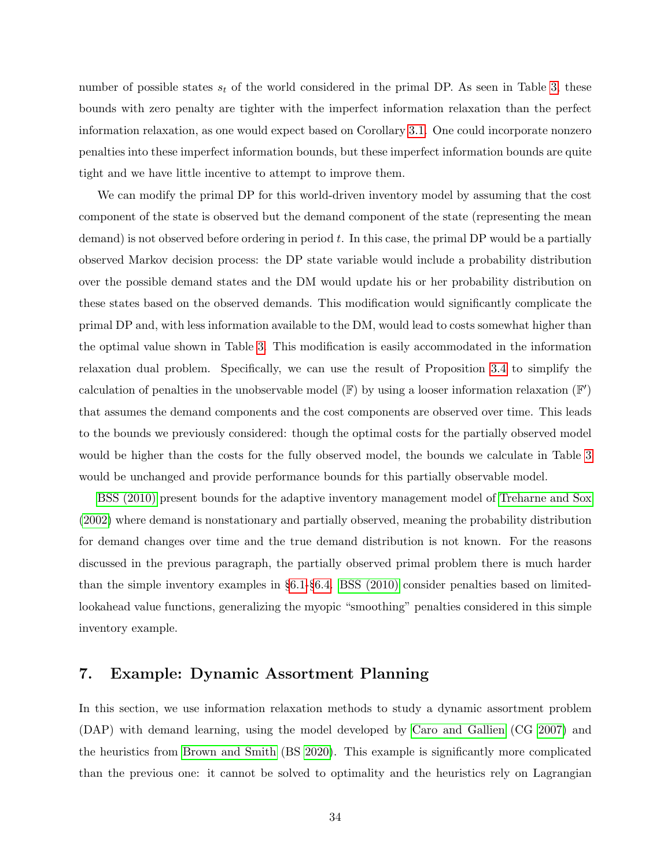number of possible states  $s_t$  of the world considered in the primal DP. As seen in Table [3,](#page-33-0) these bounds with zero penalty are tighter with the imperfect information relaxation than the perfect information relaxation, as one would expect based on Corollary [3.1.](#page-8-3) One could incorporate nonzero penalties into these imperfect information bounds, but these imperfect information bounds are quite tight and we have little incentive to attempt to improve them.

We can modify the primal DP for this world-driven inventory model by assuming that the cost component of the state is observed but the demand component of the state (representing the mean demand) is not observed before ordering in period  $t$ . In this case, the primal DP would be a partially observed Markov decision process: the DP state variable would include a probability distribution over the possible demand states and the DM would update his or her probability distribution on these states based on the observed demands. This modification would significantly complicate the primal DP and, with less information available to the DM, would lead to costs somewhat higher than the optimal value shown in Table [3.](#page-33-0) This modification is easily accommodated in the information relaxation dual problem. Specifically, we can use the result of Proposition [3.4](#page-19-0) to simplify the calculation of penalties in the unobservable model ( $\mathbb{F}$ ) by using a looser information relaxation ( $\mathbb{F}'$ ) that assumes the demand components and the cost components are observed over time. This leads to the bounds we previously considered: though the optimal costs for the partially observed model would be higher than the costs for the fully observed model, the bounds we calculate in Table [3](#page-33-0) would be unchanged and provide performance bounds for this partially observable model.

[BSS \(2010\)](#page-64-0) present bounds for the adaptive inventory management model of [Treharne and Sox](#page-67-3) [\(2002\)](#page-67-3) where demand is nonstationary and partially observed, meaning the probability distribution for demand changes over time and the true demand distribution is not known. For the reasons discussed in the previous paragraph, the partially observed primal problem there is much harder than the simple inventory examples in §[6.1-](#page-26-1)§[6.4.](#page-31-0) [BSS \(2010\)](#page-64-0) consider penalties based on limitedlookahead value functions, generalizing the myopic "smoothing" penalties considered in this simple inventory example.

# <span id="page-34-0"></span>7. Example: Dynamic Assortment Planning

In this section, we use information relaxation methods to study a dynamic assortment problem (DAP) with demand learning, using the model developed by [Caro and Gallien](#page-64-2) (CG [2007\)](#page-64-2) and the heuristics from [Brown and Smith](#page-64-3) (BS [2020\)](#page-64-3). This example is significantly more complicated than the previous one: it cannot be solved to optimality and the heuristics rely on Lagrangian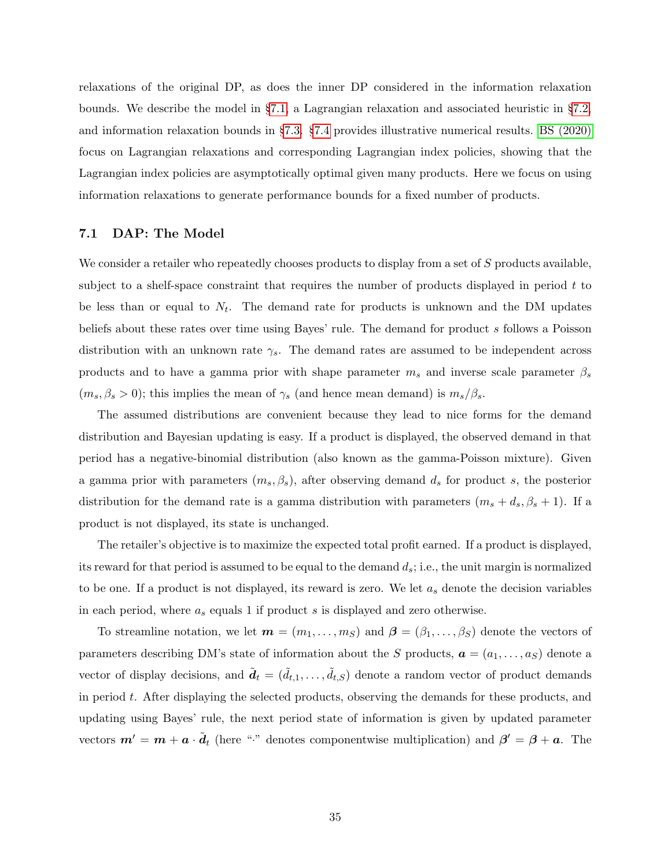relaxations of the original DP, as does the inner DP considered in the information relaxation bounds. We describe the model in §[7.1,](#page-35-0) a Lagrangian relaxation and associated heuristic in §[7.2,](#page-36-0) and information relaxation bounds in §[7.3.](#page-38-0) §[7.4](#page-45-0) provides illustrative numerical results. [BS \(2020\)](#page-64-3) focus on Lagrangian relaxations and corresponding Lagrangian index policies, showing that the Lagrangian index policies are asymptotically optimal given many products. Here we focus on using information relaxations to generate performance bounds for a fixed number of products.

### <span id="page-35-0"></span>7.1 DAP: The Model

We consider a retailer who repeatedly chooses products to display from a set of S products available, subject to a shelf-space constraint that requires the number of products displayed in period  $t$  to be less than or equal to  $N_t$ . The demand rate for products is unknown and the DM updates beliefs about these rates over time using Bayes' rule. The demand for product s follows a Poisson distribution with an unknown rate  $\gamma_s$ . The demand rates are assumed to be independent across products and to have a gamma prior with shape parameter  $m_s$  and inverse scale parameter  $\beta_s$  $(m_s, \beta_s > 0)$ ; this implies the mean of  $\gamma_s$  (and hence mean demand) is  $m_s/\beta_s$ .

The assumed distributions are convenient because they lead to nice forms for the demand distribution and Bayesian updating is easy. If a product is displayed, the observed demand in that period has a negative-binomial distribution (also known as the gamma-Poisson mixture). Given a gamma prior with parameters  $(m_s, \beta_s)$ , after observing demand  $d_s$  for product s, the posterior distribution for the demand rate is a gamma distribution with parameters  $(m_s + d_s, \beta_s + 1)$ . If a product is not displayed, its state is unchanged.

The retailer's objective is to maximize the expected total profit earned. If a product is displayed, its reward for that period is assumed to be equal to the demand  $d_s$ ; i.e., the unit margin is normalized to be one. If a product is not displayed, its reward is zero. We let  $a_s$  denote the decision variables in each period, where  $a_s$  equals 1 if product s is displayed and zero otherwise.

To streamline notation, we let  $\mathbf{m} = (m_1, \ldots, m_S)$  and  $\boldsymbol{\beta} = (\beta_1, \ldots, \beta_S)$  denote the vectors of parameters describing DM's state of information about the S products,  $\mathbf{a} = (a_1, \ldots, a_S)$  denote a vector of display decisions, and  $\tilde{\boldsymbol{d}}_t = (\tilde{d}_{t,1}, \ldots, \tilde{d}_{t,S})$  denote a random vector of product demands in period t. After displaying the selected products, observing the demands for these products, and updating using Bayes' rule, the next period state of information is given by updated parameter vectors  $m' = m + a \cdot \tilde{d}_t$  (here "." denotes componentwise multiplication) and  $\beta' = \beta + a$ . The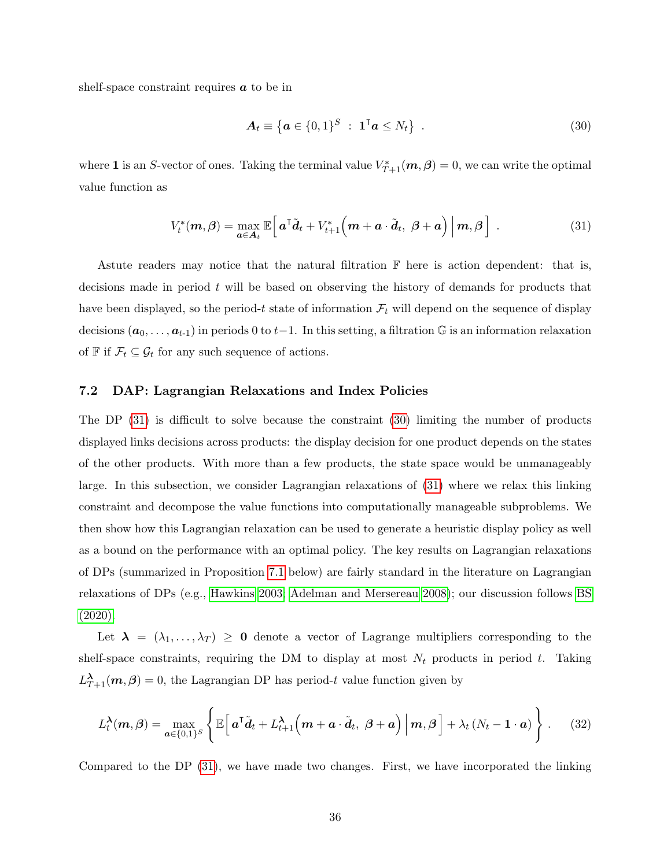shelf-space constraint requires  $\boldsymbol{a}$  to be in

<span id="page-36-2"></span>
$$
\mathbf{A}_t \equiv \left\{ \mathbf{a} \in \{0,1\}^S \; : \; \mathbf{1}^\mathsf{T} \mathbf{a} \le N_t \right\} \; . \tag{30}
$$

where 1 is an S-vector of ones. Taking the terminal value  $V^*_{T+1}(m, \beta) = 0$ , we can write the optimal value function as

<span id="page-36-1"></span>
$$
V_t^*(m,\beta) = \max_{a \in A_t} \mathbb{E}\left[a^{\mathsf{T}}\tilde{d}_t + V_{t+1}^*\Big(m + a \cdot \tilde{d}_t, \ \beta + a\Big)\Big|m,\beta\right] \ . \tag{31}
$$

Astute readers may notice that the natural filtration  $\mathbb F$  here is action dependent: that is, decisions made in period  $t$  will be based on observing the history of demands for products that have been displayed, so the period-t state of information  $\mathcal{F}_t$  will depend on the sequence of display decisions  $(a_0, \ldots, a_{t-1})$  in periods 0 to  $t-1$ . In this setting, a filtration  $\mathbb G$  is an information relaxation of  $\mathbb F$  if  $\mathcal F_t\subseteq \mathcal G_t$  for any such sequence of actions.

# <span id="page-36-0"></span>7.2 DAP: Lagrangian Relaxations and Index Policies

The DP [\(31\)](#page-36-1) is difficult to solve because the constraint [\(30\)](#page-36-2) limiting the number of products displayed links decisions across products: the display decision for one product depends on the states of the other products. With more than a few products, the state space would be unmanageably large. In this subsection, we consider Lagrangian relaxations of [\(31\)](#page-36-1) where we relax this linking constraint and decompose the value functions into computationally manageable subproblems. We then show how this Lagrangian relaxation can be used to generate a heuristic display policy as well as a bound on the performance with an optimal policy. The key results on Lagrangian relaxations of DPs (summarized in Proposition [7.1](#page-37-0) below) are fairly standard in the literature on Lagrangian relaxations of DPs (e.g., [Hawkins 2003;](#page-65-5) [Adelman and Mersereau 2008\)](#page-63-2); our discussion follows [BS](#page-64-3) [\(2020\).](#page-64-3)

Let  $\lambda = (\lambda_1, \ldots, \lambda_T) \geq 0$  denote a vector of Lagrange multipliers corresponding to the shelf-space constraints, requiring the DM to display at most  $N_t$  products in period t. Taking  $L_{T+1}^{\lambda}(m, \beta) = 0$ , the Lagrangian DP has period-t value function given by

<span id="page-36-3"></span>
$$
L_t^{\lambda}(m,\beta) = \max_{a \in \{0,1\}^S} \left\{ \mathbb{E} \left[ a^{\mathsf{T}} \tilde{d}_t + L_{t+1}^{\lambda} \left( m + a \cdot \tilde{d}_t, \ \beta + a \right) \Big| m, \beta \right] + \lambda_t \left( N_t - 1 \cdot a \right) \right\}.
$$
 (32)

Compared to the DP [\(31\)](#page-36-1), we have made two changes. First, we have incorporated the linking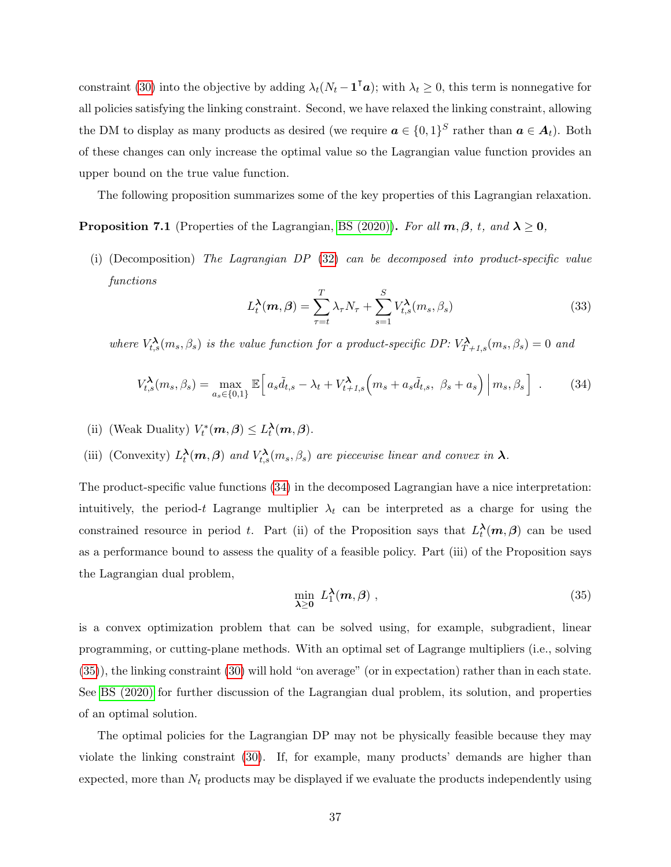constraint [\(30\)](#page-36-2) into the objective by adding  $\lambda_t (N_t - \mathbf{1}^\mathsf{T} \boldsymbol{a})$ ; with  $\lambda_t \geq 0$ , this term is nonnegative for all policies satisfying the linking constraint. Second, we have relaxed the linking constraint, allowing the DM to display as many products as desired (we require  $a \in \{0,1\}^S$  rather than  $a \in A_t$ ). Both of these changes can only increase the optimal value so the Lagrangian value function provides an upper bound on the true value function.

The following proposition summarizes some of the key properties of this Lagrangian relaxation.

<span id="page-37-0"></span>**Proposition 7.1** (Properties of the Lagrangian, [BS \(2020\)\)](#page-64-3). For all  $m, \beta, t$ , and  $\lambda \ge 0$ ,

(i) (Decomposition) The Lagrangian DP [\(32\)](#page-36-3) can be decomposed into product-specific value functions

<span id="page-37-3"></span>
$$
L_t^{\lambda}(m,\beta) = \sum_{\tau=t}^T \lambda_\tau N_\tau + \sum_{s=1}^S V_{t,s}^{\lambda}(m_s,\beta_s)
$$
 (33)

where  $V_{t,s}^{\lambda}(m_s, \beta_s)$  is the value function for a product-specific DP:  $V_{T+1,s}^{\lambda}(m_s, \beta_s) = 0$  and

<span id="page-37-1"></span>
$$
V_{t,s}^{\lambda}(m_s, \beta_s) = \max_{a_s \in \{0,1\}} \mathbb{E}\Big[a_s\tilde{d}_{t,s} - \lambda_t + V_{t+1,s}^{\lambda}(m_s + a_s\tilde{d}_{t,s}, \beta_s + a_s)\Big|m_s, \beta_s\Big] \tag{34}
$$

- (ii) (Weak Duality)  $V_t^*(m, \beta) \leq L_t^{\lambda}(m, \beta)$ .
- (iii) (Convexity)  $L_t^{\lambda}(m, \beta)$  and  $V_{t,s}^{\lambda}(m_s, \beta_s)$  are piecewise linear and convex in  $\lambda$ .

The product-specific value functions [\(34\)](#page-37-1) in the decomposed Lagrangian have a nice interpretation: intuitively, the period-t Lagrange multiplier  $\lambda_t$  can be interpreted as a charge for using the constrained resource in period t. Part (ii) of the Proposition says that  $L_t^{\lambda}(m, \beta)$  can be used as a performance bound to assess the quality of a feasible policy. Part (iii) of the Proposition says the Lagrangian dual problem,

<span id="page-37-2"></span>
$$
\min_{\lambda \ge 0} \; L_1^{\lambda}(m,\beta) \; , \tag{35}
$$

is a convex optimization problem that can be solved using, for example, subgradient, linear programming, or cutting-plane methods. With an optimal set of Lagrange multipliers (i.e., solving [\(35\)](#page-37-2)), the linking constraint [\(30\)](#page-36-2) will hold "on average" (or in expectation) rather than in each state. See [BS \(2020\)](#page-64-3) for further discussion of the Lagrangian dual problem, its solution, and properties of an optimal solution.

The optimal policies for the Lagrangian DP may not be physically feasible because they may violate the linking constraint [\(30\)](#page-36-2). If, for example, many products' demands are higher than expected, more than  $N_t$  products may be displayed if we evaluate the products independently using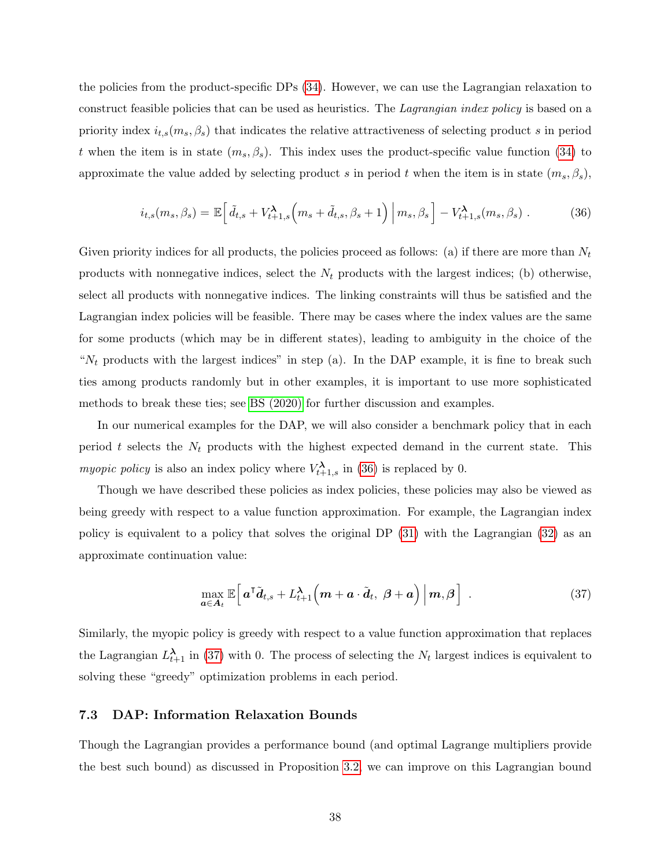the policies from the product-specific DPs [\(34\)](#page-37-1). However, we can use the Lagrangian relaxation to construct feasible policies that can be used as heuristics. The *Lagrangian index policy* is based on a priority index  $i_{t,s}(m_s, \beta_s)$  that indicates the relative attractiveness of selecting product s in period t when the item is in state  $(m_s, \beta_s)$ . This index uses the product-specific value function [\(34\)](#page-37-1) to approximate the value added by selecting product s in period t when the item is in state  $(m_s, \beta_s)$ ,

<span id="page-38-1"></span>
$$
i_{t,s}(m_s, \beta_s) = \mathbb{E}\left[\tilde{d}_{t,s} + V_{t+1,s}^{\lambda}\left(m_s + \tilde{d}_{t,s}, \beta_s + 1\right) \Big| m_s, \beta_s\right] - V_{t+1,s}^{\lambda}(m_s, \beta_s) \tag{36}
$$

Given priority indices for all products, the policies proceed as follows: (a) if there are more than  $N_t$ products with nonnegative indices, select the  $N_t$  products with the largest indices; (b) otherwise, select all products with nonnegative indices. The linking constraints will thus be satisfied and the Lagrangian index policies will be feasible. There may be cases where the index values are the same for some products (which may be in different states), leading to ambiguity in the choice of the " $N_t$  products with the largest indices" in step (a). In the DAP example, it is fine to break such ties among products randomly but in other examples, it is important to use more sophisticated methods to break these ties; see [BS \(2020\)](#page-64-3) for further discussion and examples.

In our numerical examples for the DAP, we will also consider a benchmark policy that in each period t selects the  $N_t$  products with the highest expected demand in the current state. This myopic policy is also an index policy where  $V_{t+1,s}^{\lambda}$  in [\(36\)](#page-38-1) is replaced by 0.

Though we have described these policies as index policies, these policies may also be viewed as being greedy with respect to a value function approximation. For example, the Lagrangian index policy is equivalent to a policy that solves the original DP [\(31\)](#page-36-1) with the Lagrangian [\(32\)](#page-36-3) as an approximate continuation value:

<span id="page-38-2"></span>
$$
\max_{\boldsymbol{a}\in\mathcal{A}_t}\mathbb{E}\left[\left.\boldsymbol{a}^{\mathsf{T}}\tilde{\boldsymbol{d}}_{t,s}+L_{t+1}^{\boldsymbol{\lambda}}\left(\boldsymbol{m}+\boldsymbol{a}\cdot\tilde{\boldsymbol{d}}_{t},\ \boldsymbol{\beta}+\boldsymbol{a}\right)\,\right|\boldsymbol{m},\boldsymbol{\beta}\right].
$$
\n(37)

Similarly, the myopic policy is greedy with respect to a value function approximation that replaces the Lagrangian  $L_{t+1}^{\lambda}$  in [\(37\)](#page-38-2) with 0. The process of selecting the  $N_t$  largest indices is equivalent to solving these "greedy" optimization problems in each period.

## <span id="page-38-0"></span>7.3 DAP: Information Relaxation Bounds

Though the Lagrangian provides a performance bound (and optimal Lagrange multipliers provide the best such bound) as discussed in Proposition [3.2,](#page-17-1) we can improve on this Lagrangian bound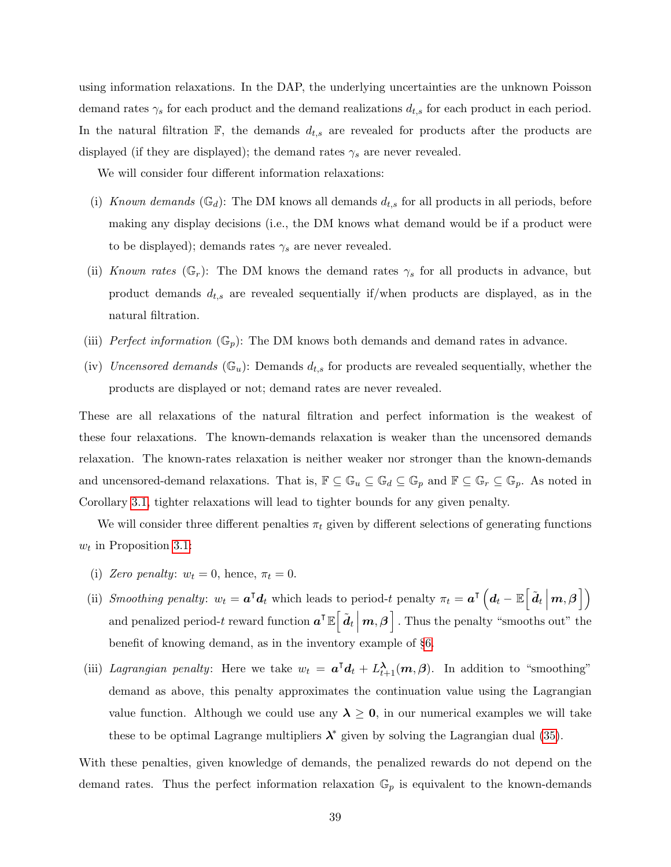using information relaxations. In the DAP, the underlying uncertainties are the unknown Poisson demand rates  $\gamma_s$  for each product and the demand realizations  $d_{t,s}$  for each product in each period. In the natural filtration  $\mathbb{F}$ , the demands  $d_{t,s}$  are revealed for products after the products are displayed (if they are displayed); the demand rates  $\gamma_s$  are never revealed.

We will consider four different information relaxations:

- (i) Known demands  $(\mathbb{G}_d)$ : The DM knows all demands  $d_{t,s}$  for all products in all periods, before making any display decisions (i.e., the DM knows what demand would be if a product were to be displayed); demands rates  $\gamma_s$  are never revealed.
- (ii) Known rates ( $\mathbb{G}_r$ ): The DM knows the demand rates  $\gamma_s$  for all products in advance, but product demands  $d_{t,s}$  are revealed sequentially if/when products are displayed, as in the natural filtration.
- (iii) Perfect information  $(\mathbb{G}_p)$ : The DM knows both demands and demand rates in advance.
- (iv) Uncensored demands  $(\mathbb{G}_u)$ : Demands  $d_{t,s}$  for products are revealed sequentially, whether the products are displayed or not; demand rates are never revealed.

These are all relaxations of the natural filtration and perfect information is the weakest of these four relaxations. The known-demands relaxation is weaker than the uncensored demands relaxation. The known-rates relaxation is neither weaker nor stronger than the known-demands and uncensored-demand relaxations. That is,  $\mathbb{F} \subseteq \mathbb{G}_u \subseteq \mathbb{G}_d \subseteq \mathbb{G}_p$  and  $\mathbb{F} \subseteq \mathbb{G}_r \subseteq \mathbb{G}_p$ . As noted in Corollary [3.1,](#page-8-3) tighter relaxations will lead to tighter bounds for any given penalty.

We will consider three different penalties  $\pi_t$  given by different selections of generating functions  $w_t$  in Proposition [3.1:](#page-12-1)

- (i) Zero penalty:  $w_t = 0$ , hence,  $\pi_t = 0$ .
- (ii) Smoothing penalty:  $w_t = \mathbf{a}^\mathsf{T} \mathbf{d}_t$  which leads to period-t penalty  $\pi_t = \mathbf{a}^\mathsf{T} \left( \mathbf{d}_t \mathbb{E} \left[ \tilde{\mathbf{d}}_t \right] \right)$  $m, \beta$ ] and penalized period-t reward function  $\mathbf{a}^\intercal \mathbb{E} \Big[ \tilde{\boldsymbol{d}}_t \Big|$  $m, \beta$  . Thus the penalty "smooths out" the benefit of knowing demand, as in the inventory example of §[6.](#page-26-0)
- (iii) Lagrangian penalty: Here we take  $w_t = \mathbf{a}^\mathsf{T} \mathbf{d}_t + L_{t+1}^{\lambda}(\mathbf{m}, \boldsymbol{\beta})$ . In addition to "smoothing" demand as above, this penalty approximates the continuation value using the Lagrangian value function. Although we could use any  $\lambda \geq 0$ , in our numerical examples we will take these to be optimal Lagrange multipliers  $\lambda^*$  given by solving the Lagrangian dual [\(35\)](#page-37-2).

With these penalties, given knowledge of demands, the penalized rewards do not depend on the demand rates. Thus the perfect information relaxation  $\mathbb{G}_p$  is equivalent to the known-demands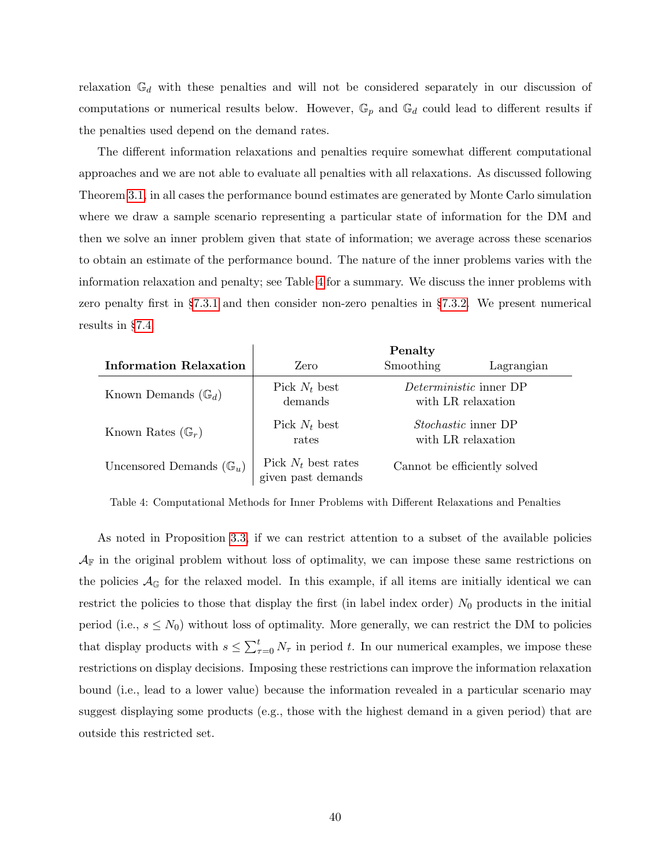relaxation  $\mathbb{G}_d$  with these penalties and will not be considered separately in our discussion of computations or numerical results below. However,  $\mathbb{G}_p$  and  $\mathbb{G}_d$  could lead to different results if the penalties used depend on the demand rates.

The different information relaxations and penalties require somewhat different computational approaches and we are not able to evaluate all penalties with all relaxations. As discussed following Theorem [3.1,](#page-8-2) in all cases the performance bound estimates are generated by Monte Carlo simulation where we draw a sample scenario representing a particular state of information for the DM and then we solve an inner problem given that state of information; we average across these scenarios to obtain an estimate of the performance bound. The nature of the inner problems varies with the information relaxation and penalty; see Table [4](#page-40-0) for a summary. We discuss the inner problems with zero penalty first in §[7.3.1](#page-41-0) and then consider non-zero penalties in §[7.3.2.](#page-41-1) We present numerical results in §[7.4.](#page-45-0)

<span id="page-40-0"></span>

|                                     | Penalty                                     |                                                     |            |  |  |  |  |  |
|-------------------------------------|---------------------------------------------|-----------------------------------------------------|------------|--|--|--|--|--|
| Information Relaxation              | Zero                                        | Smoothing                                           | Lagrangian |  |  |  |  |  |
| Known Demands $(\mathbb{G}_d)$      | Pick $N_t$ best<br>demands                  | <i>Deterministic</i> inner DP<br>with LR relaxation |            |  |  |  |  |  |
| Known Rates $(\mathbb{G}_r)$        | Pick $N_t$ best<br>rates                    | Stochastic inner DP<br>with LR relaxation           |            |  |  |  |  |  |
| Uncensored Demands $(\mathbb{G}_u)$ | Pick $N_t$ best rates<br>given past demands | Cannot be efficiently solved                        |            |  |  |  |  |  |

Table 4: Computational Methods for Inner Problems with Different Relaxations and Penalties

As noted in Proposition [3.3,](#page-18-1) if we can restrict attention to a subset of the available policies  $\mathcal{A}_{\mathbb{F}}$  in the original problem without loss of optimality, we can impose these same restrictions on the policies  $\mathcal{A}_{\mathbb{G}}$  for the relaxed model. In this example, if all items are initially identical we can restrict the policies to those that display the first (in label index order)  $N_0$  products in the initial period (i.e.,  $s \leq N_0$ ) without loss of optimality. More generally, we can restrict the DM to policies that display products with  $s \leq \sum_{\tau=0}^{t} N_{\tau}$  in period t. In our numerical examples, we impose these restrictions on display decisions. Imposing these restrictions can improve the information relaxation bound (i.e., lead to a lower value) because the information revealed in a particular scenario may suggest displaying some products (e.g., those with the highest demand in a given period) that are outside this restricted set.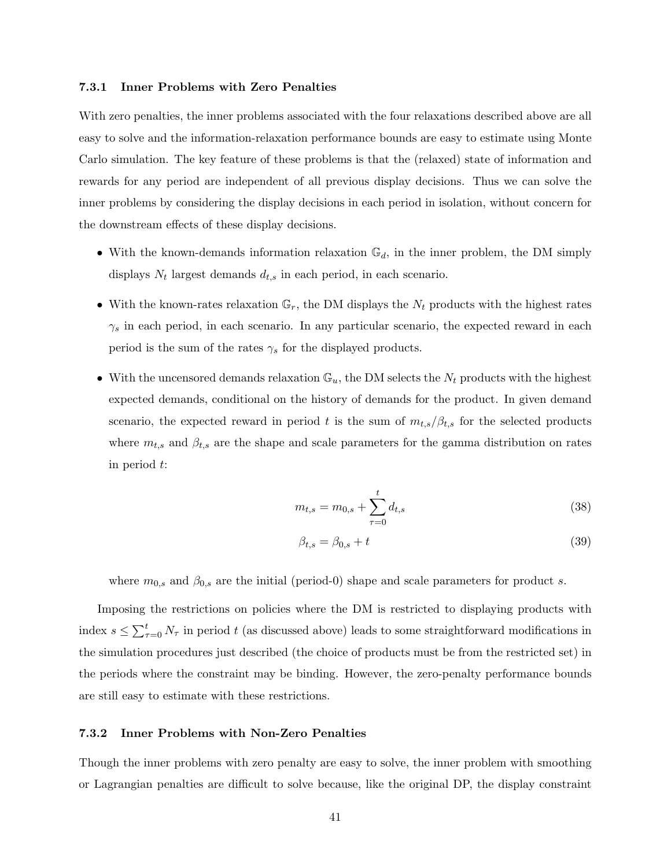#### <span id="page-41-0"></span>7.3.1 Inner Problems with Zero Penalties

With zero penalties, the inner problems associated with the four relaxations described above are all easy to solve and the information-relaxation performance bounds are easy to estimate using Monte Carlo simulation. The key feature of these problems is that the (relaxed) state of information and rewards for any period are independent of all previous display decisions. Thus we can solve the inner problems by considering the display decisions in each period in isolation, without concern for the downstream effects of these display decisions.

- With the known-demands information relaxation  $\mathbb{G}_d$ , in the inner problem, the DM simply displays  $N_t$  largest demands  $d_{t,s}$  in each period, in each scenario.
- With the known-rates relaxation  $\mathbb{G}_r$ , the DM displays the  $N_t$  products with the highest rates  $\gamma_s$  in each period, in each scenario. In any particular scenario, the expected reward in each period is the sum of the rates  $\gamma_s$  for the displayed products.
- With the uncensored demands relaxation  $\mathbb{G}_u$ , the DM selects the  $N_t$  products with the highest expected demands, conditional on the history of demands for the product. In given demand scenario, the expected reward in period t is the sum of  $m_{t,s}/\beta_{t,s}$  for the selected products where  $m_{t,s}$  and  $\beta_{t,s}$  are the shape and scale parameters for the gamma distribution on rates in period t:

<span id="page-41-2"></span>
$$
m_{t,s} = m_{0,s} + \sum_{\tau=0}^{t} d_{t,s}
$$
\n(38)

<span id="page-41-3"></span>
$$
\beta_{t,s} = \beta_{0,s} + t \tag{39}
$$

where  $m_{0,s}$  and  $\beta_{0,s}$  are the initial (period-0) shape and scale parameters for product s.

Imposing the restrictions on policies where the DM is restricted to displaying products with index  $s \le \sum_{\tau=0}^t N_\tau$  in period t (as discussed above) leads to some straightforward modifications in the simulation procedures just described (the choice of products must be from the restricted set) in the periods where the constraint may be binding. However, the zero-penalty performance bounds are still easy to estimate with these restrictions.

#### <span id="page-41-1"></span>7.3.2 Inner Problems with Non-Zero Penalties

Though the inner problems with zero penalty are easy to solve, the inner problem with smoothing or Lagrangian penalties are difficult to solve because, like the original DP, the display constraint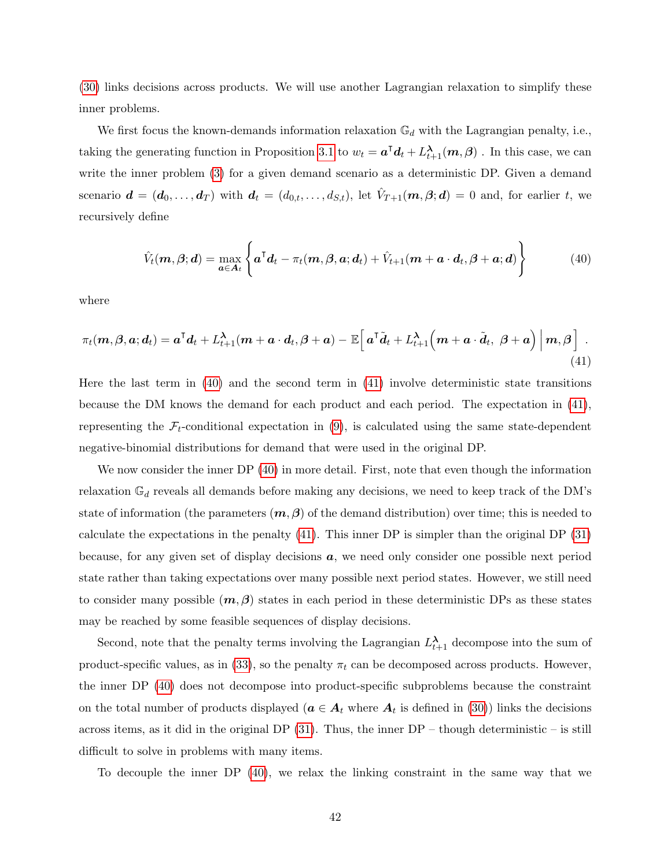[\(30\)](#page-36-2) links decisions across products. We will use another Lagrangian relaxation to simplify these inner problems.

We first focus the known-demands information relaxation  $\mathbb{G}_d$  with the Lagrangian penalty, i.e., taking the generating function in Proposition [3.1](#page-12-1) to  $w_t = \bm{a}^\intercal \bm{d}_t + L_{t+1}^{\bm{\lambda}}(\bm{m}, \bm{\beta})$ . In this case, we can write the inner problem [\(3\)](#page-8-1) for a given demand scenario as a deterministic DP. Given a demand scenario  $\mathbf{d} = (\mathbf{d}_0, \dots, \mathbf{d}_T)$  with  $\mathbf{d}_t = (d_{0,t}, \dots, d_{S,t})$ , let  $\hat{V}_{T+1}(\mathbf{m}, \beta; \mathbf{d}) = 0$  and, for earlier t, we recursively define

<span id="page-42-0"></span>
$$
\hat{V}_t(\boldsymbol{m}, \boldsymbol{\beta}; \boldsymbol{d}) = \max_{\boldsymbol{a} \in A_t} \left\{ \boldsymbol{a}^\top \boldsymbol{d}_t - \pi_t(\boldsymbol{m}, \boldsymbol{\beta}, \boldsymbol{a}; \boldsymbol{d}_t) + \hat{V}_{t+1}(\boldsymbol{m} + \boldsymbol{a} \cdot \boldsymbol{d}_t, \boldsymbol{\beta} + \boldsymbol{a}; \boldsymbol{d}) \right\}
$$
(40)

where

<span id="page-42-1"></span>
$$
\pi_t(\mathbf{m}, \boldsymbol{\beta}, \mathbf{a}; d_t) = \mathbf{a}^\mathsf{T} d_t + L_{t+1}^\lambda(\mathbf{m} + \mathbf{a} \cdot d_t, \boldsymbol{\beta} + \mathbf{a}) - \mathbb{E}\Big[\mathbf{a}^\mathsf{T} \tilde{d}_t + L_{t+1}^\lambda\Big(\mathbf{m} + \mathbf{a} \cdot \tilde{d}_t, \boldsymbol{\beta} + \mathbf{a}\Big)\Big|\mathbf{m}, \boldsymbol{\beta}\Big].
$$
\n(41)

Here the last term in [\(40\)](#page-42-0) and the second term in [\(41\)](#page-42-1) involve deterministic state transitions because the DM knows the demand for each product and each period. The expectation in [\(41\)](#page-42-1), representing the  $\mathcal{F}_t$ -conditional expectation in [\(9\)](#page-11-1), is calculated using the same state-dependent negative-binomial distributions for demand that were used in the original DP.

We now consider the inner DP  $(40)$  in more detail. First, note that even though the information relaxation  $\mathbb{G}_d$  reveals all demands before making any decisions, we need to keep track of the DM's state of information (the parameters  $(m, \beta)$  of the demand distribution) over time; this is needed to calculate the expectations in the penalty [\(41\)](#page-42-1). This inner DP is simpler than the original DP [\(31\)](#page-36-1) because, for any given set of display decisions a, we need only consider one possible next period state rather than taking expectations over many possible next period states. However, we still need to consider many possible  $(m, \beta)$  states in each period in these deterministic DPs as these states may be reached by some feasible sequences of display decisions.

Second, note that the penalty terms involving the Lagrangian  $L_{t+1}^{\lambda}$  decompose into the sum of product-specific values, as in  $(33)$ , so the penalty  $\pi_t$  can be decomposed across products. However, the inner DP [\(40\)](#page-42-0) does not decompose into product-specific subproblems because the constraint on the total number of products displayed  $(a \in A_t$  where  $A_t$  is defined in [\(30\)](#page-36-2)) links the decisions across items, as it did in the original DP  $(31)$ . Thus, the inner DP – though deterministic – is still difficult to solve in problems with many items.

To decouple the inner DP [\(40\)](#page-42-0), we relax the linking constraint in the same way that we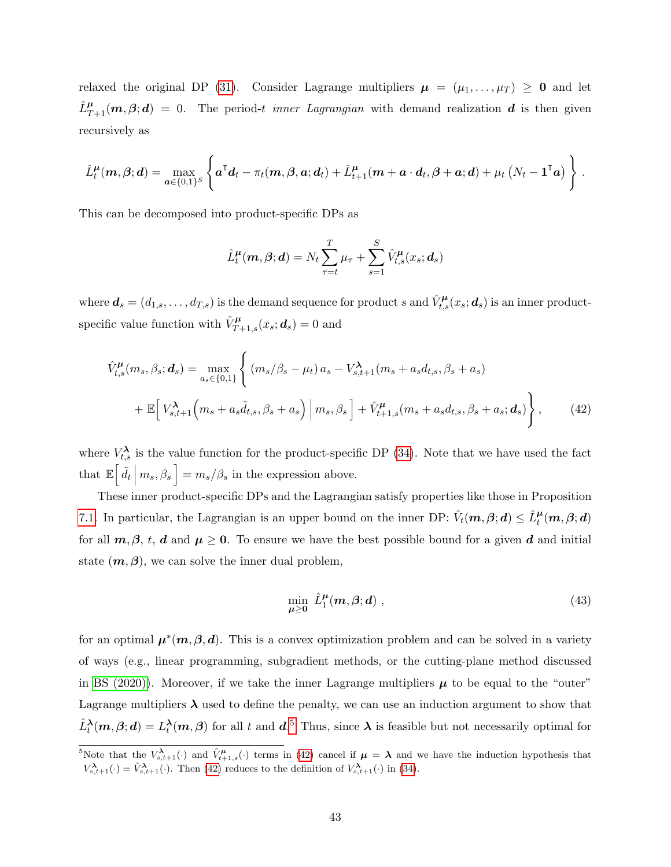relaxed the original DP [\(31\)](#page-36-1). Consider Lagrange multipliers  $\mu = (\mu_1, \ldots, \mu_T) \geq 0$  and let  $\hat{L}_{T+1}^{\mu}(m, \beta; d) = 0$ . The period-t inner Lagrangian with demand realization d is then given recursively as

$$
\hat{L}^{\mu}_t(\boldsymbol{m},\boldsymbol{\beta};\boldsymbol{d})=\max_{\boldsymbol{a}\in\{0,1\}^S}\left\{\boldsymbol{a}^{\mathsf{T}}\boldsymbol{d}_t-\pi_t(\boldsymbol{m},\boldsymbol{\beta},\boldsymbol{a};\boldsymbol{d}_t)+\hat{L}^{\mu}_{t+1}(\boldsymbol{m}+\boldsymbol{a}\cdot\boldsymbol{d}_t,\boldsymbol{\beta}+\boldsymbol{a};\boldsymbol{d})+\mu_t\left(N_t-\boldsymbol{1}^{\mathsf{T}}\boldsymbol{a}\right)\right\}\,.
$$

This can be decomposed into product-specific DPs as

<span id="page-43-0"></span>
$$
\hat{L}^{\mu}_{t}(\boldsymbol{m},\boldsymbol{\beta};\boldsymbol{d})=N_{t}\sum_{\tau=t}^{T}\mu_{\tau}+\sum_{s=1}^{S}\hat{V}^{\mu}_{t,s}(x_{s};\boldsymbol{d}_{s})
$$

where  $\bm{d}_s=(d_{1,s},\ldots,d_{T,s})$  is the demand sequence for product s and  $\hat{V}^{\bm\mu}_{t,s}(x_s;\bm{d}_s)$  is an inner productspecific value function with  $\hat{V}_{T+1,s}^{\mu}(x_s; \boldsymbol{d}_s) = 0$  and

$$
\hat{V}_{t,s}^{\mu}(m_s, \beta_s; \mathbf{d}_s) = \max_{a_s \in \{0,1\}} \left\{ (m_s/\beta_s - \mu_t) a_s - V_{s,t+1}^{\lambda}(m_s + a_s d_{t,s}, \beta_s + a_s) + \mathbb{E} \Big[ V_{s,t+1}^{\lambda} \Big( m_s + a_s \tilde{d}_{t,s}, \beta_s + a_s \Big) \Big| m_s, \beta_s \Big] + \hat{V}_{t+1,s}^{\mu}(m_s + a_s d_{t,s}, \beta_s + a_s; \mathbf{d}_s) \right\},
$$
\n(42)

where  $V_{t,s}^{\lambda}$  is the value function for the product-specific DP [\(34\)](#page-37-1). Note that we have used the fact that  $\mathbb{E}\left[\tilde{d}_t \middle| m_s, \beta_s\right] = m_s/\beta_s$  in the expression above.

These inner product-specific DPs and the Lagrangian satisfy properties like those in Proposition [7.1.](#page-37-0) In particular, the Lagrangian is an upper bound on the inner DP:  $\hat{V}_t(\mathbf{m}, \beta; \mathbf{d}) \leq \hat{L}_t^{\mu}(\mathbf{m}, \beta; \mathbf{d})$ for all  $m, \beta, t, d$  and  $\mu \geq 0$ . To ensure we have the best possible bound for a given d and initial state  $(m, \beta)$ , we can solve the inner dual problem,

<span id="page-43-1"></span>
$$
\min_{\mu \ge 0} \hat{L}_1^{\mu}(m, \beta; d) \tag{43}
$$

for an optimal  $\mu^*(m, \beta, d)$ . This is a convex optimization problem and can be solved in a variety of ways (e.g., linear programming, subgradient methods, or the cutting-plane method discussed in [BS \(2020\)\)](#page-64-3). Moreover, if we take the inner Lagrange multipliers  $\mu$  to be equal to the "outer" Lagrange multipliers  $\lambda$  used to define the penalty, we can use an induction argument to show that  $\hat{L}_t^{\lambda}(m, \beta; d) = L_t^{\lambda}(m, \beta)$  for all t and  $d^{.5}$  $d^{.5}$  $d^{.5}$  Thus, since  $\lambda$  is feasible but not necessarily optimal for

<sup>&</sup>lt;sup>5</sup>Note that the  $V_{s,t+1}^{\lambda}(\cdot)$  and  $\hat{V}_{t+1,s}^{\mu}(\cdot)$  terms in [\(42\)](#page-43-0) cancel if  $\mu = \lambda$  and we have the induction hypothesis that  $V_{s,t+1}^{\lambda}(\cdot) = \hat{V}_{s,t+1}^{\lambda}(\cdot)$ . Then [\(42\)](#page-43-0) reduces to the definition of  $V_{s,t+1}^{\lambda}(\cdot)$  in [\(34\)](#page-37-1).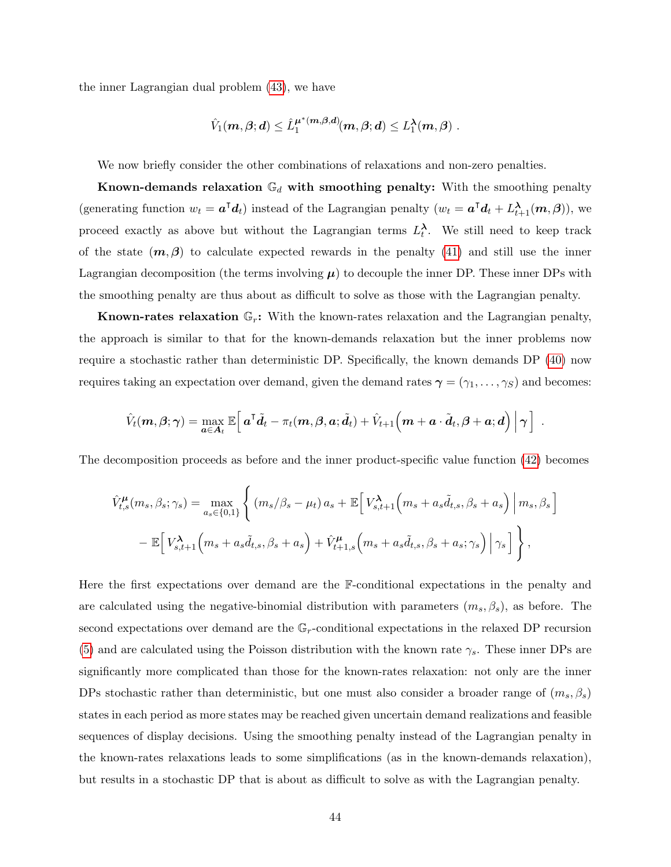the inner Lagrangian dual problem [\(43\)](#page-43-1), we have

$$
\hat{V}_1(\boldsymbol{m},\boldsymbol{\beta};\boldsymbol{d})\leq \hat{L}_1^{\boldsymbol{\mu}^*(\boldsymbol{m},\boldsymbol{\beta},\boldsymbol{d})}(\boldsymbol{m},\boldsymbol{\beta};\boldsymbol{d})\leq L_1^\boldsymbol{\lambda}(\boldsymbol{m},\boldsymbol{\beta})\;.
$$

We now briefly consider the other combinations of relaxations and non-zero penalties.

Known-demands relaxation  $\mathbb{G}_d$  with smoothing penalty: With the smoothing penalty (generating function  $w_t = \mathbf{a}^\mathsf{T} \mathbf{d}_t$ ) instead of the Lagrangian penalty  $(w_t = \mathbf{a}^\mathsf{T} \mathbf{d}_t + L_{t+1}^{\lambda}(\mathbf{m}, \beta))$ , we proceed exactly as above but without the Lagrangian terms  $L_t^{\lambda}$ . We still need to keep track of the state  $(m, \beta)$  to calculate expected rewards in the penalty [\(41\)](#page-42-1) and still use the inner Lagrangian decomposition (the terms involving  $\mu$ ) to decouple the inner DP. These inner DPs with the smoothing penalty are thus about as difficult to solve as those with the Lagrangian penalty.

**Known-rates relaxation**  $\mathbb{G}_r$ : With the known-rates relaxation and the Lagrangian penalty, the approach is similar to that for the known-demands relaxation but the inner problems now require a stochastic rather than deterministic DP. Specifically, the known demands DP [\(40\)](#page-42-0) now requires taking an expectation over demand, given the demand rates  $\gamma = (\gamma_1, \dots, \gamma_S)$  and becomes:

$$
\hat{V}_t(\boldsymbol{m}, \boldsymbol{\beta};\boldsymbol{\gamma}) = \max_{\boldsymbol{a} \in \boldsymbol{A}_t} \mathbb{E}\Big[\, \boldsymbol{a}^\intercal \tilde{\boldsymbol{d}}_t - \pi_t(\boldsymbol{m}, \boldsymbol{\beta}, \boldsymbol{a}; \tilde{\boldsymbol{d}}_t) + \hat{V}_{t+1}\Big(\boldsymbol{m} + \boldsymbol{a} \cdot \tilde{\boldsymbol{d}}_t, \boldsymbol{\beta} + \boldsymbol{a}; \boldsymbol{d} \Big) \,\Big|\, \boldsymbol{\gamma} \,\Big] \enspace.
$$

The decomposition proceeds as before and the inner product-specific value function [\(42\)](#page-43-0) becomes

$$
\hat{V}_{t,s}^{\mu}(m_s, \beta_s; \gamma_s) = \max_{a_s \in \{0,1\}} \left\{ (m_s/\beta_s - \mu_t) a_s + \mathbb{E} \Big[ V_{s,t+1}^{\lambda}(m_s + a_s \tilde{d}_{t,s}, \beta_s + a_s) \Big| m_s, \beta_s \Big] - \mathbb{E} \Big[ V_{s,t+1}^{\lambda}(m_s + a_s \tilde{d}_{t,s}, \beta_s + a_s) + \hat{V}_{t+1,s}^{\mu}(m_s + a_s \tilde{d}_{t,s}, \beta_s + a_s; \gamma_s) \Big| \gamma_s \Big] \right\},
$$

Here the first expectations over demand are the F-conditional expectations in the penalty and are calculated using the negative-binomial distribution with parameters  $(m_s, \beta_s)$ , as before. The second expectations over demand are the  $\mathbb{G}_r$ -conditional expectations in the relaxed DP recursion [\(5\)](#page-9-0) and are calculated using the Poisson distribution with the known rate  $\gamma_s$ . These inner DPs are significantly more complicated than those for the known-rates relaxation: not only are the inner DPs stochastic rather than deterministic, but one must also consider a broader range of  $(m_s, \beta_s)$ states in each period as more states may be reached given uncertain demand realizations and feasible sequences of display decisions. Using the smoothing penalty instead of the Lagrangian penalty in the known-rates relaxations leads to some simplifications (as in the known-demands relaxation), but results in a stochastic DP that is about as difficult to solve as with the Lagrangian penalty.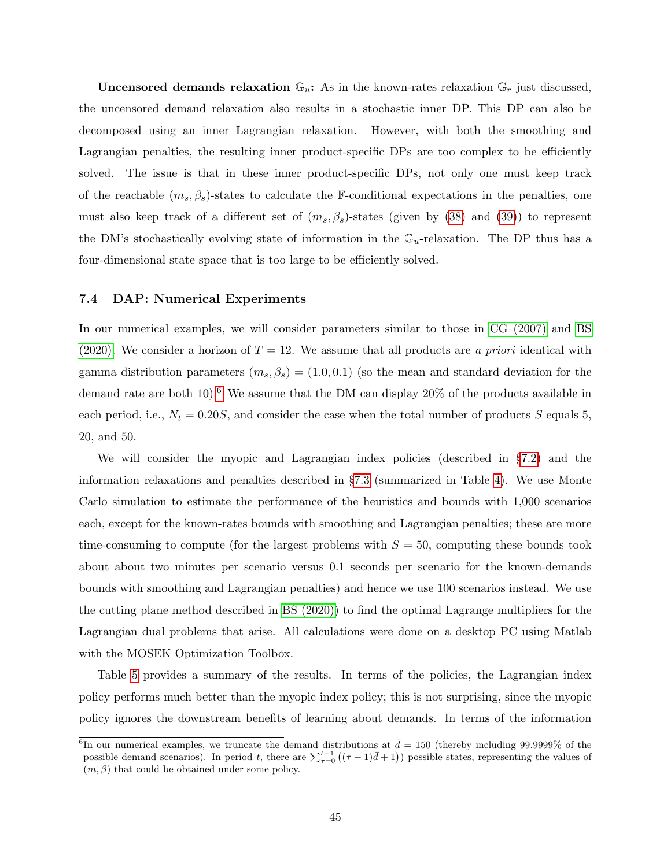**Uncensored demands relaxation**  $\mathbb{G}_u$ : As in the known-rates relaxation  $\mathbb{G}_r$  just discussed, the uncensored demand relaxation also results in a stochastic inner DP. This DP can also be decomposed using an inner Lagrangian relaxation. However, with both the smoothing and Lagrangian penalties, the resulting inner product-specific DPs are too complex to be efficiently solved. The issue is that in these inner product-specific DPs, not only one must keep track of the reachable  $(m_s, \beta_s)$ -states to calculate the F-conditional expectations in the penalties, one must also keep track of a different set of  $(m_s, \beta_s)$ -states (given by [\(38\)](#page-41-2) and [\(39\)](#page-41-3)) to represent the DM's stochastically evolving state of information in the  $\mathbb{G}_u$ -relaxation. The DP thus has a four-dimensional state space that is too large to be efficiently solved.

## <span id="page-45-0"></span>7.4 DAP: Numerical Experiments

In our numerical examples, we will consider parameters similar to those in [CG \(2007\)](#page-64-2) and [BS](#page-64-3) [\(2020\).](#page-64-3) We consider a horizon of  $T = 12$ . We assume that all products are a priori identical with gamma distribution parameters  $(m_s, \beta_s) = (1.0, 0.1)$  (so the mean and standard deviation for the demand rate are both 10).<sup>[6](#page-0-0)</sup> We assume that the DM can display  $20\%$  of the products available in each period, i.e.,  $N_t = 0.20S$ , and consider the case when the total number of products S equals 5, 20, and 50.

We will consider the myopic and Lagrangian index policies (described in §[7.2\)](#page-36-0) and the information relaxations and penalties described in §[7.3](#page-38-0) (summarized in Table [4\)](#page-40-0). We use Monte Carlo simulation to estimate the performance of the heuristics and bounds with 1,000 scenarios each, except for the known-rates bounds with smoothing and Lagrangian penalties; these are more time-consuming to compute (for the largest problems with  $S = 50$ , computing these bounds took about about two minutes per scenario versus 0.1 seconds per scenario for the known-demands bounds with smoothing and Lagrangian penalties) and hence we use 100 scenarios instead. We use the cutting plane method described in [BS \(2020\)\)](#page-64-3) to find the optimal Lagrange multipliers for the Lagrangian dual problems that arise. All calculations were done on a desktop PC using Matlab with the MOSEK Optimization Toolbox.

Table [5](#page-46-0) provides a summary of the results. In terms of the policies, the Lagrangian index policy performs much better than the myopic index policy; this is not surprising, since the myopic policy ignores the downstream benefits of learning about demands. In terms of the information

<sup>&</sup>lt;sup>6</sup>In our numerical examples, we truncate the demand distributions at  $\bar{d} = 150$  (thereby including 99.9999% of the possible demand scenarios). In period t, there are  $\sum_{\tau=0}^{t-1} ((\tau-1)\bar{d}+1)$  possible states, representing the values of  $(m, \beta)$  that could be obtained under some policy.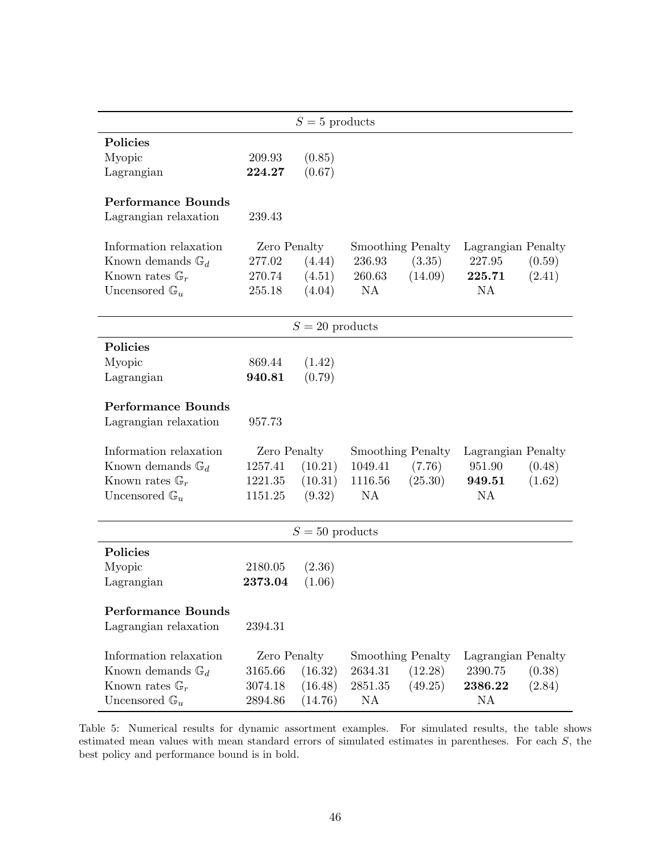<span id="page-46-0"></span>

|                              |              | $S=5$ products    |                          |         |                    |        |
|------------------------------|--------------|-------------------|--------------------------|---------|--------------------|--------|
| <b>Policies</b>              |              |                   |                          |         |                    |        |
| Myopic                       | 209.93       | (0.85)            |                          |         |                    |        |
| Lagrangian                   | 224.27       | (0.67)            |                          |         |                    |        |
|                              |              |                   |                          |         |                    |        |
| <b>Performance Bounds</b>    |              |                   |                          |         |                    |        |
| Lagrangian relaxation        | 239.43       |                   |                          |         |                    |        |
| Information relaxation       | Zero Penalty |                   | <b>Smoothing Penalty</b> |         | Lagrangian Penalty |        |
| Known demands $\mathbb{G}_d$ | 277.02       | (4.44)            | 236.93                   | (3.35)  | 227.95             | (0.59) |
| Known rates $\mathbb{G}_r$   | 270.74       | (4.51)            | 260.63                   | (14.09) | 225.71             | (2.41) |
| Uncensored $\mathbb{G}_u$    | 255.18       | (4.04)            | <b>NA</b>                |         | NA.                |        |
|                              |              |                   |                          |         |                    |        |
|                              |              | $S = 20$ products |                          |         |                    |        |
| Policies                     |              |                   |                          |         |                    |        |
| Myopic                       | 869.44       | (1.42)            |                          |         |                    |        |
| Lagrangian                   | 940.81       | (0.79)            |                          |         |                    |        |
|                              |              |                   |                          |         |                    |        |
| <b>Performance Bounds</b>    |              |                   |                          |         |                    |        |
| Lagrangian relaxation        | 957.73       |                   |                          |         |                    |        |
|                              |              |                   |                          |         |                    |        |
| Information relaxation       | Zero Penalty |                   | <b>Smoothing Penalty</b> |         | Lagrangian Penalty |        |
| Known demands $\mathbb{G}_d$ | 1257.41      | (10.21)           | 1049.41                  | (7.76)  | 951.90             | (0.48) |
| Known rates $\mathbb{G}_r$   | 1221.35      | (10.31)           | 1116.56                  | (25.30) | 949.51             | (1.62) |
| Uncensored $\mathbb{G}_u$    | 1151.25      | (9.32)            | <b>NA</b>                |         | <b>NA</b>          |        |
|                              |              |                   |                          |         |                    |        |
|                              |              | $S = 50$ products |                          |         |                    |        |
| Policies                     |              |                   |                          |         |                    |        |
| Myopic                       | 2180.05      | (2.36)            |                          |         |                    |        |
| Lagrangian                   | 2373.04      | (1.06)            |                          |         |                    |        |
|                              |              |                   |                          |         |                    |        |
| <b>Performance Bounds</b>    |              |                   |                          |         |                    |        |
| Lagrangian relaxation        | 2394.31      |                   |                          |         |                    |        |
| Information relaxation       | Zero Penalty |                   | <b>Smoothing Penalty</b> |         | Lagrangian Penalty |        |
| Known demands $\mathbb{G}_d$ | 3165.66      | (16.32)           | 2634.31                  | (12.28) | 2390.75            | (0.38) |
| Known rates $\mathbb{G}_r$   | 3074.18      | (16.48)           | 2851.35                  | (49.25) | 2386.22            | (2.84) |
| Uncensored $\mathbb{G}_u$    | 2894.86      | (14.76)           | NA                       |         | NA                 |        |

Table 5: Numerical results for dynamic assortment examples. For simulated results, the table shows estimated mean values with mean standard errors of simulated estimates in parentheses. For each S, the best policy and performance bound is in bold.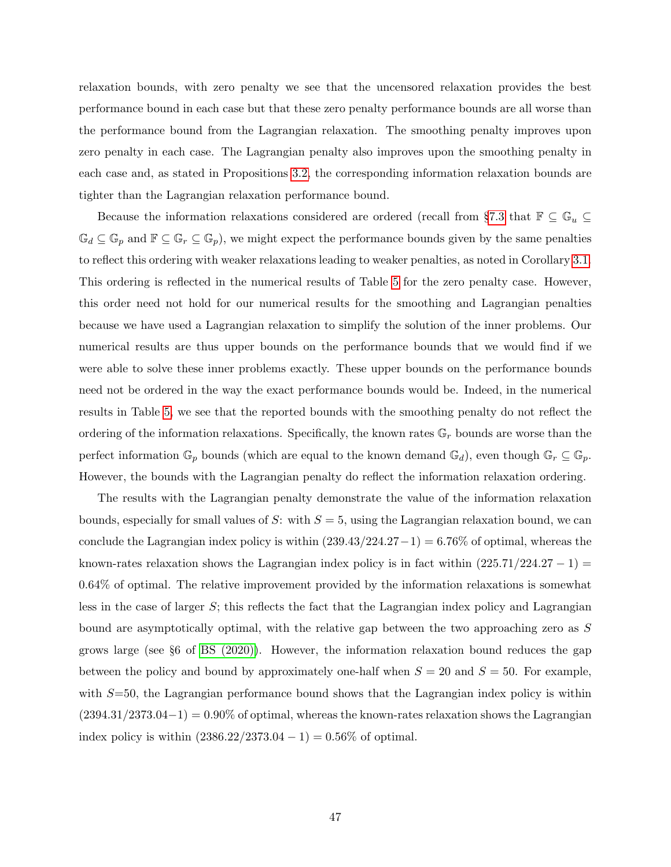relaxation bounds, with zero penalty we see that the uncensored relaxation provides the best performance bound in each case but that these zero penalty performance bounds are all worse than the performance bound from the Lagrangian relaxation. The smoothing penalty improves upon zero penalty in each case. The Lagrangian penalty also improves upon the smoothing penalty in each case and, as stated in Propositions [3.2,](#page-17-1) the corresponding information relaxation bounds are tighter than the Lagrangian relaxation performance bound.

Because the information relaxations considered are ordered (recall from §[7.3](#page-38-0) that  $\mathbb{F} \subseteq \mathbb{G}_u \subseteq$  $\mathbb{G}_d \subseteq \mathbb{G}_p$  and  $\mathbb{F} \subseteq \mathbb{G}_r \subseteq \mathbb{G}_p$ , we might expect the performance bounds given by the same penalties to reflect this ordering with weaker relaxations leading to weaker penalties, as noted in Corollary [3.1.](#page-8-3) This ordering is reflected in the numerical results of Table [5](#page-46-0) for the zero penalty case. However, this order need not hold for our numerical results for the smoothing and Lagrangian penalties because we have used a Lagrangian relaxation to simplify the solution of the inner problems. Our numerical results are thus upper bounds on the performance bounds that we would find if we were able to solve these inner problems exactly. These upper bounds on the performance bounds need not be ordered in the way the exact performance bounds would be. Indeed, in the numerical results in Table [5,](#page-46-0) we see that the reported bounds with the smoothing penalty do not reflect the ordering of the information relaxations. Specifically, the known rates  $\mathbb{G}_r$  bounds are worse than the perfect information  $\mathbb{G}_p$  bounds (which are equal to the known demand  $\mathbb{G}_d$ ), even though  $\mathbb{G}_r \subseteq \mathbb{G}_p$ . However, the bounds with the Lagrangian penalty do reflect the information relaxation ordering.

The results with the Lagrangian penalty demonstrate the value of the information relaxation bounds, especially for small values of S: with  $S = 5$ , using the Lagrangian relaxation bound, we can conclude the Lagrangian index policy is within  $(239.43/224.27-1) = 6.76\%$  of optimal, whereas the known-rates relaxation shows the Lagrangian index policy is in fact within  $(225.71/224.27 - 1)$ 0.64% of optimal. The relative improvement provided by the information relaxations is somewhat less in the case of larger S; this reflects the fact that the Lagrangian index policy and Lagrangian bound are asymptotically optimal, with the relative gap between the two approaching zero as S grows large (see §6 of [BS \(2020\)\)](#page-64-3). However, the information relaxation bound reduces the gap between the policy and bound by approximately one-half when  $S = 20$  and  $S = 50$ . For example, with  $S=50$ , the Lagrangian performance bound shows that the Lagrangian index policy is within  $(2394.31/2373.04-1) = 0.90\%$  of optimal, whereas the known-rates relaxation shows the Lagrangian index policy is within  $(2386.22/2373.04 - 1) = 0.56\%$  of optimal.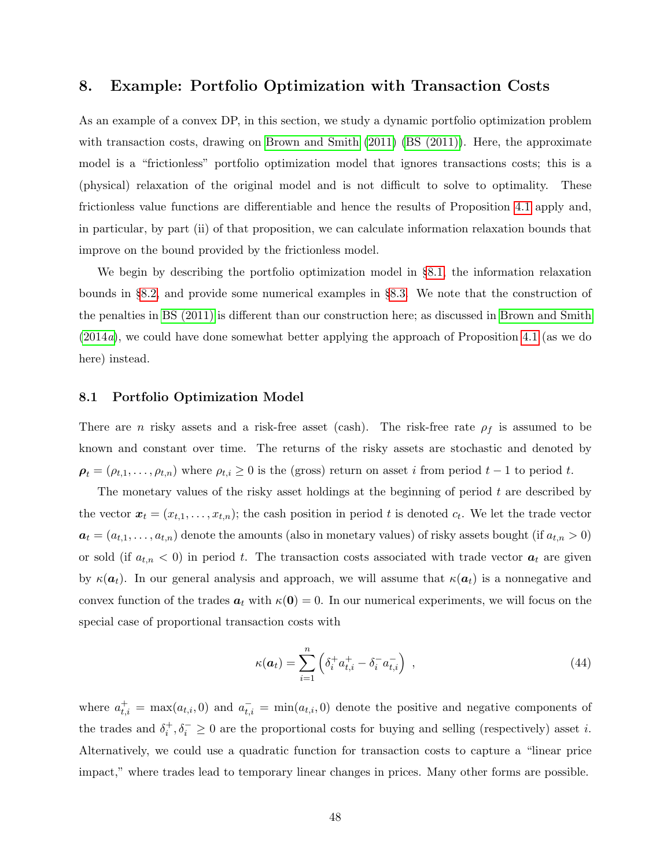# <span id="page-48-0"></span>8. Example: Portfolio Optimization with Transaction Costs

As an example of a convex DP, in this section, we study a dynamic portfolio optimization problem with transaction costs, drawing on [Brown and Smith](#page-64-4) [\(2011\)](#page-64-4) [\(BS \(2011\)\)](#page-64-4). Here, the approximate model is a "frictionless" portfolio optimization model that ignores transactions costs; this is a (physical) relaxation of the original model and is not difficult to solve to optimality. These frictionless value functions are differentiable and hence the results of Proposition [4.1](#page-22-1) apply and, in particular, by part (ii) of that proposition, we can calculate information relaxation bounds that improve on the bound provided by the frictionless model.

We begin by describing the portfolio optimization model in §[8.1,](#page-48-1) the information relaxation bounds in §[8.2,](#page-52-0) and provide some numerical examples in §[8.3.](#page-54-0) We note that the construction of the penalties in [BS \(2011\)](#page-64-4) is different than our construction here; as discussed in [Brown and Smith](#page-64-8) [\(2014](#page-64-8)a), we could have done somewhat better applying the approach of Proposition [4.1](#page-22-1) (as we do here) instead.

#### <span id="page-48-1"></span>8.1 Portfolio Optimization Model

There are n risky assets and a risk-free asset (cash). The risk-free rate  $\rho_f$  is assumed to be known and constant over time. The returns of the risky assets are stochastic and denoted by  $\rho_t = (\rho_{t,1}, \ldots, \rho_{t,n})$  where  $\rho_{t,i} \geq 0$  is the (gross) return on asset i from period  $t-1$  to period t.

The monetary values of the risky asset holdings at the beginning of period  $t$  are described by the vector  $\mathbf{x}_t = (x_{t,1}, \ldots, x_{t,n})$ ; the cash position in period t is denoted  $c_t$ . We let the trade vector  $a_t = (a_{t,1}, \ldots, a_{t,n})$  denote the amounts (also in monetary values) of risky assets bought (if  $a_{t,n} > 0$ ) or sold (if  $a_{t,n} < 0$ ) in period t. The transaction costs associated with trade vector  $a_t$  are given by  $\kappa(a_t)$ . In our general analysis and approach, we will assume that  $\kappa(a_t)$  is a nonnegative and convex function of the trades  $a_t$  with  $\kappa(0) = 0$ . In our numerical experiments, we will focus on the special case of proportional transaction costs with

<span id="page-48-2"></span>
$$
\kappa(\boldsymbol{a}_t) = \sum_{i=1}^n \left( \delta_i^+ a_{t,i}^+ - \delta_i^- a_{t,i}^- \right) , \qquad (44)
$$

where  $a_{t,i}^+ = \max(a_{t,i}, 0)$  and  $a_{t,i}^- = \min(a_{t,i}, 0)$  denote the positive and negative components of the trades and  $\delta_i^+, \delta_i^- \geq 0$  are the proportional costs for buying and selling (respectively) asset *i*. Alternatively, we could use a quadratic function for transaction costs to capture a "linear price impact," where trades lead to temporary linear changes in prices. Many other forms are possible.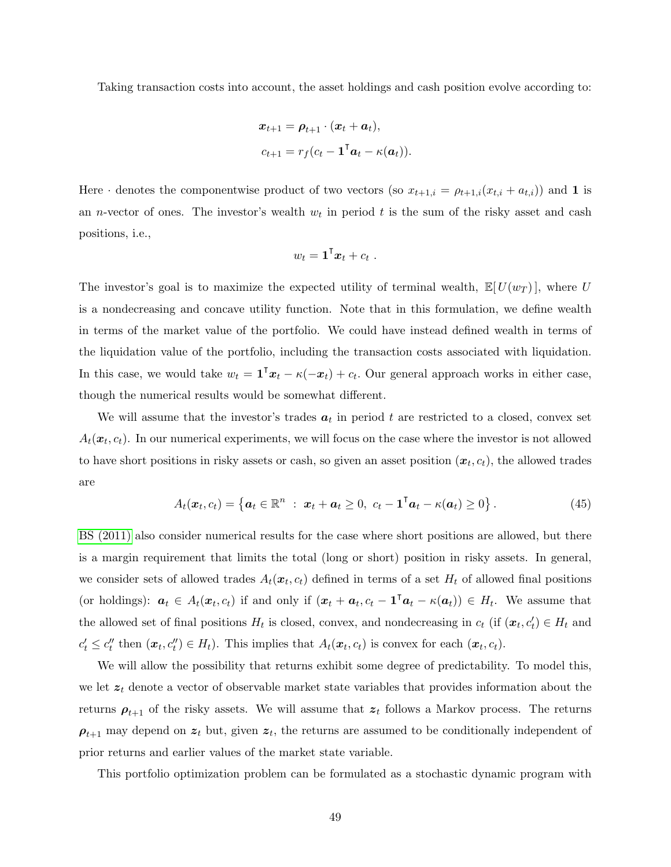Taking transaction costs into account, the asset holdings and cash position evolve according to:

$$
\begin{aligned} \mathbf{x}_{t+1} &= \boldsymbol{\rho}_{t+1} \cdot (\mathbf{x}_t + \boldsymbol{a}_t), \\ c_{t+1} &= r_f (c_t - \mathbf{1}^\mathsf{T} \boldsymbol{a}_t - \kappa(\boldsymbol{a}_t)). \end{aligned}
$$

Here  $\cdot$  denotes the componentwise product of two vectors (so  $x_{t+1,i} = \rho_{t+1,i}(x_{t,i} + a_{t,i})$ ) and 1 is an *n*-vector of ones. The investor's wealth  $w_t$  in period t is the sum of the risky asset and cash positions, i.e.,

<span id="page-49-0"></span>
$$
w_t = \mathbf{1}^\mathsf{T} \boldsymbol{x}_t + c_t \; .
$$

The investor's goal is to maximize the expected utility of terminal wealth,  $\mathbb{E}[U(w_T)]$ , where U is a nondecreasing and concave utility function. Note that in this formulation, we define wealth in terms of the market value of the portfolio. We could have instead defined wealth in terms of the liquidation value of the portfolio, including the transaction costs associated with liquidation. In this case, we would take  $w_t = \mathbf{1}^\mathsf{T} x_t - \kappa(-x_t) + c_t$ . Our general approach works in either case, though the numerical results would be somewhat different.

We will assume that the investor's trades  $a_t$  in period t are restricted to a closed, convex set  $A_t(\boldsymbol{x}_t, c_t)$ . In our numerical experiments, we will focus on the case where the investor is not allowed to have short positions in risky assets or cash, so given an asset position  $(x_t, c_t)$ , the allowed trades are

$$
A_t(\boldsymbol{x}_t, c_t) = \left\{ \boldsymbol{a}_t \in \mathbb{R}^n : \ \boldsymbol{x}_t + \boldsymbol{a}_t \geq 0, \ c_t - \mathbf{1}^\mathsf{T} \boldsymbol{a}_t - \kappa(\boldsymbol{a}_t) \geq 0 \right\}.
$$
 (45)

[BS \(2011\)](#page-64-4) also consider numerical results for the case where short positions are allowed, but there is a margin requirement that limits the total (long or short) position in risky assets. In general, we consider sets of allowed trades  $A_t(x_t, c_t)$  defined in terms of a set  $H_t$  of allowed final positions (or holdings):  $a_t \in A_t(x_t, c_t)$  if and only if  $(x_t + a_t, c_t - \mathbf{1}^\mathsf{T} a_t - \kappa(a_t)) \in H_t$ . We assume that the allowed set of final positions  $H_t$  is closed, convex, and nondecreasing in  $c_t$  (if  $(\mathbf{x}_t, c'_t) \in H_t$  and  $c'_t \leq c''_t$  then  $(\boldsymbol{x}_t, c''_t) \in H_t$ . This implies that  $A_t(\boldsymbol{x}_t, c_t)$  is convex for each  $(\boldsymbol{x}_t, c_t)$ .

We will allow the possibility that returns exhibit some degree of predictability. To model this, we let  $z_t$  denote a vector of observable market state variables that provides information about the returns  $\rho_{t+1}$  of the risky assets. We will assume that  $z_t$  follows a Markov process. The returns  $\rho_{t+1}$  may depend on  $z_t$  but, given  $z_t$ , the returns are assumed to be conditionally independent of prior returns and earlier values of the market state variable.

This portfolio optimization problem can be formulated as a stochastic dynamic program with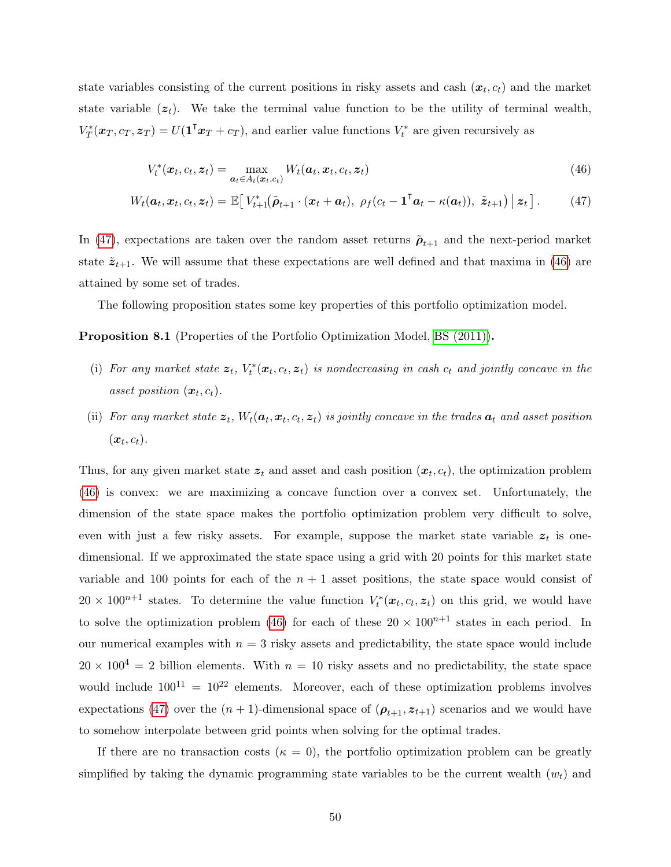state variables consisting of the current positions in risky assets and cash  $(x_t, c_t)$  and the market state variable  $(z_t)$ . We take the terminal value function to be the utility of terminal wealth,  $V_T^*(\boldsymbol{x}_T, c_T, \boldsymbol{z}_T) = U(\mathbf{1}^\mathsf{T} \boldsymbol{x}_T + c_T),$  and earlier value functions  $V_t^*$  are given recursively as

<span id="page-50-1"></span><span id="page-50-0"></span>
$$
V_t^*(\boldsymbol{x}_t, c_t, \boldsymbol{z}_t) = \max_{\boldsymbol{a}_t \in A_t(\boldsymbol{x}_t, c_t)} W_t(\boldsymbol{a}_t, \boldsymbol{x}_t, c_t, \boldsymbol{z}_t)
$$
(46)

$$
W_t(\boldsymbol{a}_t, \boldsymbol{x}_t, c_t, \boldsymbol{z}_t) = \mathbb{E}\big[\,V_{t+1}^*(\tilde{\boldsymbol{\rho}}_{t+1} \cdot (\boldsymbol{x}_t + \boldsymbol{a}_t), \, \, \rho_f(c_t - \mathbf{1}^\mathsf{T}\boldsymbol{a}_t - \kappa(\boldsymbol{a}_t)), \, \, \tilde{\boldsymbol{z}}_{t+1}\big) \,\big|\, \boldsymbol{z}_t\,\big].\tag{47}
$$

In [\(47\)](#page-50-0), expectations are taken over the random asset returns  $\tilde{\rho}_{t+1}$  and the next-period market state  $\tilde{\mathbf{z}}_{t+1}$ . We will assume that these expectations are well defined and that maxima in [\(46\)](#page-50-1) are attained by some set of trades.

The following proposition states some key properties of this portfolio optimization model.

Proposition 8.1 (Properties of the Portfolio Optimization Model, [BS \(2011\)\)](#page-64-4).

- (i) For any market state  $z_t$ ,  $V_t^*(x_t, c_t, z_t)$  is nondecreasing in cash  $c_t$  and jointly concave in the asset position  $(x_t, c_t)$ .
- (ii) For any market state  $z_t$ ,  $W_t(a_t, x_t, c_t, z_t)$  is jointly concave in the trades  $a_t$  and asset position  $(\boldsymbol{x}_t, c_t).$

Thus, for any given market state  $z_t$  and asset and cash position  $(x_t, c_t)$ , the optimization problem [\(46\)](#page-50-1) is convex: we are maximizing a concave function over a convex set. Unfortunately, the dimension of the state space makes the portfolio optimization problem very difficult to solve, even with just a few risky assets. For example, suppose the market state variable  $z_t$  is onedimensional. If we approximated the state space using a grid with 20 points for this market state variable and 100 points for each of the  $n + 1$  asset positions, the state space would consist of  $20 \times 10^{n+1}$  states. To determine the value function  $V_t^*(x_t, c_t, z_t)$  on this grid, we would have to solve the optimization problem [\(46\)](#page-50-1) for each of these  $20 \times 100^{n+1}$  states in each period. In our numerical examples with  $n = 3$  risky assets and predictability, the state space would include  $20 \times 100^4 = 2$  billion elements. With  $n = 10$  risky assets and no predictability, the state space would include  $100^{11} = 10^{22}$  elements. Moreover, each of these optimization problems involves expectations [\(47\)](#page-50-0) over the  $(n + 1)$ -dimensional space of  $(\boldsymbol{\rho}_{t+1}, z_{t+1})$  scenarios and we would have to somehow interpolate between grid points when solving for the optimal trades.

If there are no transaction costs ( $\kappa = 0$ ), the portfolio optimization problem can be greatly simplified by taking the dynamic programming state variables to be the current wealth  $(w_t)$  and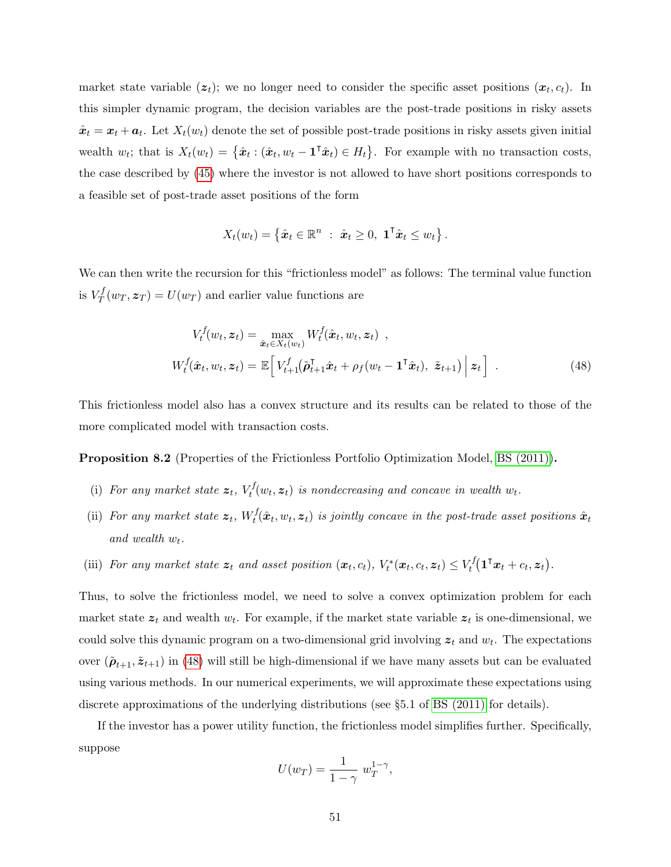market state variable  $(z_t)$ ; we no longer need to consider the specific asset positions  $(x_t, c_t)$ . In this simpler dynamic program, the decision variables are the post-trade positions in risky assets  $\hat{x}_t = x_t + a_t$ . Let  $X_t(w_t)$  denote the set of possible post-trade positions in risky assets given initial wealth  $w_t$ ; that is  $X_t(w_t) = \{\hat{x}_t : (\hat{x}_t, w_t - \mathbf{1}^\mathsf{T} \hat{x}_t) \in H_t\}$ . For example with no transaction costs, the case described by [\(45\)](#page-49-0) where the investor is not allowed to have short positions corresponds to a feasible set of post-trade asset positions of the form

<span id="page-51-0"></span>
$$
X_t(w_t) = \left\{\hat{\boldsymbol{x}}_t \in \mathbb{R}^n : \ \hat{\boldsymbol{x}}_t \geq 0, \ \mathbf{1}^\mathsf{T} \hat{\boldsymbol{x}}_t \leq w_t \right\}.
$$

We can then write the recursion for this "frictionless model" as follows: The terminal value function is  $V_T^f$  $T_T^J(w_T, z_T) = U(w_T)$  and earlier value functions are

$$
V_t^f(w_t, \mathbf{z}_t) = \max_{\hat{\mathbf{x}}_t \in X_t(w_t)} W_t^f(\hat{\mathbf{x}}_t, w_t, \mathbf{z}_t) ,
$$
  

$$
W_t^f(\hat{\mathbf{x}}_t, w_t, \mathbf{z}_t) = \mathbb{E}\Big[ V_{t+1}^f(\tilde{\boldsymbol{\rho}}_{t+1}^T \hat{\mathbf{x}}_t + \rho_f(w_t - \mathbf{1}^\top \hat{\mathbf{x}}_t), \ \tilde{\mathbf{z}}_{t+1}) \Big| \mathbf{z}_t \Big].
$$
 (48)

This frictionless model also has a convex structure and its results can be related to those of the more complicated model with transaction costs.

Proposition 8.2 (Properties of the Frictionless Portfolio Optimization Model, [BS \(2011\)\)](#page-64-4).

- (i) For any market state  $z_t$ ,  $V_t^f$  $t_t^{IJ}(w_t, \mathbf{z}_t)$  is nondecreasing and concave in wealth  $w_t$ .
- (ii) For any market state  $\boldsymbol{z}_t$ ,  $W_t^f$  $\hat{x}_t^{\prime}(\hat{\boldsymbol{x}}_t, w_t, \boldsymbol{z}_t)$  is jointly concave in the post-trade asset positions  $\hat{\boldsymbol{x}}_t$ and wealth  $w_t$ .
- (iii) For any market state  $\mathbf{z}_t$  and asset position  $(\mathbf{x}_t, c_t)$ ,  $V_t^*(\mathbf{x}_t, c_t, \mathbf{z}_t) \leq V_t^f$  $\tau^f_t(\mathbf 1^\intercal \bm x_t + c_t, \bm z_t)$  .

Thus, to solve the frictionless model, we need to solve a convex optimization problem for each market state  $z_t$  and wealth  $w_t$ . For example, if the market state variable  $z_t$  is one-dimensional, we could solve this dynamic program on a two-dimensional grid involving  $z_t$  and  $w_t$ . The expectations over  $(\tilde{\rho}_{t+1}, \tilde{z}_{t+1})$  in [\(48\)](#page-51-0) will still be high-dimensional if we have many assets but can be evaluated using various methods. In our numerical experiments, we will approximate these expectations using discrete approximations of the underlying distributions (see §5.1 of [BS \(2011\)](#page-64-4) for details).

If the investor has a power utility function, the frictionless model simplifies further. Specifically, suppose

<span id="page-51-1"></span>
$$
U(w_T) = \frac{1}{1 - \gamma} w_T^{1 - \gamma},
$$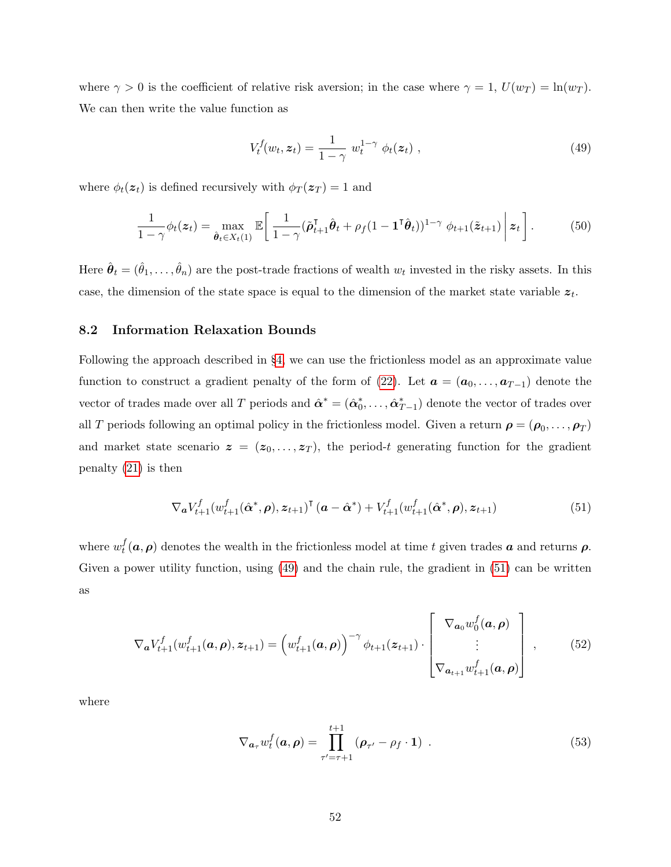where  $\gamma > 0$  is the coefficient of relative risk aversion; in the case where  $\gamma = 1$ ,  $U(w_T) = \ln(w_T)$ . We can then write the value function as

$$
V_t^f(w_t, \mathbf{z}_t) = \frac{1}{1 - \gamma} w_t^{1 - \gamma} \phi_t(\mathbf{z}_t) , \qquad (49)
$$

where  $\phi_t(z_t)$  is defined recursively with  $\phi_T(z_T) = 1$  and

<span id="page-52-4"></span>
$$
\frac{1}{1-\gamma}\phi_t(z_t) = \max_{\hat{\boldsymbol{\theta}}_t \in X_t(1)} \mathbb{E}\bigg[\frac{1}{1-\gamma}(\tilde{\boldsymbol{\rho}}_{t+1}^\mathsf{T} \hat{\boldsymbol{\theta}}_t + \rho_f(1 - \mathbf{1}^\mathsf{T} \hat{\boldsymbol{\theta}}_t))^{1-\gamma} \phi_{t+1}(\tilde{z}_{t+1}) \Bigg| z_t\bigg].\tag{50}
$$

Here  $\hat{\theta}_t = (\hat{\theta}_1, \dots, \hat{\theta}_n)$  are the post-trade fractions of wealth  $w_t$  invested in the risky assets. In this case, the dimension of the state space is equal to the dimension of the market state variable  $z_t$ .

### <span id="page-52-0"></span>8.2 Information Relaxation Bounds

Following the approach described in §[4,](#page-20-0) we can use the frictionless model as an approximate value function to construct a gradient penalty of the form of [\(22\)](#page-21-0). Let  $\mathbf{a} = (\mathbf{a}_0, \dots, \mathbf{a}_{T-1})$  denote the vector of trades made over all T periods and  $\hat{\alpha}^* = (\hat{\alpha}_0^*, \dots, \hat{\alpha}_{T-1}^*)$  denote the vector of trades over all T periods following an optimal policy in the frictionless model. Given a return  $\boldsymbol{\rho} = (\boldsymbol{\rho}_0, \dots, \boldsymbol{\rho}_T)$ and market state scenario  $z = (z_0, \ldots, z_T)$ , the period-t generating function for the gradient penalty [\(21\)](#page-21-1) is then

<span id="page-52-1"></span>
$$
\nabla_{\bm{a}} V_{t+1}^f(w_{t+1}^f(\hat{\bm{\alpha}}^*, \bm{\rho}), \bm{z}_{t+1})^\mathsf{T}(\bm{a} - \hat{\bm{\alpha}}^*) + V_{t+1}^f(w_{t+1}^f(\hat{\bm{\alpha}}^*, \bm{\rho}), \bm{z}_{t+1})
$$
(51)

where  $w_t^f$  $t<sub>t</sub>(a, \rho)$  denotes the wealth in the frictionless model at time t given trades a and returns  $\rho$ . Given a power utility function, using [\(49\)](#page-51-1) and the chain rule, the gradient in [\(51\)](#page-52-1) can be written as

$$
\nabla_{\mathbf{a}} V_{t+1}^{f}(w_{t+1}^{f}(\mathbf{a}, \rho), \mathbf{z}_{t+1}) = \left(w_{t+1}^{f}(\mathbf{a}, \rho)\right)^{-\gamma} \phi_{t+1}(\mathbf{z}_{t+1}) \cdot \begin{bmatrix} \nabla_{\mathbf{a}_0} w_0^{f}(\mathbf{a}, \rho) \\ \n\vdots \\ \nabla_{\mathbf{a}_{t+1}} w_{t+1}^{f}(\mathbf{a}, \rho) \end{bmatrix},
$$
(52)

where

<span id="page-52-3"></span><span id="page-52-2"></span>
$$
\nabla_{\boldsymbol{a}_{\tau}} w_t^f(\boldsymbol{a}, \boldsymbol{\rho}) = \prod_{\tau' = \tau+1}^{t+1} (\boldsymbol{\rho}_{\tau'} - \rho_f \cdot \mathbf{1}) \tag{53}
$$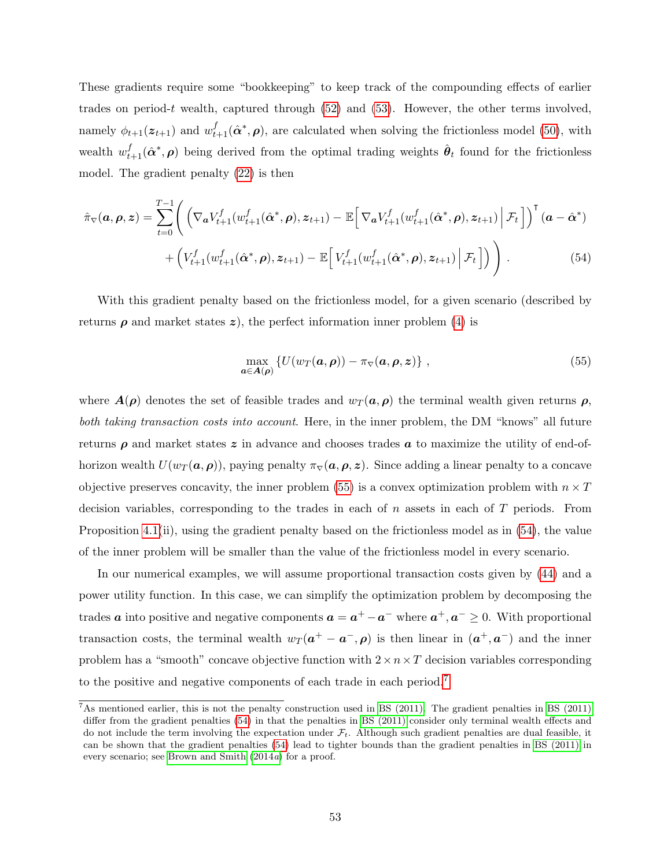These gradients require some "bookkeeping" to keep track of the compounding effects of earlier trades on period-t wealth, captured through  $(52)$  and  $(53)$ . However, the other terms involved, namely  $\phi_{t+1}(z_{t+1})$  and  $w_{t+1}^f(\hat{\alpha}^*, \rho)$ , are calculated when solving the frictionless model [\(50\)](#page-52-4), with wealth  $w_{t+1}^f(\hat{\bm{\alpha}}^*, \bm{\rho})$  being derived from the optimal trading weights  $\hat{\bm{\theta}}_t$  found for the frictionless model. The gradient penalty [\(22\)](#page-21-0) is then

$$
\hat{\pi}_{\nabla}(\boldsymbol{a},\boldsymbol{\rho},\boldsymbol{z}) = \sum_{t=0}^{T-1} \Bigg( \Big( \nabla_{\boldsymbol{a}} V_{t+1}^f(w_{t+1}^f(\hat{\boldsymbol{\alpha}}^*,\boldsymbol{\rho}),\boldsymbol{z}_{t+1}) - \mathbb{E} \Big[ \nabla_{\boldsymbol{a}} V_{t+1}^f(w_{t+1}^f(\hat{\boldsymbol{\alpha}}^*,\boldsymbol{\rho}),\boldsymbol{z}_{t+1}) \Big| \mathcal{F}_t \Big] \Big)^{\mathsf{T}} (\boldsymbol{a} - \hat{\boldsymbol{\alpha}}^*) + \Big( V_{t+1}^f(w_{t+1}^f(\hat{\boldsymbol{\alpha}}^*,\boldsymbol{\rho}),\boldsymbol{z}_{t+1}) - \mathbb{E} \Big[ V_{t+1}^f(w_{t+1}^f(\hat{\boldsymbol{\alpha}}^*,\boldsymbol{\rho}),\boldsymbol{z}_{t+1}) \Big| \mathcal{F}_t \Big] \Big) \Bigg) . \tag{54}
$$

With this gradient penalty based on the frictionless model, for a given scenario (described by returns  $\rho$  and market states z), the perfect information inner problem [\(4\)](#page-8-0) is

<span id="page-53-1"></span><span id="page-53-0"></span>
$$
\max_{\boldsymbol{a}\in\mathbf{A}(\boldsymbol{\rho})} \left\{ U(w_T(\boldsymbol{a},\boldsymbol{\rho})) - \pi_{\nabla}(\boldsymbol{a},\boldsymbol{\rho},\boldsymbol{z}) \right\},\tag{55}
$$

where  $A(\rho)$  denotes the set of feasible trades and  $w_T(\mathbf{a}, \rho)$  the terminal wealth given returns  $\rho$ , both taking transaction costs into account. Here, in the inner problem, the DM "knows" all future returns  $\rho$  and market states z in advance and chooses trades  $\alpha$  to maximize the utility of end-ofhorizon wealth  $U(w_T({\bf a},\boldsymbol{\rho}))$ , paying penalty  $\pi_{\nabla}({\bf a},\boldsymbol{\rho},z)$ . Since adding a linear penalty to a concave objective preserves concavity, the inner problem [\(55\)](#page-53-0) is a convex optimization problem with  $n \times T$ decision variables, corresponding to the trades in each of  $n$  assets in each of  $T$  periods. From Proposition [4.1\(](#page-22-1)ii), using the gradient penalty based on the frictionless model as in [\(54\)](#page-53-1), the value of the inner problem will be smaller than the value of the frictionless model in every scenario.

In our numerical examples, we will assume proportional transaction costs given by [\(44\)](#page-48-2) and a power utility function. In this case, we can simplify the optimization problem by decomposing the trades  $a$  into positive and negative components  $a = a^+ - a^-$  where  $a^+, a^- \geq 0$ . With proportional transaction costs, the terminal wealth  $w_T(a^+ - a^-,\rho)$  is then linear in  $(a^+, a^-)$  and the inner problem has a "smooth" concave objective function with  $2 \times n \times T$  decision variables corresponding to the positive and negative components of each trade in each period.[7](#page-0-0)

<sup>7</sup>As mentioned earlier, this is not the penalty construction used in [BS \(2011\).](#page-64-4) The gradient penalties in [BS \(2011\)](#page-64-4) differ from the gradient penalties [\(54\)](#page-53-1) in that the penalties in [BS \(2011\)](#page-64-4) consider only terminal wealth effects and do not include the term involving the expectation under  $\mathcal{F}_t$ . Although such gradient penalties are dual feasible, it can be shown that the gradient penalties [\(54\)](#page-53-1) lead to tighter bounds than the gradient penalties in [BS \(2011\)](#page-64-4) in every scenario; see [Brown and Smith](#page-64-8) [\(2014](#page-64-8)a) for a proof.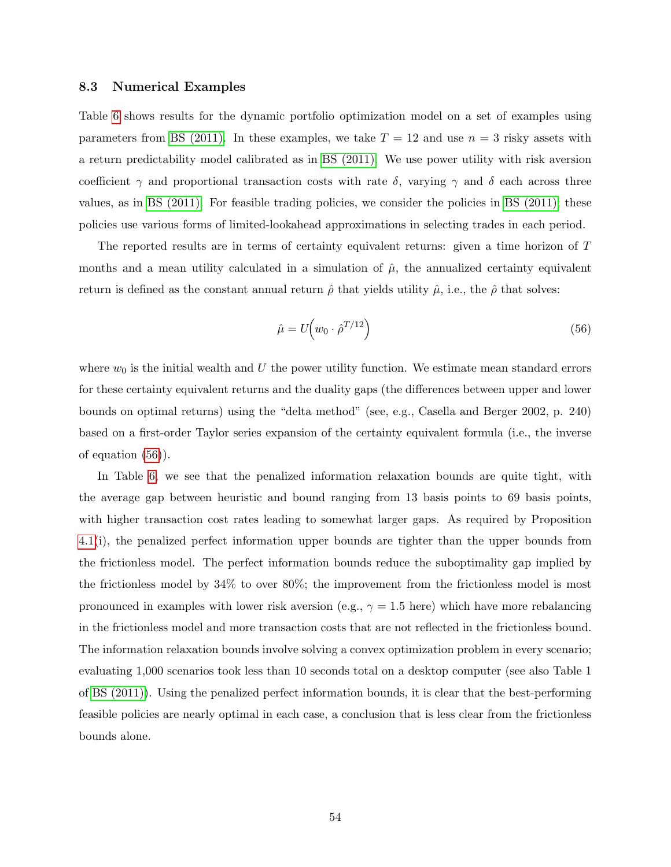### <span id="page-54-0"></span>8.3 Numerical Examples

Table [6](#page-55-1) shows results for the dynamic portfolio optimization model on a set of examples using parameters from [BS \(2011\).](#page-64-4) In these examples, we take  $T = 12$  and use  $n = 3$  risky assets with a return predictability model calibrated as in [BS \(2011\).](#page-64-4) We use power utility with risk aversion coefficient  $\gamma$  and proportional transaction costs with rate  $\delta$ , varying  $\gamma$  and  $\delta$  each across three values, as in [BS \(2011\).](#page-64-4) For feasible trading policies, we consider the policies in [BS \(2011\);](#page-64-4) these policies use various forms of limited-lookahead approximations in selecting trades in each period.

The reported results are in terms of certainty equivalent returns: given a time horizon of T months and a mean utility calculated in a simulation of  $\hat{\mu}$ , the annualized certainty equivalent return is defined as the constant annual return  $\hat{\rho}$  that yields utility  $\hat{\mu}$ , i.e., the  $\hat{\rho}$  that solves:

<span id="page-54-1"></span>
$$
\hat{\mu} = U \left( w_0 \cdot \hat{\rho}^{T/12} \right) \tag{56}
$$

where  $w_0$  is the initial wealth and U the power utility function. We estimate mean standard errors for these certainty equivalent returns and the duality gaps (the differences between upper and lower bounds on optimal returns) using the "delta method" (see, e.g., Casella and Berger 2002, p. 240) based on a first-order Taylor series expansion of the certainty equivalent formula (i.e., the inverse of equation [\(56\)](#page-54-1)).

In Table [6,](#page-55-1) we see that the penalized information relaxation bounds are quite tight, with the average gap between heuristic and bound ranging from 13 basis points to 69 basis points, with higher transaction cost rates leading to somewhat larger gaps. As required by Proposition [4.1\(](#page-22-1)i), the penalized perfect information upper bounds are tighter than the upper bounds from the frictionless model. The perfect information bounds reduce the suboptimality gap implied by the frictionless model by 34% to over 80%; the improvement from the frictionless model is most pronounced in examples with lower risk aversion (e.g.,  $\gamma = 1.5$  here) which have more rebalancing in the frictionless model and more transaction costs that are not reflected in the frictionless bound. The information relaxation bounds involve solving a convex optimization problem in every scenario; evaluating 1,000 scenarios took less than 10 seconds total on a desktop computer (see also Table 1 of [BS \(2011\)\)](#page-64-4). Using the penalized perfect information bounds, it is clear that the best-performing feasible policies are nearly optimal in each case, a conclusion that is less clear from the frictionless bounds alone.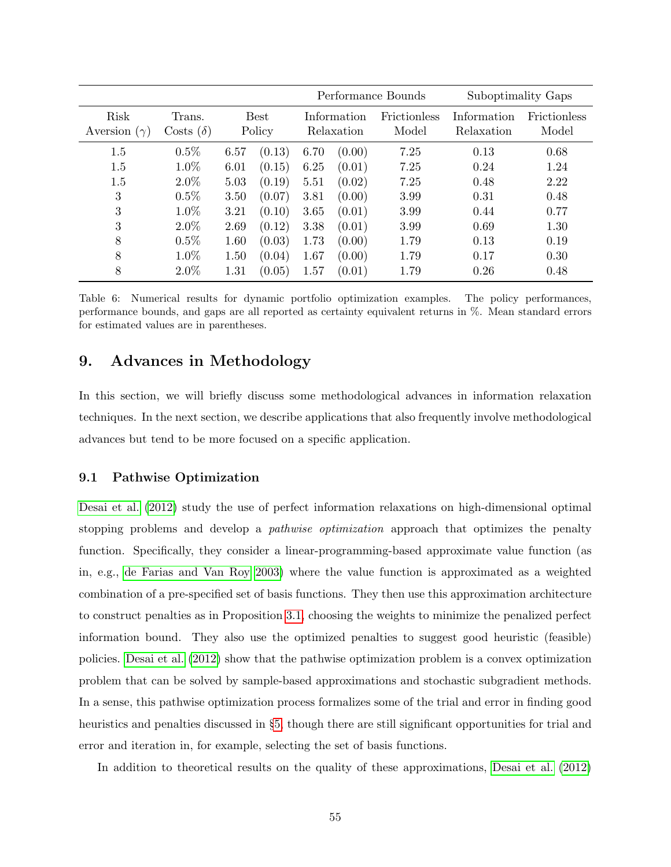<span id="page-55-1"></span>

|                                |                            |      |                       | Performance Bounds        |        |                              | Suboptimality Gaps        |                              |  |
|--------------------------------|----------------------------|------|-----------------------|---------------------------|--------|------------------------------|---------------------------|------------------------------|--|
| Risk<br>Aversion<br>$(\gamma)$ | Trans.<br>Costs $(\delta)$ |      | <b>Best</b><br>Policy | Information<br>Relaxation |        | <b>Frictionless</b><br>Model | Information<br>Relaxation | <b>Frictionless</b><br>Model |  |
| 1.5                            | 0.5%                       | 6.57 | (0.13)                | 6.70                      | (0.00) | 7.25                         | 0.13                      | 0.68                         |  |
| 1.5                            | 1.0%                       | 6.01 | (0.15)                | 6.25                      | (0.01) | 7.25                         | 0.24                      | 1.24                         |  |
| 1.5                            | $2.0\%$                    | 5.03 | (0.19)                | 5.51                      | (0.02) | 7.25                         | 0.48                      | 2.22                         |  |
| 3                              | 0.5%                       | 3.50 | (0.07)                | 3.81                      | (0.00) | 3.99                         | 0.31                      | 0.48                         |  |
| 3                              | 1.0%                       | 3.21 | (0.10)                | 3.65                      | (0.01) | 3.99                         | 0.44                      | 0.77                         |  |
| 3                              | $2.0\%$                    | 2.69 | (0.12)                | 3.38                      | (0.01) | 3.99                         | 0.69                      | 1.30                         |  |
| 8                              | $0.5\%$                    | 1.60 | (0.03)                | 1.73                      | (0.00) | 1.79                         | 0.13                      | 0.19                         |  |
| 8                              | 1.0%                       | 1.50 | (0.04)                | 1.67                      | (0.00) | 1.79                         | 0.17                      | 0.30                         |  |
| 8                              | $2.0\%$                    | 1.31 | (0.05)                | 1.57                      | (0.01) | 1.79                         | 0.26                      | 0.48                         |  |

Table 6: Numerical results for dynamic portfolio optimization examples. The policy performances, performance bounds, and gaps are all reported as certainty equivalent returns in %. Mean standard errors for estimated values are in parentheses.

# <span id="page-55-0"></span>9. Advances in Methodology

In this section, we will briefly discuss some methodological advances in information relaxation techniques. In the next section, we describe applications that also frequently involve methodological advances but tend to be more focused on a specific application.

### <span id="page-55-2"></span>9.1 Pathwise Optimization

[Desai et al.](#page-64-9) [\(2012\)](#page-64-9) study the use of perfect information relaxations on high-dimensional optimal stopping problems and develop a *pathwise optimization* approach that optimizes the penalty function. Specifically, they consider a linear-programming-based approximate value function (as in, e.g., [de Farias and Van Roy 2003\)](#page-64-5) where the value function is approximated as a weighted combination of a pre-specified set of basis functions. They then use this approximation architecture to construct penalties as in Proposition [3.1,](#page-12-1) choosing the weights to minimize the penalized perfect information bound. They also use the optimized penalties to suggest good heuristic (feasible) policies. [Desai et al.](#page-64-9) [\(2012\)](#page-64-9) show that the pathwise optimization problem is a convex optimization problem that can be solved by sample-based approximations and stochastic subgradient methods. In a sense, this pathwise optimization process formalizes some of the trial and error in finding good heuristics and penalties discussed in §[5,](#page-24-0) though there are still significant opportunities for trial and error and iteration in, for example, selecting the set of basis functions.

In addition to theoretical results on the quality of these approximations, [Desai et al.](#page-64-9) [\(2012\)](#page-64-9)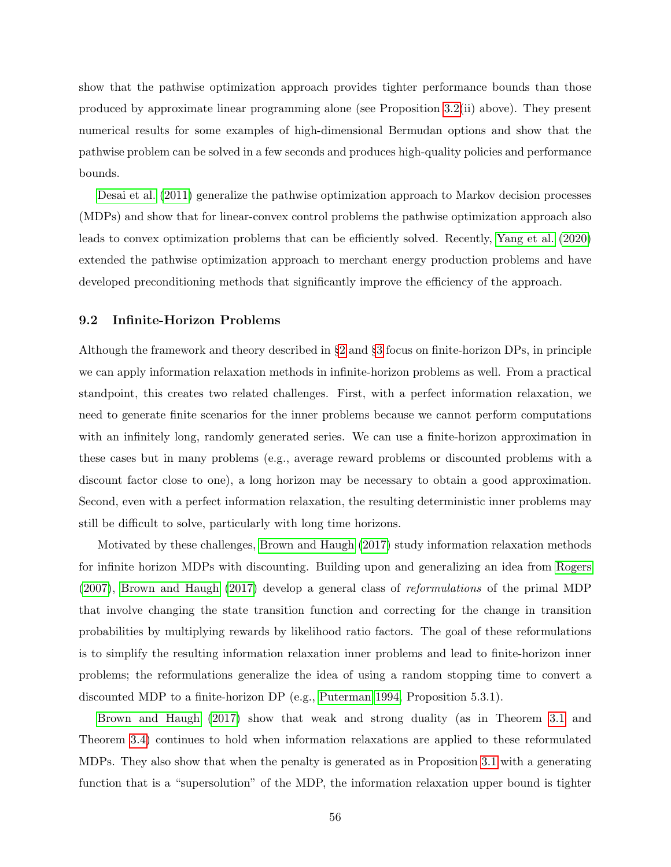show that the pathwise optimization approach provides tighter performance bounds than those produced by approximate linear programming alone (see Proposition [3.2\(](#page-17-1)ii) above). They present numerical results for some examples of high-dimensional Bermudan options and show that the pathwise problem can be solved in a few seconds and produces high-quality policies and performance bounds.

[Desai et al.](#page-64-6) [\(2011\)](#page-64-6) generalize the pathwise optimization approach to Markov decision processes (MDPs) and show that for linear-convex control problems the pathwise optimization approach also leads to convex optimization problems that can be efficiently solved. Recently, [Yang et al.](#page-67-4) [\(2020\)](#page-67-4) extended the pathwise optimization approach to merchant energy production problems and have developed preconditioning methods that significantly improve the efficiency of the approach.

### 9.2 Infinite-Horizon Problems

Although the framework and theory described in §[2](#page-5-0) and §[3](#page-7-0) focus on finite-horizon DPs, in principle we can apply information relaxation methods in infinite-horizon problems as well. From a practical standpoint, this creates two related challenges. First, with a perfect information relaxation, we need to generate finite scenarios for the inner problems because we cannot perform computations with an infinitely long, randomly generated series. We can use a finite-horizon approximation in these cases but in many problems (e.g., average reward problems or discounted problems with a discount factor close to one), a long horizon may be necessary to obtain a good approximation. Second, even with a perfect information relaxation, the resulting deterministic inner problems may still be difficult to solve, particularly with long time horizons.

Motivated by these challenges, [Brown and Haugh](#page-64-7) [\(2017\)](#page-64-7) study information relaxation methods for infinite horizon MDPs with discounting. Building upon and generalizing an idea from [Rogers](#page-66-8) [\(2007\)](#page-66-8), [Brown and Haugh](#page-64-7) [\(2017\)](#page-64-7) develop a general class of reformulations of the primal MDP that involve changing the state transition function and correcting for the change in transition probabilities by multiplying rewards by likelihood ratio factors. The goal of these reformulations is to simplify the resulting information relaxation inner problems and lead to finite-horizon inner problems; the reformulations generalize the idea of using a random stopping time to convert a discounted MDP to a finite-horizon DP (e.g., [Puterman 1994,](#page-66-7) Proposition 5.3.1).

[Brown and Haugh](#page-64-7) [\(2017\)](#page-64-7) show that weak and strong duality (as in Theorem [3.1](#page-8-2) and Theorem [3.4\)](#page-13-3) continues to hold when information relaxations are applied to these reformulated MDPs. They also show that when the penalty is generated as in Proposition [3.1](#page-12-1) with a generating function that is a "supersolution" of the MDP, the information relaxation upper bound is tighter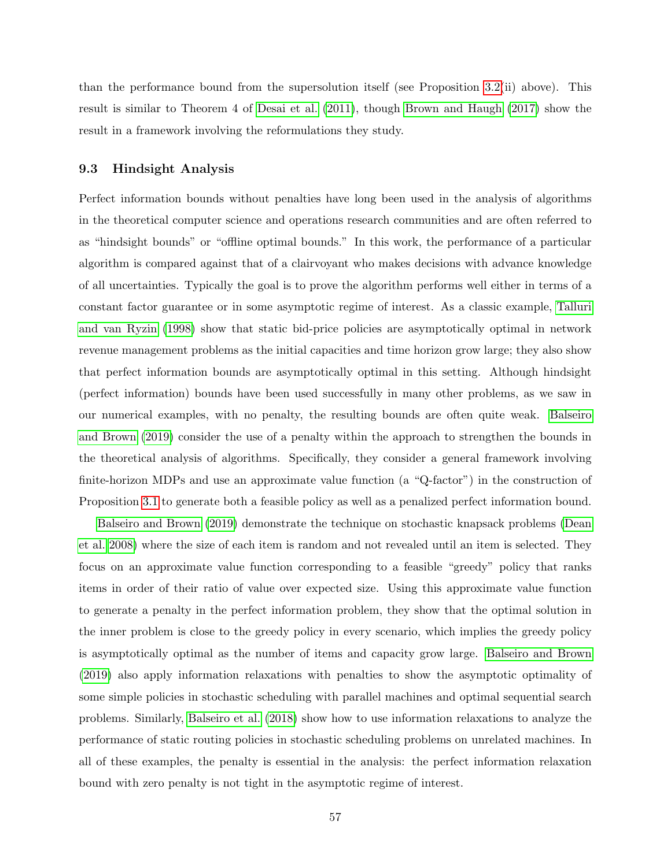than the performance bound from the supersolution itself (see Proposition [3.2\(](#page-17-1)ii) above). This result is similar to Theorem 4 of [Desai et al.](#page-64-6) [\(2011\)](#page-64-6), though [Brown and Haugh](#page-64-7) [\(2017\)](#page-64-7) show the result in a framework involving the reformulations they study.

### 9.3 Hindsight Analysis

Perfect information bounds without penalties have long been used in the analysis of algorithms in the theoretical computer science and operations research communities and are often referred to as "hindsight bounds" or "offline optimal bounds." In this work, the performance of a particular algorithm is compared against that of a clairvoyant who makes decisions with advance knowledge of all uncertainties. Typically the goal is to prove the algorithm performs well either in terms of a constant factor guarantee or in some asymptotic regime of interest. As a classic example, [Talluri](#page-67-5) [and van Ryzin](#page-67-5) [\(1998\)](#page-67-5) show that static bid-price policies are asymptotically optimal in network revenue management problems as the initial capacities and time horizon grow large; they also show that perfect information bounds are asymptotically optimal in this setting. Although hindsight (perfect information) bounds have been used successfully in many other problems, as we saw in our numerical examples, with no penalty, the resulting bounds are often quite weak. [Balseiro](#page-63-3) [and Brown](#page-63-3) [\(2019\)](#page-63-3) consider the use of a penalty within the approach to strengthen the bounds in the theoretical analysis of algorithms. Specifically, they consider a general framework involving finite-horizon MDPs and use an approximate value function (a "Q-factor") in the construction of Proposition [3.1](#page-12-1) to generate both a feasible policy as well as a penalized perfect information bound.

[Balseiro and Brown](#page-63-3) [\(2019\)](#page-63-3) demonstrate the technique on stochastic knapsack problems [\(Dean](#page-64-10) [et al. 2008\)](#page-64-10) where the size of each item is random and not revealed until an item is selected. They focus on an approximate value function corresponding to a feasible "greedy" policy that ranks items in order of their ratio of value over expected size. Using this approximate value function to generate a penalty in the perfect information problem, they show that the optimal solution in the inner problem is close to the greedy policy in every scenario, which implies the greedy policy is asymptotically optimal as the number of items and capacity grow large. [Balseiro and Brown](#page-63-3) [\(2019\)](#page-63-3) also apply information relaxations with penalties to show the asymptotic optimality of some simple policies in stochastic scheduling with parallel machines and optimal sequential search problems. Similarly, [Balseiro et al.](#page-63-7) [\(2018\)](#page-63-7) show how to use information relaxations to analyze the performance of static routing policies in stochastic scheduling problems on unrelated machines. In all of these examples, the penalty is essential in the analysis: the perfect information relaxation bound with zero penalty is not tight in the asymptotic regime of interest.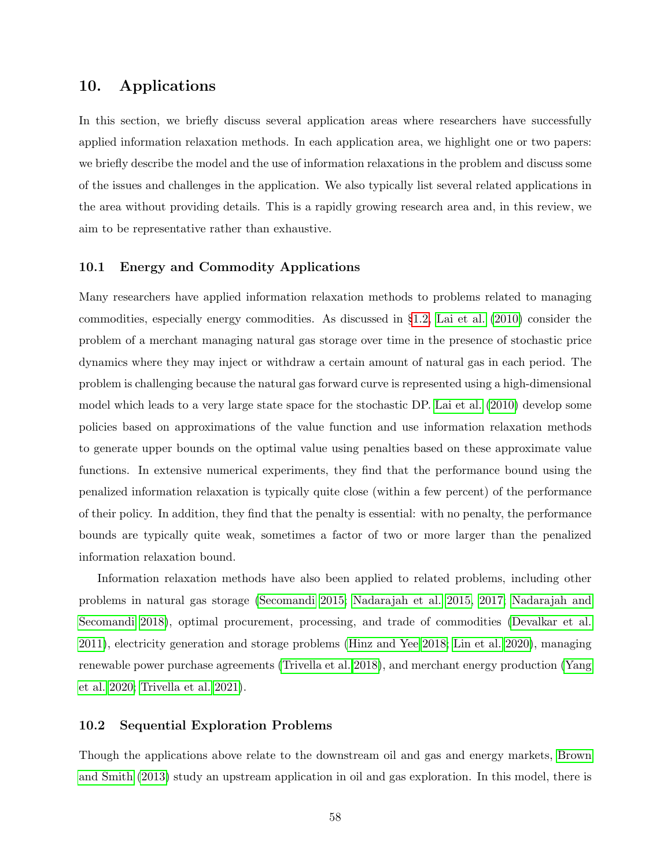# <span id="page-58-0"></span>10. Applications

In this section, we briefly discuss several application areas where researchers have successfully applied information relaxation methods. In each application area, we highlight one or two papers: we briefly describe the model and the use of information relaxations in the problem and discuss some of the issues and challenges in the application. We also typically list several related applications in the area without providing details. This is a rapidly growing research area and, in this review, we aim to be representative rather than exhaustive.

# 10.1 Energy and Commodity Applications

Many researchers have applied information relaxation methods to problems related to managing commodities, especially energy commodities. As discussed in §[1.2,](#page-3-0) [Lai et al.](#page-66-0) [\(2010\)](#page-66-0) consider the problem of a merchant managing natural gas storage over time in the presence of stochastic price dynamics where they may inject or withdraw a certain amount of natural gas in each period. The problem is challenging because the natural gas forward curve is represented using a high-dimensional model which leads to a very large state space for the stochastic DP. [Lai et al.](#page-66-0) [\(2010\)](#page-66-0) develop some policies based on approximations of the value function and use information relaxation methods to generate upper bounds on the optimal value using penalties based on these approximate value functions. In extensive numerical experiments, they find that the performance bound using the penalized information relaxation is typically quite close (within a few percent) of the performance of their policy. In addition, they find that the penalty is essential: with no penalty, the performance bounds are typically quite weak, sometimes a factor of two or more larger than the penalized information relaxation bound.

Information relaxation methods have also been applied to related problems, including other problems in natural gas storage [\(Secomandi 2015;](#page-66-9) [Nadarajah et al. 2015,](#page-66-10) [2017;](#page-66-11) [Nadarajah and](#page-66-12) [Secomandi 2018\)](#page-66-12), optimal procurement, processing, and trade of commodities [\(Devalkar et al.](#page-64-11) [2011\)](#page-64-11), electricity generation and storage problems [\(Hinz and Yee 2018;](#page-65-6) [Lin et al. 2020\)](#page-66-13), managing renewable power purchase agreements [\(Trivella et al. 2018\)](#page-67-6), and merchant energy production [\(Yang](#page-67-4) [et al. 2020;](#page-67-4) [Trivella et al. 2021\)](#page-67-7).

## 10.2 Sequential Exploration Problems

Though the applications above relate to the downstream oil and gas and energy markets, [Brown](#page-64-12) [and Smith](#page-64-12) [\(2013\)](#page-64-12) study an upstream application in oil and gas exploration. In this model, there is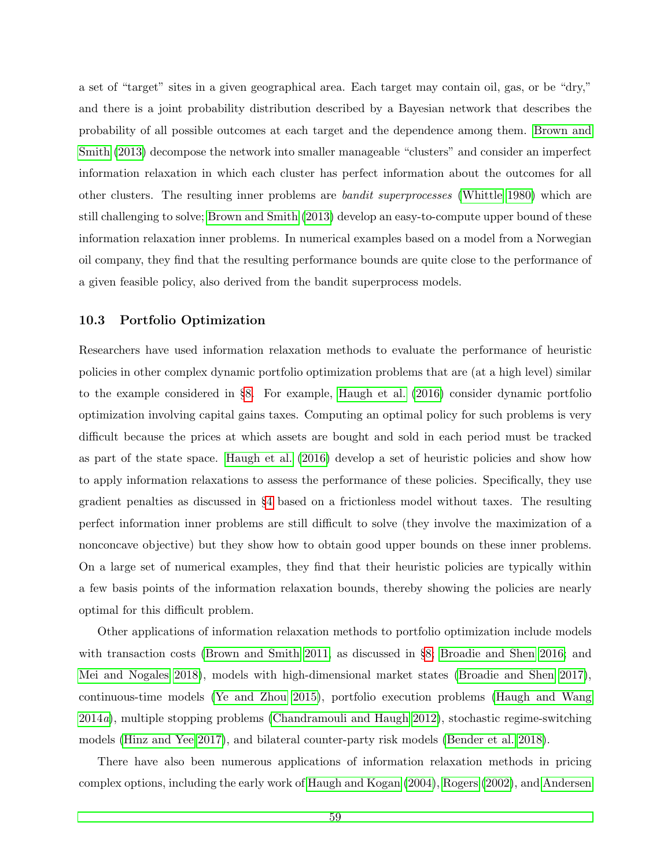a set of "target" sites in a given geographical area. Each target may contain oil, gas, or be "dry," and there is a joint probability distribution described by a Bayesian network that describes the probability of all possible outcomes at each target and the dependence among them. [Brown and](#page-64-12) [Smith](#page-64-12) [\(2013\)](#page-64-12) decompose the network into smaller manageable "clusters" and consider an imperfect information relaxation in which each cluster has perfect information about the outcomes for all other clusters. The resulting inner problems are bandit superprocesses [\(Whittle 1980\)](#page-67-8) which are still challenging to solve; [Brown and Smith](#page-64-12) [\(2013\)](#page-64-12) develop an easy-to-compute upper bound of these information relaxation inner problems. In numerical examples based on a model from a Norwegian oil company, they find that the resulting performance bounds are quite close to the performance of a given feasible policy, also derived from the bandit superprocess models.

# 10.3 Portfolio Optimization

Researchers have used information relaxation methods to evaluate the performance of heuristic policies in other complex dynamic portfolio optimization problems that are (at a high level) similar to the example considered in §[8.](#page-48-0) For example, [Haugh et al.](#page-65-7) [\(2016\)](#page-65-7) consider dynamic portfolio optimization involving capital gains taxes. Computing an optimal policy for such problems is very difficult because the prices at which assets are bought and sold in each period must be tracked as part of the state space. [Haugh et al.](#page-65-7) [\(2016\)](#page-65-7) develop a set of heuristic policies and show how to apply information relaxations to assess the performance of these policies. Specifically, they use gradient penalties as discussed in §[4](#page-20-0) based on a frictionless model without taxes. The resulting perfect information inner problems are still difficult to solve (they involve the maximization of a nonconcave objective) but they show how to obtain good upper bounds on these inner problems. On a large set of numerical examples, they find that their heuristic policies are typically within a few basis points of the information relaxation bounds, thereby showing the policies are nearly optimal for this difficult problem.

Other applications of information relaxation methods to portfolio optimization include models with transaction costs [\(Brown and Smith 2011,](#page-64-4) as discussed in §[8;](#page-48-0) [Broadie and Shen 2016;](#page-64-13) and [Mei and Nogales 2018\)](#page-66-14), models with high-dimensional market states [\(Broadie and Shen 2017\)](#page-64-14), continuous-time models [\(Ye and Zhou 2015\)](#page-67-9), portfolio execution problems [\(Haugh and Wang](#page-65-8) [2014](#page-65-8)a), multiple stopping problems [\(Chandramouli and Haugh 2012\)](#page-64-15), stochastic regime-switching models [\(Hinz and Yee 2017\)](#page-65-9), and bilateral counter-party risk models [\(Bender et al. 2018\)](#page-63-8).

There have also been numerous applications of information relaxation methods in pricing complex options, including the early work of [Haugh and Kogan](#page-65-0) [\(2004\)](#page-65-0), [Rogers](#page-66-1) [\(2002\)](#page-66-1), and [Andersen](#page-63-0)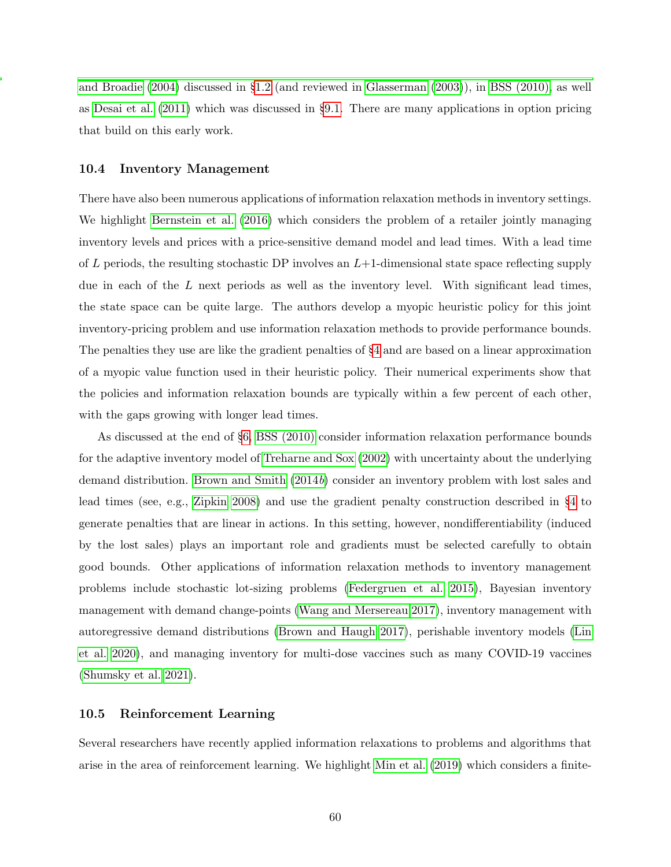[and Broadie](#page-63-0) [\(2004\)](#page-63-0) discussed in §[1.2](#page-3-0) (and reviewed in [Glasserman](#page-65-1) [\(2003\)](#page-65-1)), in [BSS \(2010\),](#page-64-0) as well as [Desai et al.](#page-64-6) [\(2011\)](#page-64-6) which was discussed in §[9.1.](#page-55-2) There are many applications in option pricing that build on this early work.

### 10.4 Inventory Management

There have also been numerous applications of information relaxation methods in inventory settings. We highlight [Bernstein et al.](#page-63-9) [\(2016\)](#page-63-9) which considers the problem of a retailer jointly managing inventory levels and prices with a price-sensitive demand model and lead times. With a lead time of L periods, the resulting stochastic DP involves an  $L+1$ -dimensional state space reflecting supply due in each of the L next periods as well as the inventory level. With significant lead times, the state space can be quite large. The authors develop a myopic heuristic policy for this joint inventory-pricing problem and use information relaxation methods to provide performance bounds. The penalties they use are like the gradient penalties of §[4](#page-20-0) and are based on a linear approximation of a myopic value function used in their heuristic policy. Their numerical experiments show that the policies and information relaxation bounds are typically within a few percent of each other, with the gaps growing with longer lead times.

As discussed at the end of §[6,](#page-26-0) [BSS \(2010\)](#page-64-0) consider information relaxation performance bounds for the adaptive inventory model of [Treharne and Sox](#page-67-3) [\(2002\)](#page-67-3) with uncertainty about the underlying demand distribution. [Brown and Smith](#page-64-1) [\(2014](#page-64-1)b) consider an inventory problem with lost sales and lead times (see, e.g., [Zipkin 2008\)](#page-67-10) and use the gradient penalty construction described in §[4](#page-20-0) to generate penalties that are linear in actions. In this setting, however, nondifferentiability (induced by the lost sales) plays an important role and gradients must be selected carefully to obtain good bounds. Other applications of information relaxation methods to inventory management problems include stochastic lot-sizing problems [\(Federgruen et al. 2015\)](#page-65-10), Bayesian inventory management with demand change-points [\(Wang and Mersereau 2017\)](#page-67-11), inventory management with autoregressive demand distributions [\(Brown and Haugh 2017\)](#page-64-7), perishable inventory models [\(Lin](#page-66-13) [et al. 2020\)](#page-66-13), and managing inventory for multi-dose vaccines such as many COVID-19 vaccines [\(Shumsky et al. 2021\)](#page-67-12).

#### <span id="page-60-0"></span>10.5 Reinforcement Learning

Several researchers have recently applied information relaxations to problems and algorithms that arise in the area of reinforcement learning. We highlight [Min et al.](#page-66-15) [\(2019\)](#page-66-15) which considers a finite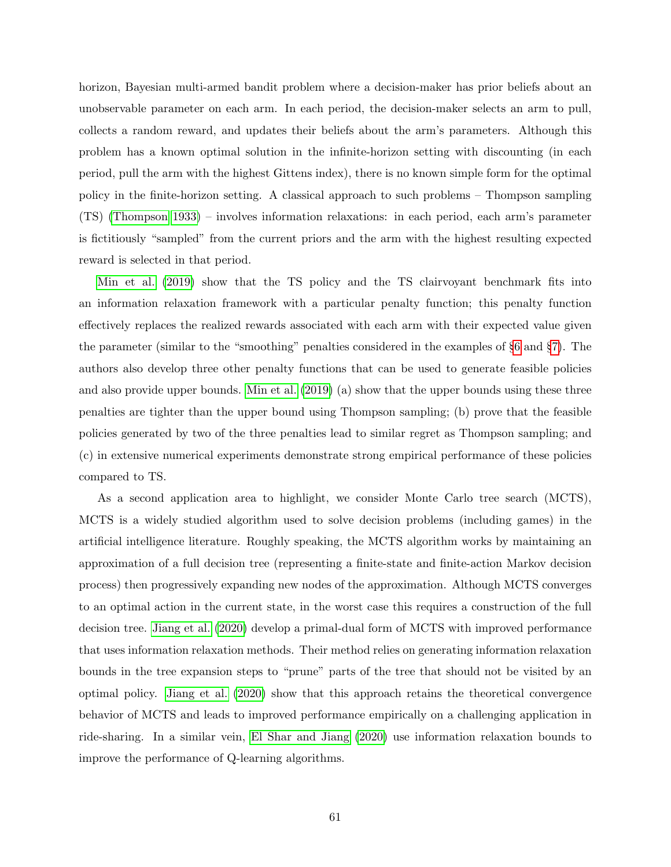horizon, Bayesian multi-armed bandit problem where a decision-maker has prior beliefs about an unobservable parameter on each arm. In each period, the decision-maker selects an arm to pull, collects a random reward, and updates their beliefs about the arm's parameters. Although this problem has a known optimal solution in the infinite-horizon setting with discounting (in each period, pull the arm with the highest Gittens index), there is no known simple form for the optimal policy in the finite-horizon setting. A classical approach to such problems – Thompson sampling (TS) [\(Thompson 1933\)](#page-67-13) – involves information relaxations: in each period, each arm's parameter is fictitiously "sampled" from the current priors and the arm with the highest resulting expected reward is selected in that period.

[Min et al.](#page-66-15) [\(2019\)](#page-66-15) show that the TS policy and the TS clairvoyant benchmark fits into an information relaxation framework with a particular penalty function; this penalty function effectively replaces the realized rewards associated with each arm with their expected value given the parameter (similar to the "smoothing" penalties considered in the examples of §[6](#page-26-0) and §[7\)](#page-34-0). The authors also develop three other penalty functions that can be used to generate feasible policies and also provide upper bounds. [Min et al.](#page-66-15) [\(2019\)](#page-66-15) (a) show that the upper bounds using these three penalties are tighter than the upper bound using Thompson sampling; (b) prove that the feasible policies generated by two of the three penalties lead to similar regret as Thompson sampling; and (c) in extensive numerical experiments demonstrate strong empirical performance of these policies compared to TS.

As a second application area to highlight, we consider Monte Carlo tree search (MCTS), MCTS is a widely studied algorithm used to solve decision problems (including games) in the artificial intelligence literature. Roughly speaking, the MCTS algorithm works by maintaining an approximation of a full decision tree (representing a finite-state and finite-action Markov decision process) then progressively expanding new nodes of the approximation. Although MCTS converges to an optimal action in the current state, in the worst case this requires a construction of the full decision tree. [Jiang et al.](#page-65-11) [\(2020\)](#page-65-11) develop a primal-dual form of MCTS with improved performance that uses information relaxation methods. Their method relies on generating information relaxation bounds in the tree expansion steps to "prune" parts of the tree that should not be visited by an optimal policy. [Jiang et al.](#page-65-11) [\(2020\)](#page-65-11) show that this approach retains the theoretical convergence behavior of MCTS and leads to improved performance empirically on a challenging application in ride-sharing. In a similar vein, [El Shar and Jiang](#page-64-16) [\(2020\)](#page-64-16) use information relaxation bounds to improve the performance of Q-learning algorithms.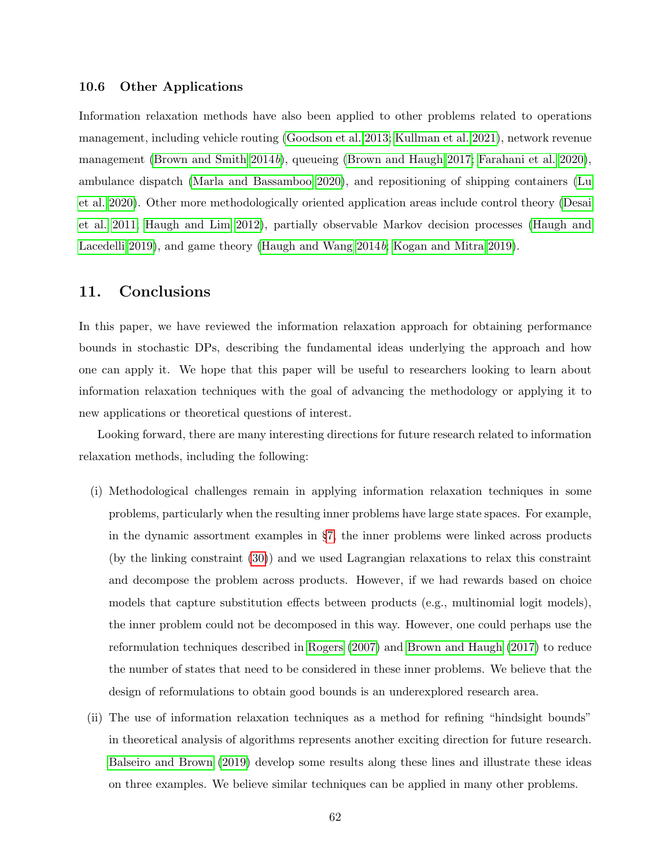### 10.6 Other Applications

Information relaxation methods have also been applied to other problems related to operations management, including vehicle routing [\(Goodson et al. 2013;](#page-65-12) [Kullman et al. 2021\)](#page-65-13), network revenue management [\(Brown and Smith 2014](#page-64-1)b), queueing [\(Brown and Haugh 2017;](#page-64-7) [Farahani et al. 2020\)](#page-64-17), ambulance dispatch [\(Marla and Bassamboo 2020\)](#page-66-16), and repositioning of shipping containers [\(Lu](#page-66-17) [et al. 2020\)](#page-66-17). Other more methodologically oriented application areas include control theory [\(Desai](#page-64-6) [et al. 2011;](#page-64-6) [Haugh and Lim 2012\)](#page-65-14), partially observable Markov decision processes [\(Haugh and](#page-65-15) [Lacedelli 2019\)](#page-65-15), and game theory [\(Haugh and Wang 2014](#page-65-16)b; [Kogan and Mitra 2019\)](#page-65-17).

# <span id="page-62-0"></span>11. Conclusions

In this paper, we have reviewed the information relaxation approach for obtaining performance bounds in stochastic DPs, describing the fundamental ideas underlying the approach and how one can apply it. We hope that this paper will be useful to researchers looking to learn about information relaxation techniques with the goal of advancing the methodology or applying it to new applications or theoretical questions of interest.

Looking forward, there are many interesting directions for future research related to information relaxation methods, including the following:

- (i) Methodological challenges remain in applying information relaxation techniques in some problems, particularly when the resulting inner problems have large state spaces. For example, in the dynamic assortment examples in §[7,](#page-34-0) the inner problems were linked across products (by the linking constraint [\(30\)](#page-36-2)) and we used Lagrangian relaxations to relax this constraint and decompose the problem across products. However, if we had rewards based on choice models that capture substitution effects between products (e.g., multinomial logit models), the inner problem could not be decomposed in this way. However, one could perhaps use the reformulation techniques described in [Rogers](#page-66-8) [\(2007\)](#page-66-8) and [Brown and Haugh](#page-64-7) [\(2017\)](#page-64-7) to reduce the number of states that need to be considered in these inner problems. We believe that the design of reformulations to obtain good bounds is an underexplored research area.
- (ii) The use of information relaxation techniques as a method for refining "hindsight bounds" in theoretical analysis of algorithms represents another exciting direction for future research. [Balseiro and Brown](#page-63-3) [\(2019\)](#page-63-3) develop some results along these lines and illustrate these ideas on three examples. We believe similar techniques can be applied in many other problems.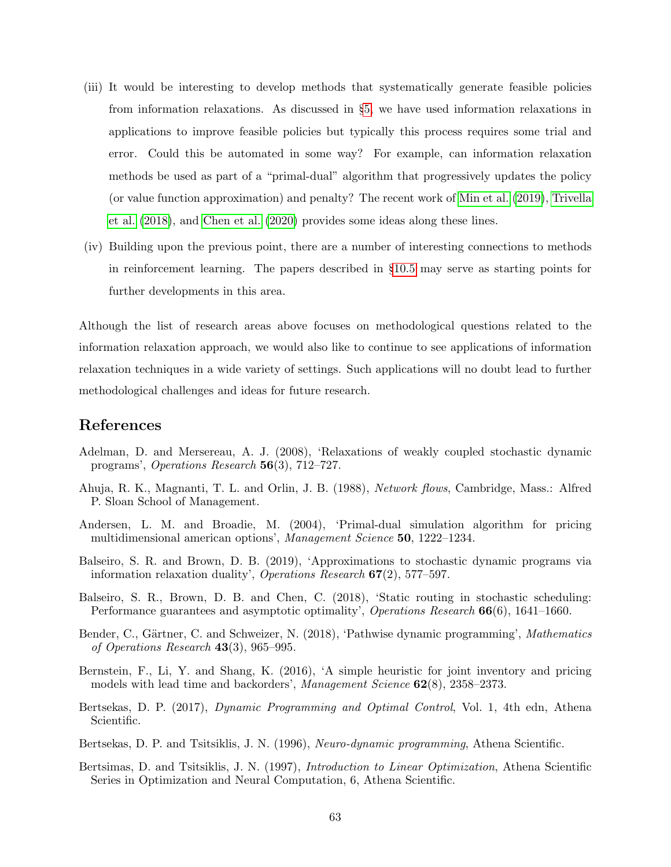- (iii) It would be interesting to develop methods that systematically generate feasible policies from information relaxations. As discussed in §[5,](#page-24-0) we have used information relaxations in applications to improve feasible policies but typically this process requires some trial and error. Could this be automated in some way? For example, can information relaxation methods be used as part of a "primal-dual" algorithm that progressively updates the policy (or value function approximation) and penalty? The recent work of [Min et al.](#page-66-15) [\(2019\)](#page-66-15), [Trivella](#page-67-6) [et al.](#page-67-6) [\(2018\)](#page-67-6), and [Chen et al.](#page-64-18) [\(2020\)](#page-64-18) provides some ideas along these lines.
- (iv) Building upon the previous point, there are a number of interesting connections to methods in reinforcement learning. The papers described in §[10.5](#page-60-0) may serve as starting points for further developments in this area.

Although the list of research areas above focuses on methodological questions related to the information relaxation approach, we would also like to continue to see applications of information relaxation techniques in a wide variety of settings. Such applications will no doubt lead to further methodological challenges and ideas for future research.

# References

- <span id="page-63-2"></span>Adelman, D. and Mersereau, A. J. (2008), 'Relaxations of weakly coupled stochastic dynamic programs', Operations Research 56(3), 712–727.
- <span id="page-63-6"></span>Ahuja, R. K., Magnanti, T. L. and Orlin, J. B. (1988), Network flows, Cambridge, Mass.: Alfred P. Sloan School of Management.
- <span id="page-63-0"></span>Andersen, L. M. and Broadie, M. (2004), 'Primal-dual simulation algorithm for pricing multidimensional american options', Management Science 50, 1222–1234.
- <span id="page-63-3"></span>Balseiro, S. R. and Brown, D. B. (2019), 'Approximations to stochastic dynamic programs via information relaxation duality', Operations Research  $67(2)$ , 577–597.
- <span id="page-63-7"></span>Balseiro, S. R., Brown, D. B. and Chen, C. (2018), 'Static routing in stochastic scheduling: Performance guarantees and asymptotic optimality', Operations Research 66(6), 1641–1660.
- <span id="page-63-8"></span>Bender, C., Gärtner, C. and Schweizer, N. (2018), 'Pathwise dynamic programming', Mathematics of Operations Research 43(3), 965–995.
- <span id="page-63-9"></span>Bernstein, F., Li, Y. and Shang, K. (2016), 'A simple heuristic for joint inventory and pricing models with lead time and backorders', *Management Science* **62**(8), 2358–2373.
- <span id="page-63-4"></span>Bertsekas, D. P. (2017), Dynamic Programming and Optimal Control, Vol. 1, 4th edn, Athena Scientific.
- <span id="page-63-1"></span>Bertsekas, D. P. and Tsitsiklis, J. N. (1996), *Neuro-dynamic programming*, Athena Scientific.
- <span id="page-63-5"></span>Bertsimas, D. and Tsitsiklis, J. N. (1997), Introduction to Linear Optimization, Athena Scientific Series in Optimization and Neural Computation, 6, Athena Scientific.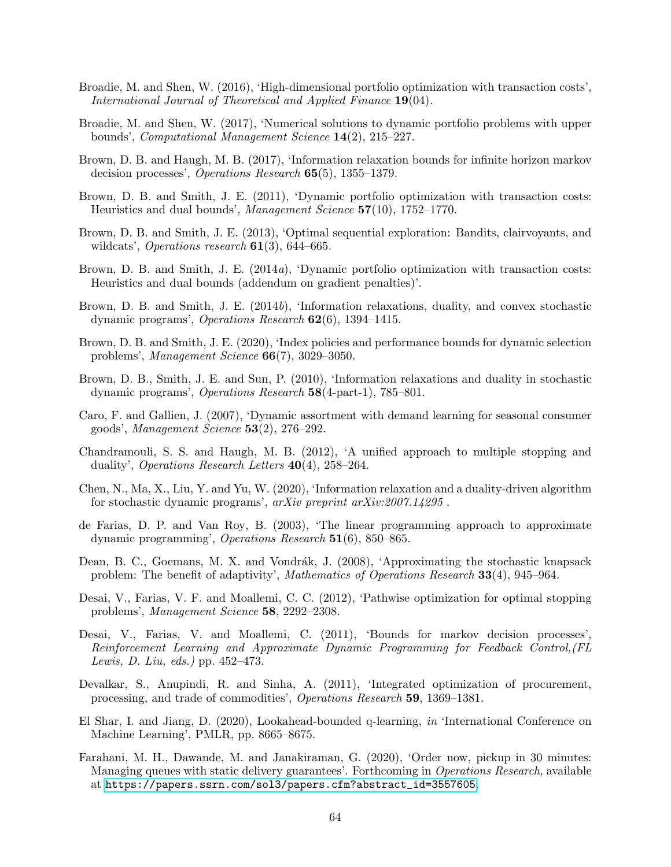- <span id="page-64-13"></span>Broadie, M. and Shen, W. (2016), 'High-dimensional portfolio optimization with transaction costs', International Journal of Theoretical and Applied Finance 19(04).
- <span id="page-64-14"></span>Broadie, M. and Shen, W. (2017), 'Numerical solutions to dynamic portfolio problems with upper bounds', Computational Management Science 14(2), 215–227.
- <span id="page-64-7"></span>Brown, D. B. and Haugh, M. B. (2017), 'Information relaxation bounds for infinite horizon markov decision processes', Operations Research 65(5), 1355–1379.
- <span id="page-64-4"></span>Brown, D. B. and Smith, J. E. (2011), 'Dynamic portfolio optimization with transaction costs: Heuristics and dual bounds', Management Science 57(10), 1752–1770.
- <span id="page-64-12"></span>Brown, D. B. and Smith, J. E. (2013), 'Optimal sequential exploration: Bandits, clairvoyants, and wildcats', Operations research  $61(3)$ , 644–665.
- <span id="page-64-8"></span>Brown, D. B. and Smith, J. E. (2014a), 'Dynamic portfolio optimization with transaction costs: Heuristics and dual bounds (addendum on gradient penalties)'.
- <span id="page-64-1"></span>Brown, D. B. and Smith, J. E. (2014b), 'Information relaxations, duality, and convex stochastic dynamic programs', Operations Research 62(6), 1394–1415.
- <span id="page-64-3"></span>Brown, D. B. and Smith, J. E. (2020), 'Index policies and performance bounds for dynamic selection problems', Management Science 66(7), 3029–3050.
- <span id="page-64-0"></span>Brown, D. B., Smith, J. E. and Sun, P. (2010), 'Information relaxations and duality in stochastic dynamic programs', Operations Research 58(4-part-1), 785–801.
- <span id="page-64-2"></span>Caro, F. and Gallien, J. (2007), 'Dynamic assortment with demand learning for seasonal consumer goods', Management Science 53(2), 276–292.
- <span id="page-64-15"></span>Chandramouli, S. S. and Haugh, M. B. (2012), 'A unified approach to multiple stopping and duality', Operations Research Letters 40(4), 258–264.
- <span id="page-64-18"></span>Chen, N., Ma, X., Liu, Y. and Yu, W. (2020), 'Information relaxation and a duality-driven algorithm for stochastic dynamic programs', arXiv preprint arXiv:2007.14295 .
- <span id="page-64-5"></span>de Farias, D. P. and Van Roy, B. (2003), 'The linear programming approach to approximate dynamic programming', Operations Research 51(6), 850–865.
- <span id="page-64-10"></span>Dean, B. C., Goemans, M. X. and Vondrák, J. (2008), 'Approximating the stochastic knapsack problem: The benefit of adaptivity', Mathematics of Operations Research 33(4), 945–964.
- <span id="page-64-9"></span>Desai, V., Farias, V. F. and Moallemi, C. C. (2012), 'Pathwise optimization for optimal stopping problems', Management Science 58, 2292–2308.
- <span id="page-64-6"></span>Desai, V., Farias, V. and Moallemi, C. (2011), 'Bounds for markov decision processes', Reinforcement Learning and Approximate Dynamic Programming for Feedback Control,(FL Lewis, D. Liu, eds.) pp. 452–473.
- <span id="page-64-11"></span>Devalkar, S., Anupindi, R. and Sinha, A. (2011), 'Integrated optimization of procurement, processing, and trade of commodities', Operations Research 59, 1369–1381.
- <span id="page-64-16"></span>El Shar, I. and Jiang, D. (2020), Lookahead-bounded q-learning, in 'International Conference on Machine Learning', PMLR, pp. 8665–8675.
- <span id="page-64-17"></span>Farahani, M. H., Dawande, M. and Janakiraman, G. (2020), 'Order now, pickup in 30 minutes: Managing queues with static delivery guarantees'. Forthcoming in *Operations Research*, available at [https://papers.ssrn.com/sol3/papers.cfm?abstract\\_id=3557605](https://papers.ssrn.com/sol3/papers.cfm?abstract_id=3557605).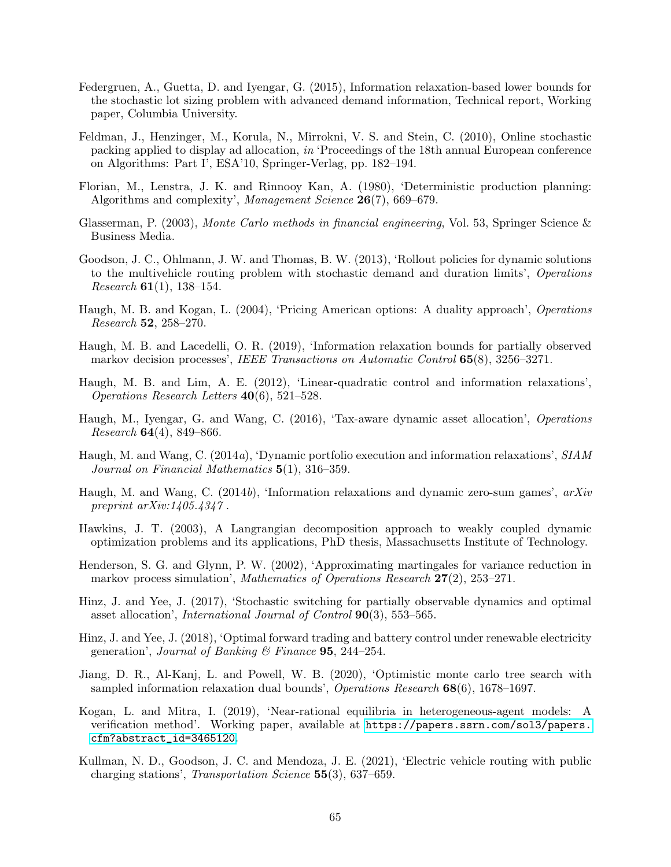- <span id="page-65-10"></span>Federgruen, A., Guetta, D. and Iyengar, G. (2015), Information relaxation-based lower bounds for the stochastic lot sizing problem with advanced demand information, Technical report, Working paper, Columbia University.
- <span id="page-65-2"></span>Feldman, J., Henzinger, M., Korula, N., Mirrokni, V. S. and Stein, C. (2010), Online stochastic packing applied to display ad allocation, in 'Proceedings of the 18th annual European conference on Algorithms: Part I', ESA'10, Springer-Verlag, pp. 182–194.
- <span id="page-65-4"></span>Florian, M., Lenstra, J. K. and Rinnooy Kan, A. (1980), 'Deterministic production planning: Algorithms and complexity', *Management Science* **26**(7), 669–679.
- <span id="page-65-1"></span>Glasserman, P. (2003), Monte Carlo methods in financial engineering, Vol. 53, Springer Science & Business Media.
- <span id="page-65-12"></span>Goodson, J. C., Ohlmann, J. W. and Thomas, B. W. (2013), 'Rollout policies for dynamic solutions to the multivehicle routing problem with stochastic demand and duration limits', Operations *Research* **61**(1), 138–154.
- <span id="page-65-0"></span>Haugh, M. B. and Kogan, L. (2004), 'Pricing American options: A duality approach', Operations Research 52, 258–270.
- <span id="page-65-15"></span>Haugh, M. B. and Lacedelli, O. R. (2019), 'Information relaxation bounds for partially observed markov decision processes', IEEE Transactions on Automatic Control 65(8), 3256–3271.
- <span id="page-65-14"></span>Haugh, M. B. and Lim, A. E. (2012), 'Linear-quadratic control and information relaxations', Operations Research Letters 40(6), 521–528.
- <span id="page-65-7"></span>Haugh, M., Iyengar, G. and Wang, C. (2016), 'Tax-aware dynamic asset allocation', Operations Research  $64(4)$ , 849–866.
- <span id="page-65-8"></span>Haugh, M. and Wang, C. (2014a), 'Dynamic portfolio execution and information relaxations', SIAM Journal on Financial Mathematics 5(1), 316–359.
- <span id="page-65-16"></span>Haugh, M. and Wang, C. (2014b), 'Information relaxations and dynamic zero-sum games', arXiv preprint  $arXiv:1405.4347$ .
- <span id="page-65-5"></span>Hawkins, J. T. (2003), A Langrangian decomposition approach to weakly coupled dynamic optimization problems and its applications, PhD thesis, Massachusetts Institute of Technology.
- <span id="page-65-3"></span>Henderson, S. G. and Glynn, P. W. (2002), 'Approximating martingales for variance reduction in markov process simulation', Mathematics of Operations Research 27(2), 253–271.
- <span id="page-65-9"></span>Hinz, J. and Yee, J. (2017), 'Stochastic switching for partially observable dynamics and optimal asset allocation', International Journal of Control 90(3), 553–565.
- <span id="page-65-6"></span>Hinz, J. and Yee, J. (2018), 'Optimal forward trading and battery control under renewable electricity generation', Journal of Banking & Finance  $95$ , 244-254.
- <span id="page-65-11"></span>Jiang, D. R., Al-Kanj, L. and Powell, W. B. (2020), 'Optimistic monte carlo tree search with sampled information relaxation dual bounds', Operations Research 68(6), 1678–1697.
- <span id="page-65-17"></span>Kogan, L. and Mitra, I. (2019), 'Near-rational equilibria in heterogeneous-agent models: A verification method'. Working paper, available at [https://papers.ssrn.com/sol3/papers.](https://papers.ssrn.com/sol3/papers.cfm?abstract_id=3465120) [cfm?abstract\\_id=3465120](https://papers.ssrn.com/sol3/papers.cfm?abstract_id=3465120).
- <span id="page-65-13"></span>Kullman, N. D., Goodson, J. C. and Mendoza, J. E. (2021), 'Electric vehicle routing with public charging stations', Transportation Science 55(3), 637–659.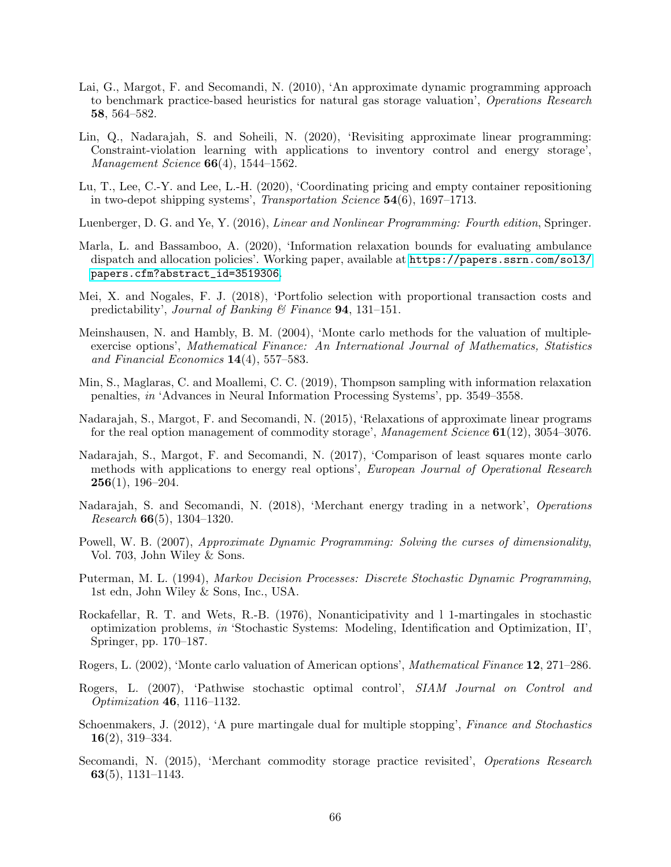- <span id="page-66-0"></span>Lai, G., Margot, F. and Secomandi, N. (2010), 'An approximate dynamic programming approach to benchmark practice-based heuristics for natural gas storage valuation', Operations Research 58, 564–582.
- <span id="page-66-13"></span>Lin, Q., Nadarajah, S. and Soheili, N. (2020), 'Revisiting approximate linear programming: Constraint-violation learning with applications to inventory control and energy storage', *Management Science*  $66(4)$ , 1544–1562.
- <span id="page-66-17"></span>Lu, T., Lee, C.-Y. and Lee, L.-H. (2020), 'Coordinating pricing and empty container repositioning in two-depot shipping systems', Transportation Science 54(6), 1697–1713.
- <span id="page-66-6"></span>Luenberger, D. G. and Ye, Y. (2016), Linear and Nonlinear Programming: Fourth edition, Springer.
- <span id="page-66-16"></span>Marla, L. and Bassamboo, A. (2020), 'Information relaxation bounds for evaluating ambulance dispatch and allocation policies'. Working paper, available at [https://papers.ssrn.com/sol3/](https://papers.ssrn.com/sol3/papers.cfm?abstract_id=3519306) [papers.cfm?abstract\\_id=3519306](https://papers.ssrn.com/sol3/papers.cfm?abstract_id=3519306).
- <span id="page-66-14"></span>Mei, X. and Nogales, F. J. (2018), 'Portfolio selection with proportional transaction costs and predictability', Journal of Banking  $\mathcal B$  Finance **94**, 131–151.
- <span id="page-66-2"></span>Meinshausen, N. and Hambly, B. M. (2004), 'Monte carlo methods for the valuation of multipleexercise options', Mathematical Finance: An International Journal of Mathematics, Statistics and Financial Economics  $14(4)$ , 557–583.
- <span id="page-66-15"></span>Min, S., Maglaras, C. and Moallemi, C. C. (2019), Thompson sampling with information relaxation penalties, in 'Advances in Neural Information Processing Systems', pp. 3549–3558.
- <span id="page-66-10"></span>Nadarajah, S., Margot, F. and Secomandi, N. (2015), 'Relaxations of approximate linear programs for the real option management of commodity storage', Management Science 61(12), 3054–3076.
- <span id="page-66-11"></span>Nadarajah, S., Margot, F. and Secomandi, N. (2017), 'Comparison of least squares monte carlo methods with applications to energy real options', European Journal of Operational Research  $256(1), 196-204.$
- <span id="page-66-12"></span>Nadarajah, S. and Secomandi, N. (2018), 'Merchant energy trading in a network', Operations *Research* **66** $(5)$ , 1304–1320.
- <span id="page-66-5"></span>Powell, W. B. (2007), Approximate Dynamic Programming: Solving the curses of dimensionality, Vol. 703, John Wiley & Sons.
- <span id="page-66-7"></span>Puterman, M. L. (1994), Markov Decision Processes: Discrete Stochastic Dynamic Programming, 1st edn, John Wiley & Sons, Inc., USA.
- <span id="page-66-4"></span>Rockafellar, R. T. and Wets, R.-B. (1976), Nonanticipativity and l 1-martingales in stochastic optimization problems, in 'Stochastic Systems: Modeling, Identification and Optimization, II', Springer, pp. 170–187.
- <span id="page-66-1"></span>Rogers, L. (2002), 'Monte carlo valuation of American options', Mathematical Finance 12, 271–286.
- <span id="page-66-8"></span>Rogers, L. (2007), 'Pathwise stochastic optimal control', SIAM Journal on Control and Optimization 46, 1116–1132.
- <span id="page-66-3"></span>Schoenmakers, J. (2012), 'A pure martingale dual for multiple stopping', Finance and Stochastics 16(2), 319–334.
- <span id="page-66-9"></span>Secomandi, N. (2015), 'Merchant commodity storage practice revisited', *Operations Research* 63(5), 1131–1143.